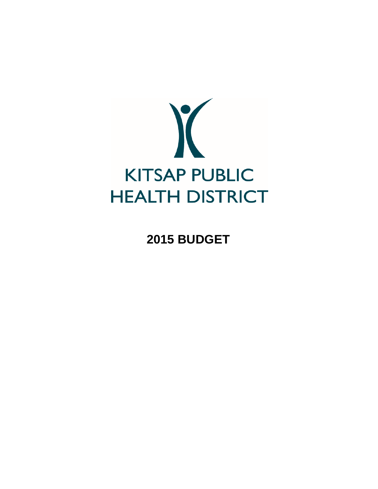

**2015 BUDGET**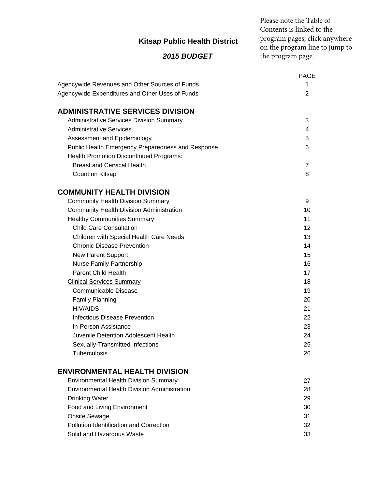## **Kitsap Public Health District**

# *2015 BUDGET*

Please note the Table of Contents is linked to the program pages; click anywhere on the program line to jump to the program page.

|                                                     | <b>PAGE</b>    |
|-----------------------------------------------------|----------------|
| Agencywide Revenues and Other Sources of Funds      | 1              |
| Agencywide Expenditures and Other Uses of Funds     | $\overline{2}$ |
|                                                     |                |
| <b>ADMINISTRATIVE SERVICES DIVISION</b>             |                |
| <b>Administrative Services Division Summary</b>     | 3              |
| <b>Administrative Services</b>                      | 4              |
| Assessment and Epidemiology                         | 5              |
| Public Health Emergency Preparedness and Response   | 6              |
| <b>Health Promotion Discontinued Programs:</b>      |                |
| <b>Breast and Cervical Health</b>                   | 7              |
| Count on Kitsap                                     | 8              |
| <b>COMMUNITY HEALTH DIVISION</b>                    |                |
| <b>Community Health Division Summary</b>            | 9              |
| <b>Community Health Division Administration</b>     | 10             |
| <b>Healthy Communities Summary</b>                  | 11             |
| <b>Child Care Consultation</b>                      | 12             |
| Children with Special Health Care Needs             | 13             |
| <b>Chronic Disease Prevention</b>                   | 14             |
| New Parent Support                                  | 15             |
| <b>Nurse Family Partnership</b>                     | 16             |
| <b>Parent Child Health</b>                          | 17             |
| <b>Clinical Services Summary</b>                    | 18             |
| Communicable Disease                                | 19             |
| <b>Family Planning</b>                              | 20             |
| <b>HIV/AIDS</b>                                     | 21             |
| <b>Infectious Disease Prevention</b>                | 22             |
| In-Person Assistance                                | 23             |
| Juvenile Detention Adolescent Health                | 24             |
| Sexually-Transmitted Infections                     | 25             |
| Tuberculosis                                        | 26             |
|                                                     |                |
| <b>ENVIRONMENTAL HEALTH DIVISION</b>                |                |
| <b>Environmental Health Division Summary</b>        | 27             |
| <b>Environmental Health Division Administration</b> | 28             |
| <b>Drinking Water</b>                               | 29             |
| Food and Living Environment                         | 30             |
| Onsite Sewage                                       | 31             |
| Pollution Identification and Correction             | 32             |
| Solid and Hazardous Waste                           | 33             |
|                                                     |                |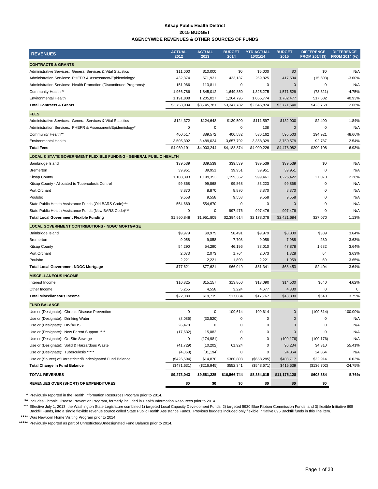#### **Kitsap Public Health District 2015 BUDGET AGENCYWIDE REVENUES & OTHER SOURCES OF FUNDS**

<span id="page-2-0"></span>

| <b>REVENUES</b>                                                                                                           | <b>ACTUAL</b>       | <b>ACTUAL</b>       | <b>BUDGET</b>  | <b>YTD ACTUAL</b>  | <b>BUDGET</b>          | <b>DIFFERENCE</b>    | <b>DIFFERENCE</b>            |
|---------------------------------------------------------------------------------------------------------------------------|---------------------|---------------------|----------------|--------------------|------------------------|----------------------|------------------------------|
|                                                                                                                           | 2012                | 2013                | 2014           | 10/31/14           | 2015                   |                      | FROM 2014 (\$) FROM 2014 (%) |
| <b>CONTRACTS &amp; GRANTS</b>                                                                                             |                     |                     |                |                    |                        |                      |                              |
| Administrative Services: General Services & Vital Statistics<br>Administration Services: PHEPR & Assessment/Epidemiology* | \$11,000<br>432,374 | \$10,000<br>571,931 | \$0<br>433,137 | \$5,000<br>259,825 | \$0<br>417,534         | \$0                  | N/A<br>$-3.60%$              |
| Administration Services: Health Promotion (Discontinued Programs)*                                                        | 151,966             | 113,811             | 0              | 0                  | $\mathbf{0}$           | (15,603)<br>0        | N/A                          |
| Community Health **                                                                                                       | 1,966,786           | 1,845,012           | 1,649,850      | 1,325,275          |                        |                      | $-4.75%$                     |
| <b>Environmental Health</b>                                                                                               | 1,191,808           | 1,205,027           | 1,264,795      | 1,055,774          | 1,571,529<br>1,782,477 | (78, 321)<br>517,682 | 40.93%                       |
| <b>Total Contracts &amp; Grants</b>                                                                                       | \$3,753,934         | \$3,745,781         | \$3,347,782    | \$2,645,874        | \$3,771,540            | \$423,758            | 12.66%                       |
| <b>FEES</b>                                                                                                               |                     |                     |                |                    |                        |                      |                              |
| Administrative Services: General Services & Vital Statistics                                                              | \$124,372           | \$124,648           | \$130,500      | \$111,597          | \$132,900              | \$2,400              | 1.84%                        |
| Administration Services: PHEPR & Assessment/Epidemiology*                                                                 | 0                   | 0                   | 0              | 138                | 0                      | 0                    | N/A                          |
| Community Health**                                                                                                        | 400,517             | 389,572             | 400,582        | 530,162            | 595,503                | 194,921              | 48.66%                       |
| Environmental Health                                                                                                      | 3,505,302           | 3,489,024           | 3,657,792      | 3,358,329          | 3,750,579              | 92,787               | 2.54%                        |
| <b>Total Fees</b>                                                                                                         | \$4,030,191         | \$4,003,244         | \$4,188,874    | \$4,000,226        | \$4,478,982            | \$290,108            | 6.93%                        |
| LOCAL & STATE GOVERNMENT FLEXIBLE FUNDING - GENERAL PUBLIC HEALTH                                                         |                     |                     |                |                    |                        |                      |                              |
| Bainbridge Island                                                                                                         | \$39,539            | \$39,539            | \$39,539       | \$39,539           | \$39,539               | \$0                  | N/A                          |
| Bremerton                                                                                                                 | 39,951              | 39,951              | 39,951         | 39,951             | 39,951                 | 0                    | N/A                          |
| <b>Kitsap County</b>                                                                                                      | 1,108,393           | 1,199,353           | 1,199,352      | 999,461            | 1,226,422              | 27,070               | 2.26%                        |
| Kitsap County - Allocated to Tuberculosis Control                                                                         | 99,868              | 99,868              | 99,868         | 83,223             | 99,868                 | 0                    | N/A                          |
| Port Orchard                                                                                                              | 8,870               | 8,870               | 8,870          | 8,870              | 8,870                  | 0                    | N/A                          |
| Poulsbo                                                                                                                   | 9,558               | 9,558               | 9,558          | 9,558              | 9,558                  | 0                    | N/A                          |
| State Public Health Assistance Funds (Old BARS Code)***                                                                   | 554,669             | 554,670             | 0              | 0                  | $\mathbf 0$            | 0                    | N/A                          |
| State Public Health Assistance Funds (New BARS Code)***                                                                   | 0                   | 0                   | 997,476        | 997,476            | 997,476                | 0                    | N/A                          |
| <b>Total Local Government Flexible Funding</b>                                                                            | \$1,860,848         | \$1,951,809         | \$2,394,614    | \$2,178,078        | \$2,421,684            | \$27,070             | 1.13%                        |
| <b>LOCAL GOVERNMENT CONTRIBUTIONS - NDGC MORTGAGE</b>                                                                     |                     |                     |                |                    |                        |                      |                              |
| Bainbridge Island                                                                                                         | \$9,979             | \$9,979             | \$8,491        | \$9,979            | \$8,800                | \$309                | 3.64%                        |
| Bremerton                                                                                                                 | 9,058               | 9,058               | 7,708          | 9,058              | 7,988                  | 280                  | 3.63%                        |
| Kitsap County                                                                                                             | 54,290              | 54,290              | 46,196         | 38,010             | 47,878                 | 1,682                | 3.64%                        |
| Port Orchard                                                                                                              | 2,073               | 2,073               | 1,764          | 2,073              | 1,828                  | 64                   | 3.63%                        |
| Poulsbo                                                                                                                   | 2,221               | 2,221               | 1,890          | 2,221              | 1,959                  | 69                   | 3.65%                        |
| <b>Total Local Government NDGC Mortgage</b>                                                                               | \$77,621            | \$77,621            | \$66,049       | \$61,341           | \$68,453               | \$2,404              | 3.64%                        |
| <b>MISCELLANEOUS INCOME</b>                                                                                               |                     |                     |                |                    |                        |                      |                              |
| Interest Income                                                                                                           | \$16,825            | \$15,157            | \$13,860       | \$13,090           | \$14,500               | \$640                | 4.62%                        |
| Other Income                                                                                                              | 5,255               | 4,558               | 3,224          | 4,677              | 4,330                  | 0                    | $\mathbf 0$                  |
| <b>Total Miscellaneous Income</b>                                                                                         | \$22,080            | \$19,715            | \$17,084       | \$17,767           | \$18,830               | \$640                | 3.75%                        |
| <b>FUND BALANCE</b>                                                                                                       |                     |                     |                |                    |                        |                      |                              |
| Use or (Designate): Chronic Disease Prevention                                                                            | 0                   | 0                   | 109,614        | 109,614            | $\mathbf 0$            | (109, 614)           | $-100.00\%$                  |
| Use or (Designate): Drinking Water                                                                                        | (8,086)             | (30, 520)           | 0              | 0                  | $\mathbf 0$            | 0                    | N/A                          |
| Use or (Designate): HIV/AIDS                                                                                              | 26,478              | 0                   | $\mathbf 0$    | 0                  | $\mathbf{0}$           | 0                    | N/A                          |
| Use or (Designate): New Parent Support ****                                                                               | (17, 632)           | 15,082              | 0              | 0                  | $\bf{0}$               | $\pmb{0}$            | N/A                          |
| Use or (Designate): On-Site Sewage                                                                                        | 0                   | (174, 981)          | 0              | 0                  | (109, 176)             | (109, 176)           | N/A                          |
| Use or (Designate): Solid & Harzardous Waste                                                                              | (41, 729)           | (10, 202)           | 61,924         | 0                  | 96,234                 | 34,310               | 55.41%                       |
| Use or (Designate): Tuberculosis *****                                                                                    | (4,068)             | (31, 194)           | 0              | 0                  | 24,864                 | 24,864               | N/A                          |
| Use or (Source) of Unrestricted/Undesignated Fund Balance                                                                 | (\$426,594)         | \$14,870            | \$380,803      | (\$658, 285)       | \$403,717              | \$22,914             | 6.02%                        |
| <b>Total Change in Fund Balance</b>                                                                                       | (\$471,631)         | (\$216,945)         | \$552,341      | (\$548,671)        | \$415,639              | (\$136,702)          | $-24.75%$                    |
| <b>TOTAL REVENUES</b>                                                                                                     | \$9,273,043         | \$9,581,225         | \$10,566,744   | \$8,354,615        | \$11,175,128           | \$608,384            | 5.76%                        |
| <b>REVENUES OVER (SHORT) OF EXPENDITURES</b>                                                                              | \$0                 | \$0                 | \$0            | \$0                | \$0                    | \$0                  |                              |

**\*** Previously reported in the Health Information Resources Program prior to 2014.

\*\* Includes Chronic Disease Prevention Program, formerly included in Health Information Resources prior to 2014.

\*\*\* Effective July 1, 2013, the Washington State Legislature combined 1) targeted Local Capacity Development Funds, 2) targeted 5930 Blue Ribbon Commission Funds, and 3) flexible Initiative 695<br>Backfill Funds, into a singl

**\*\*\*\*** Was Newborn Home Visiting Program prior to 2014.

\*\*\*\*\* Previously reported as part of Unrestricted/Undesignated Fund Balance prior to 2014.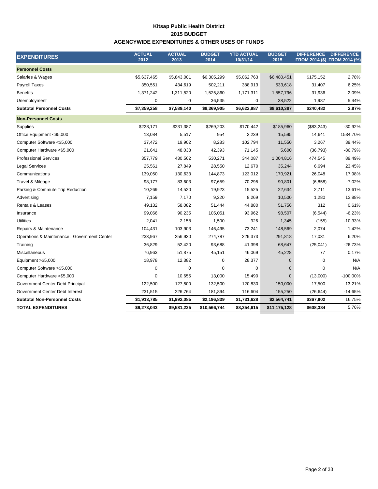### **Kitsap Public Health District AGENCYWIDE EXPENDITURES & OTHER USES OF FUNDS 2015 BUDGET**

<span id="page-3-0"></span>

| <b>EXPENDITURES</b>                         | <b>ACTUAL</b><br>2012 | <b>ACTUAL</b><br>2013 | <b>BUDGET</b><br>2014 | <b>YTD ACTUAL</b><br>10/31/14 | <b>BUDGET</b><br>2015 | <b>DIFFERENCE</b> | <b>DIFFERENCE</b><br>FROM 2014 (\$) FROM 2014 (%) |
|---------------------------------------------|-----------------------|-----------------------|-----------------------|-------------------------------|-----------------------|-------------------|---------------------------------------------------|
| <b>Personnel Costs</b>                      |                       |                       |                       |                               |                       |                   |                                                   |
| Salaries & Wages                            | \$5,637,465           | \$5,843,001           | \$6,305,299           | \$5,062,763                   | \$6,480,451           | \$175,152         | 2.78%                                             |
| <b>Payroll Taxes</b>                        | 350,551               | 434,619               | 502,211               | 388,913                       | 533,618               | 31,407            | 6.25%                                             |
| <b>Benefits</b>                             | 1,371,242             | 1,311,520             | 1,525,860             | 1,171,311                     | 1,557,796             | 31,936            | 2.09%                                             |
| Unemployment                                | 0                     | 0                     | 36,535                | 0                             | 38,522                | 1,987             | 5.44%                                             |
| <b>Subtotal Personnel Costs</b>             | \$7,359,258           | \$7,589,140           | \$8,369,905           | \$6,622,987                   | \$8,610,387           | \$240,482         | 2.87%                                             |
| <b>Non-Personnel Costs</b>                  |                       |                       |                       |                               |                       |                   |                                                   |
| Supplies                                    | \$228,171             | \$231,387             | \$269,203             | \$170,442                     | \$185,960             | (\$83,243)        | $-30.92%$                                         |
| Office Equipment <\$5,000                   | 13,084                | 5,517                 | 954                   | 2,239                         | 15,595                | 14,641            | 1534.70%                                          |
| Computer Software <\$5,000                  | 37,472                | 19,902                | 8,283                 | 102,794                       | 11,550                | 3,267             | 39.44%                                            |
| Computer Hardware <\$5,000                  | 21,641                | 48,038                | 42,393                | 71,145                        | 5,600                 | (36, 793)         | $-86.79%$                                         |
| <b>Professional Services</b>                | 357,779               | 430,562               | 530,271               | 344,087                       | 1,004,816             | 474,545           | 89.49%                                            |
| <b>Legal Services</b>                       | 25,561                | 27,849                | 28,550                | 12,670                        | 35,244                | 6,694             | 23.45%                                            |
| Communications                              | 139,050               | 130,633               | 144,873               | 123,012                       | 170,921               | 26,048            | 17.98%                                            |
| Travel & Mileage                            | 98,177                | 83,603                | 97,659                | 70,295                        | 90,801                | (6, 858)          | $-7.02%$                                          |
| Parking & Commute Trip Reduction            | 10,269                | 14,520                | 19,923                | 15,525                        | 22,634                | 2,711             | 13.61%                                            |
| Advertising                                 | 7,159                 | 7,170                 | 9,220                 | 8,269                         | 10,500                | 1,280             | 13.88%                                            |
| <b>Rentals &amp; Leases</b>                 | 49,132                | 58,082                | 51,444                | 44,880                        | 51,756                | 312               | 0.61%                                             |
| Insurance                                   | 99,066                | 90,235                | 105,051               | 93,962                        | 98,507                | (6, 544)          | $-6.23%$                                          |
| <b>Utilities</b>                            | 2,041                 | 2,158                 | 1,500                 | 926                           | 1,345                 | (155)             | $-10.33%$                                         |
| Repairs & Maintenance                       | 104,431               | 103,903               | 146,495               | 73,241                        | 148,569               | 2,074             | 1.42%                                             |
| Operations & Maintenance: Government Center | 233,967               | 256,930               | 274,787               | 229,373                       | 291,818               | 17,031            | 6.20%                                             |
| Training                                    | 36,829                | 52,420                | 93,688                | 41,398                        | 68,647                | (25, 041)         | $-26.73%$                                         |
| Miscellaneous                               | 76,963                | 51,875                | 45,151                | 46,069                        | 45,228                | 77                | 0.17%                                             |
| Equipment > \$5,000                         | 18,978                | 12,382                | $\mathbf 0$           | 28,377                        | $\mathbf{0}$          | $\mathbf 0$       | N/A                                               |
| Computer Software >\$5,000                  | $\mathbf 0$           | $\mathbf 0$           | $\Omega$              | 0                             | $\mathbf{0}$          | $\Omega$          | N/A                                               |
| Computer Hardware >\$5,000                  | $\mathbf 0$           | 10,655                | 13,000                | 15,490                        | $\mathbf 0$           | (13,000)          | $-100.00%$                                        |
| Government Center Debt Principal            | 122,500               | 127,500               | 132,500               | 120,830                       | 150,000               | 17,500            | 13.21%                                            |
| Government Center Debt Interest             | 231,515               | 226,764               | 181,894               | 116,604                       | 155,250               | (26, 644)         | $-14.65%$                                         |
| <b>Subtotal Non-Personnel Costs</b>         | \$1,913,785           | \$1,992,085           | \$2,196,839           | \$1,731,628                   | \$2,564,741           | \$367,902         | 16.75%                                            |
| <b>TOTAL EXPENDITURES</b>                   | \$9,273,043           | \$9,581,225           | \$10,566,744          | \$8,354,615                   | \$11,175,128          | \$608,384         | 5.76%                                             |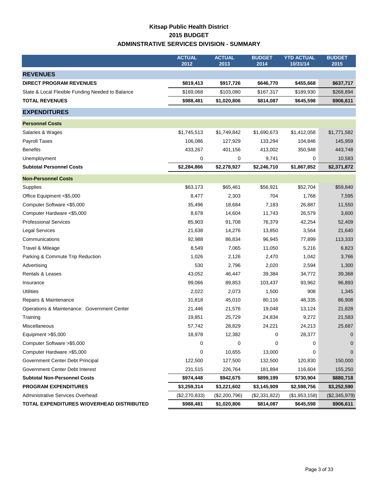## **Kitsap Public Health District 2015 BUDGET ADMINSTRATIVE SERVICES DIVISION - SUMMARY**

<span id="page-4-0"></span>

|                                                  | <b>ACTUAL</b><br>2012 | <b>ACTUAL</b><br>2013 | <b>BUDGET</b><br>2014 | <b>YTD ACTUAL</b><br>10/31/14 | <b>BUDGET</b><br>2015 |
|--------------------------------------------------|-----------------------|-----------------------|-----------------------|-------------------------------|-----------------------|
| <b>REVENUES</b>                                  |                       |                       |                       |                               |                       |
| <b>DIRECT PROGRAM REVENUES</b>                   | \$819,413             | \$917,726             | \$646,770             | \$455,668                     | \$637,717             |
| State & Local Flexible Funding Needed to Balance | \$169,068             | \$103,080             | \$167,317             | \$189,930                     | \$268,894             |
| <b>TOTAL REVENUES</b>                            | \$988,481             | \$1,020,806           | \$814,087             | \$645,598                     | \$906,611             |
| <b>EXPENDITURES</b>                              |                       |                       |                       |                               |                       |
| <b>Personnel Costs</b>                           |                       |                       |                       |                               |                       |
| Salaries & Wages                                 | \$1,745,513           | \$1,749,842           | \$1,690,673           | \$1,412,058                   | \$1,771,582           |
| Payroll Taxes                                    | 106,086               | 127,929               | 133,294               | 104,846                       | 145,959               |
| <b>Benefits</b>                                  | 433,267               | 401,156               | 413,002               | 350,948                       | 443,748               |
| Unemployment                                     | 0                     | 0                     | 9,741                 | 0                             | 10,583                |
| <b>Subtotal Personnel Costs</b>                  | \$2,284,866           | \$2,278,927           | \$2,246,710           | \$1,867,852                   | \$2,371,872           |
| <b>Non-Personnel Costs</b>                       |                       |                       |                       |                               |                       |
| Supplies                                         | \$63,173              | \$65,461              | \$56,921              | \$52,704                      | \$59,840              |
| Office Equipment <\$5,000                        | 8,477                 | 2,303                 | 704                   | 1,768                         | 7,595                 |
| Computer Software <\$5,000                       | 35,496                | 18,684                | 7,183                 | 26,887                        | 11,550                |
| Computer Hardware <\$5,000                       | 8,678                 | 14,604                | 11,743                | 26,579                        | 3,600                 |
| <b>Professional Services</b>                     | 85,903                | 91,708                | 76,379                | 42,254                        | 52,409                |
| <b>Legal Services</b>                            | 21,638                | 14,276                | 13,850                | 3,564                         | 21,640                |
| Communications                                   | 92,988                | 86,834                | 96,945                | 77,899                        | 113,333               |
| Travel & Mileage                                 | 8,549                 | 7,065                 | 11,050                | 5,216                         | 6,823                 |
| Parking & Commute Trip Reduction                 | 1,026                 | 2,126                 | 2,470                 | 1,042                         | 3,766                 |
| Advertising                                      | 530                   | 2,796                 | 2,020                 | 2,594                         | 1,300                 |
| <b>Rentals &amp; Leases</b>                      | 43,052                | 46,447                | 39,384                | 34,772                        | 39,368                |
| Insurance                                        | 99,066                | 89,853                | 103,437               | 93,962                        | 96,893                |
| <b>Utilities</b>                                 | 2,022                 | 2,073                 | 1,500                 | 908                           | 1,345                 |
| Repairs & Maintenance                            | 31,818                | 45,010                | 80,116                | 48,335                        | 86,908                |
| Operations & Maintenance: Government Center      | 21,446                | 21,576                | 19,048                | 13,124                        | 21,828                |
| Training                                         | 19,851                | 25,729                | 24,834                | 9,272                         | 21,583                |
| Miscellaneous                                    | 57,742                | 28,829                | 24,221                | 24,213                        | 25,687                |
| Equipment > \$5,000                              | 18,978                | 12,382                | 0                     | 28,377                        | 0                     |
| Computer Software > \$5,000                      | 0                     | 0                     | 0                     | 0                             |                       |
| Computer Hardware > \$5,000                      | 0                     | 10,655                | 13,000                | 0                             | 0                     |
| Government Center Debt Principal                 | 122,500               | 127,500               | 132,500               | 120,830                       | 150,000               |
| Government Center Debt Interest                  | 231,515               | 226,764               | 181,894               | 116,604                       | 155,250               |
| <b>Subtotal Non-Personnel Costs</b>              | \$974,448             | \$942,675             | \$899,199             | \$730,904                     | \$880,718             |
| <b>PROGRAM EXPENDITURES</b>                      | \$3,259,314           | \$3,221,602           | \$3,145,909           | \$2,598,756                   | \$3,252,590           |
| Administrative Services Overhead                 | (\$2,270,833)         | (\$2,200,796)         | (\$2,331,822)         | (\$1,953,158)                 | (\$2,345,979)         |
| TOTAL EXPENDITURES W/OVERHEAD DISTRIBUTED        | \$988,481             | \$1,020,806           | \$814,087             | \$645,598                     | \$906,611             |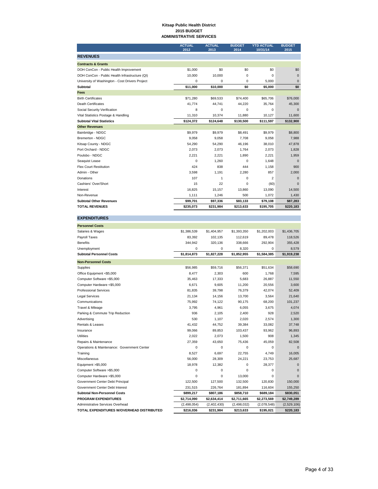#### **Kitsap Public Health District 2015 BUDGET ADMINISTRATIVE SERVICES**

<span id="page-5-0"></span>

|                                                 | <b>ACTUAL</b><br>2012 | <b>ACTUAL</b><br>2013 | <b>BUDGET</b><br>2014 | <b>YTD ACTUAL</b><br>10/31/14 | <b>BUDGET</b><br>2015 |
|-------------------------------------------------|-----------------------|-----------------------|-----------------------|-------------------------------|-----------------------|
| <b>REVENUES</b>                                 |                       |                       |                       |                               |                       |
| <b>Contracts &amp; Grants</b>                   |                       |                       |                       |                               |                       |
| DOH ConCon - Public Health Improvement          | \$1,000               | \$0                   | \$0                   | \$0                           | \$0                   |
| DOH ConCon - Public Health Infrastructure (QI)  | 10,000                | 10,000                | 0                     | $\Omega$                      | $\mathbf 0$           |
| University of Washington - Cost Drivers Project | $\Omega$              | $\mathbf 0$           | 0                     | 5,000                         | $\Omega$              |
| Subtotal                                        | \$11,000              | \$10,000              | \$0                   | \$5,000                       | \$0                   |
| <b>Fees</b>                                     |                       |                       |                       |                               |                       |
| <b>Birth Certificates</b>                       | \$71,280              | \$69,533              | \$74,400              | \$65,706                      | \$76,000              |
| <b>Death Certificates</b>                       | 41,774                | 44,741                | 44,220                | 35,764                        | 45,300                |
| Social Security Verification                    | 8                     | 0                     | 0                     | 0                             | $\mathbf 0$           |
| Vital Statistics Postage & Handling             | 11,310                | 10,374                | 11,880                | 10,127                        | 11,600                |
| <b>Subtotal Vital Statistics</b>                | \$124,372             | \$124,648             | \$130,500             | \$111,597                     | \$132,900             |
| <b>Other Revenues</b>                           |                       |                       |                       |                               |                       |
| Bainbridge - NDGC                               | \$9,979               | \$9,979               | \$8,491               | \$9,979                       | \$8,800               |
| Bremerton - NDGC                                | 9.058                 | 9.058                 | 7.708                 | 9.058                         | 7.988                 |
| Kitsap County - NDGC                            | 54,290                | 54,290                | 46,196                | 38,010                        | 47,878                |
| Port Orchard - NDGC                             | 2.073                 | 2.073                 | 1.764                 | 2.073                         | 1,828                 |
| Poulsbo - NDGC                                  | 2,221                 | 2,221                 | 1,890                 | 2,221                         | 1,959                 |
| Seaguist Lease                                  | 0                     | 1.260                 | 0                     | 1.648                         | $\Omega$              |
| <b>Flex Court Restitution</b>                   | 424                   | 838                   | 444                   | 1,158                         | 900                   |
| Admin - Other                                   | 3,598                 | 1,191                 | 2,280                 | 857                           | 2,000                 |
| Donations                                       | 107                   | 1                     | 0                     | 2                             | $\mathbf{0}$          |
| Cashiers' Over/Short                            | 15                    | 22                    | $\Omega$              | (60)                          | $\Omega$              |
| Interest                                        | 16,825                | 15,157                | 13,860                | 13,090                        | 14,500                |
| Non-Revenue                                     | 1,111                 | 1,246                 | 500                   | 1,072                         | 1,430                 |
| <b>Subtotal Other Revenues</b>                  | \$99,701              | \$97,336              | \$83,133              | \$79,108                      | \$87,283              |
| <b>TOTAL REVENUES</b>                           | \$235,073             | \$231,984             | \$213,633             | \$195,705                     | \$220,183             |

| TOTAL EXPENDITURES W/OVERHEAD DISTRIBUTED   | \$216,036   | \$231,984   | \$213,633   | \$195,021   | \$220,183    |
|---------------------------------------------|-------------|-------------|-------------|-------------|--------------|
| Administrative Services Overhead            | (2,498,054) | (2,402,430) | (2,498,032) | (2,078,548) | (2,529,106)  |
| <b>PROGRAM EXPENDITURES</b>                 | \$2,714,090 | \$2,634,414 | \$2,711,665 | \$2,273,569 | \$2,749,289  |
| <b>Subtotal Non-Personnel Costs</b>         | \$899,217   | \$807,186   | \$858,710   | \$689,184   | \$830,051    |
| Government Center Debt Interest             | 231,515     | 226.764     | 181,894     | 116.604     | 155,250      |
| Government Center Debt Principal            | 122.500     | 127.500     | 132,500     | 120.830     | 150,000      |
| Computer Hardware >\$5,000                  | $\Omega$    | $\mathbf 0$ | 13,000      | $\Omega$    | $\Omega$     |
| Computer Software >\$5,000                  | $\mathbf 0$ | $\mathbf 0$ | 0           | 0           | $\mathbf 0$  |
| Equipment >\$5,000                          | 18,978      | 12,382      | $\Omega$    | 28,377      | $\mathbf{0}$ |
| Miscellaneous                               | 56,000      | 28,309      | 24,221      | 23,753      | 25,687       |
| Training                                    | 8.527       | 6,697       | 22.755      | 4.749       | 16.005       |
| Operations & Maintenance: Government Center | 0           | $\mathbf 0$ | 0           | 0           | $\Omega$     |
| Repairs & Maintenance                       | 27,359      | 43,650      | 75,436      | 45,059      | 82,508       |
| Utilities                                   | 2,022       | 2,073       | 1,500       | 908         | 1,345        |
| Insurance                                   | 99,066      | 89,853      | 103,437     | 93,962      | 96,893       |
| Rentals & Leases                            | 41.432      | 44.752      | 39,384      | 33,082      | 37,748       |
| Advertising                                 | 530         | 1,107       | 2,020       | 2,574       | 1,300        |
| Parking & Commute Trip Reduction            | 936         | 2,105       | 2,400       | 928         | 2,520        |
| Travel & Mileage                            | 3,795       | 4,961       | 6,055       | 3,675       | 4,074        |
| Communications                              | 75,992      | 74,122      | 90,175      | 68,200      | 101,237      |
| <b>Legal Services</b>                       | 21,134      | 14,156      | 13,700      | 3,564       | 21,640       |
| <b>Professional Services</b>                | 81.835      | 39.798      | 76.379      | 42.074      | 52.409       |
| Computer Hardware <\$5,000                  | 6,671       | 9,605       | 11,200      | 20,556      | 3,600        |
| Computer Software <\$5,000                  | 35,463      | 17,333      | 5,683       | 26,887      | 11,550       |
| Office Equipment <\$5,000                   | 8,477       | 2,303       | 600         | 1,768       | 7,595        |
| Supplies                                    | \$56.985    | \$59.716    | \$56.371    | \$51,634    | \$58,690     |
| <b>Non-Personnel Costs</b>                  |             |             |             |             |              |
| <b>Subtotal Personnel Costs</b>             | \$1,814,873 | \$1,827,228 | \$1,852,955 | \$1,584,385 | \$1,919,238  |
| Unemployment                                | 0           | $\mathbf 0$ | 8,320       | 0           | 8,579        |
| <b>Benefits</b>                             | 344,942     | 320,136     | 338,666     | 292,904     | 355,428      |
| Payroll Taxes                               | 83,392      | 102,135     | 112,619     | 89,478      | 118,526      |
| Salaries & Wages                            | \$1,386,539 | \$1,404,957 | \$1,393,350 | \$1,202,003 | \$1,436,705  |
| <b>Personnel Costs</b>                      |             |             |             |             |              |
| <b>EXPENDITURES</b>                         |             |             |             |             |              |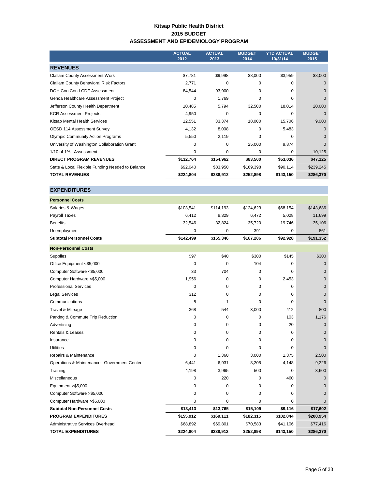#### **Kitsap Public Health District 2015 BUDGET ASSESSMENT AND EPIDEMIOLOGY PROGRAM**

<span id="page-6-0"></span>

|                                                  | <b>ACTUAL</b><br>2012 | <b>ACTUAL</b><br>2013 | <b>BUDGET</b><br>2014 | <b>YTD ACTUAL</b><br>10/31/14 | <b>BUDGET</b><br>2015 |
|--------------------------------------------------|-----------------------|-----------------------|-----------------------|-------------------------------|-----------------------|
| <b>REVENUES</b>                                  |                       |                       |                       |                               |                       |
| <b>Clallam County Assessment Work</b>            | \$7,781               | \$9,998               | \$8,000               | \$3,959                       | \$8,000               |
| Clallam County Behavioral Risk Factors           | 2,771                 | 0                     | 0                     | $\Omega$                      | $\Omega$              |
| DOH Con Con LCDF Assessment                      | 84,544                | 93,900                | $\mathbf 0$           | $\Omega$                      | $\Omega$              |
| Genoa Healthcare Assessment Project              | 0                     | 1,769                 | $\Omega$              | $\Omega$                      | $\Omega$              |
| Jefferson County Health Department               | 10,485                | 5,794                 | 32,500                | 18,014                        | 20,000                |
| <b>KCR Assessment Projects</b>                   | 4,950                 | $\Omega$              | 0                     | $\Omega$                      | $\Omega$              |
| Kitsap Mental Health Services                    | 12,551                | 33,374                | 18,000                | 15,706                        | 9,000                 |
| <b>OESD 114 Assessment Survey</b>                | 4,132                 | 8,008                 | $\mathbf 0$           | 5,483                         | $\Omega$              |
| <b>Olympic Community Action Programs</b>         | 5,550                 | 2,119                 | $\Omega$              | $\Omega$                      | $\Omega$              |
| University of Washington Collaboration Grant     | 0                     | $\Omega$              | 25,000                | 9,874                         | $\Omega$              |
| 1/10 of 1%: Assessment                           | 0                     | 0                     | 0                     | 0                             | 10,125                |
| <b>DIRECT PROGRAM REVENUES</b>                   | \$132,764             | \$154,962             | \$83,500              | \$53,036                      | \$47,125              |
| State & Local Flexible Funding Needed to Balance | \$92,040              | \$83,950              | \$169,398             | \$90,114                      | \$239,245             |
| <b>TOTAL REVENUES</b>                            | \$224,804             | \$238,912             | \$252,898             | \$143,150                     | \$286,370             |

| <b>Personnel Costs</b>                      |             |              |           |             |                |
|---------------------------------------------|-------------|--------------|-----------|-------------|----------------|
| Salaries & Wages                            | \$103,541   | \$114,193    | \$124,623 | \$68,154    | \$143,686      |
| Payroll Taxes                               | 6,412       | 8,329        | 6,472     | 5,028       | 11,699         |
| <b>Benefits</b>                             | 32,546      | 32,824       | 35,720    | 19,746      | 35,106         |
| Unemployment                                | $\Omega$    | 0            | 391       | 0           | 861            |
| <b>Subtotal Personnel Costs</b>             | \$142,499   | \$155,346    | \$167,206 | \$92,928    | \$191,352      |
| <b>Non-Personnel Costs</b>                  |             |              |           |             |                |
| Supplies                                    | \$97        | \$40         | \$300     | \$145       | \$300          |
| Office Equipment <\$5,000                   | $\mathbf 0$ | 0            | 104       | 0           | 0              |
| Computer Software <\$5,000                  | 33          | 704          | 0         | 0           | 0              |
| Computer Hardware <\$5,000                  | 1,956       | 0            | 0         | 2,453       | $\mathbf{0}$   |
| <b>Professional Services</b>                | $\mathbf 0$ | 0            | 0         | 0           | $\mathbf 0$    |
| <b>Legal Services</b>                       | 312         | 0            | 0         | 0           | $\mathbf{0}$   |
| Communications                              | 8           | $\mathbf{1}$ | 0         | 0           | $\mathbf{0}$   |
| Travel & Mileage                            | 368         | 544          | 3,000     | 412         | 800            |
| Parking & Commute Trip Reduction            | $\mathbf 0$ | 0            | 0         | 103         | 1,176          |
| Advertising                                 | $\mathbf 0$ | 0            | 0         | 20          | $\mathbf 0$    |
| <b>Rentals &amp; Leases</b>                 | $\mathbf 0$ | 0            | 0         | $\Omega$    | $\mathbf 0$    |
| Insurance                                   | 0           | $\Omega$     | 0         | $\Omega$    | $\Omega$       |
| <b>Utilities</b>                            | $\mathbf 0$ | 0            | 0         | $\Omega$    | $\overline{0}$ |
| Repairs & Maintenance                       | $\mathbf 0$ | 1,360        | 3,000     | 1,375       | 2,500          |
| Operations & Maintenance: Government Center | 6,441       | 6,931        | 8,205     | 4,148       | 9,226          |
| Training                                    | 4,198       | 3,965        | 500       | $\Omega$    | 3,600          |
| Miscellaneous                               | 0           | 220          | 0         | 460         | $\mathbf 0$    |
| Equipment >\$5,000                          | $\mathbf 0$ | 0            | 0         | 0           | $\overline{0}$ |
| Computer Software >\$5,000                  | $\mathbf 0$ | 0            | 0         | 0           | $\mathbf 0$    |
| Computer Hardware > \$5,000                 | $\mathbf 0$ | 0            | 0         | $\mathbf 0$ | $\mathbf 0$    |
| <b>Subtotal Non-Personnel Costs</b>         | \$13,413    | \$13,765     | \$15,109  | \$9,116     | \$17,602       |
| <b>PROGRAM EXPENDITURES</b>                 | \$155,912   | \$169,111    | \$182,315 | \$102,044   | \$208,954      |
| <b>Administrative Services Overhead</b>     | \$68,892    | \$69,801     | \$70,583  | \$41,106    | \$77,416       |
| <b>TOTAL EXPENDITURES</b>                   | \$224,804   | \$238,912    | \$252,898 | \$143,150   | \$286,370      |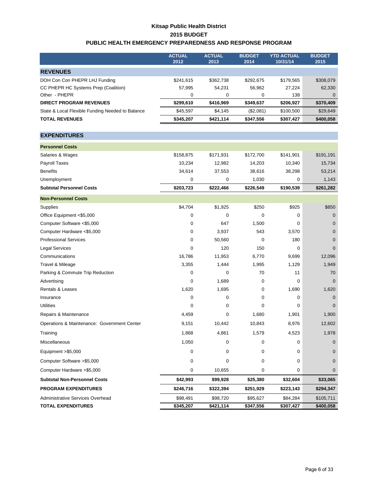### **Kitsap Public Health District 2015 BUDGET PUBLIC HEALTH EMERGENCY PREPAREDNESS AND RESPONSE PROGRAM**

<span id="page-7-0"></span>

|                                                  | <b>ACTUAL</b> | <b>ACTUAL</b> | <b>BUDGET</b> | <b>YTD ACTUAL</b> | <b>BUDGET</b>  |
|--------------------------------------------------|---------------|---------------|---------------|-------------------|----------------|
|                                                  | 2012          | 2013          | 2014          | 10/31/14          | 2015           |
| <b>REVENUES</b>                                  |               |               |               |                   |                |
| DOH Con Con PHEPR LHJ Funding                    | \$241,615     | \$362,738     | \$292,675     | \$179,565         | \$308,079      |
| CC PHEPR HC Systems Prep (Coalition)             | 57,995        | 54,231        | 56,962        | 27,224            | 62,330         |
| Other - PHEPR                                    | 0             | 0             | 0             | 138               | $\mathbf 0$    |
| <b>DIRECT PROGRAM REVENUES</b>                   | \$299,610     | \$416,969     | \$349,637     | \$206,927         | \$370,409      |
| State & Local Flexible Funding Needed to Balance | \$45,597      | \$4,145       | (\$2,081)     | \$100,500         | \$29,649       |
| <b>TOTAL REVENUES</b>                            | \$345,207     | \$421,114     | \$347,556     | \$307,427         | \$400,058      |
| <b>EXPENDITURES</b>                              |               |               |               |                   |                |
| <b>Personnel Costs</b>                           |               |               |               |                   |                |
| Salaries & Wages                                 | \$158,875     | \$171,931     | \$172,700     | \$141,901         | \$191,191      |
| Payroll Taxes                                    | 10,234        | 12,982        | 14,203        | 10,340            | 15,734         |
| <b>Benefits</b>                                  | 34,614        | 37,553        | 38,616        | 38,298            | 53,214         |
| Unemployment                                     | 0             | 0             | 1,030         | 0                 | 1,143          |
| <b>Subtotal Personnel Costs</b>                  | \$203,723     | \$222,466     | \$226,549     | \$190,539         | \$261,282      |
| <b>Non-Personnel Costs</b>                       |               |               |               |                   |                |
| Supplies                                         | \$4,704       | \$1,925       | \$250         | \$925             | \$850          |
| Office Equipment <\$5,000                        | 0             | 0             | 0             | 0                 | $\mathbf 0$    |
| Computer Software <\$5,000                       | 0             | 647           | 1,500         | 0                 | $\mathbf 0$    |
| Computer Hardware <\$5,000                       | 0             | 3,937         | 543           | 3,570             | $\mathbf 0$    |
| <b>Professional Services</b>                     | 0             | 50,560        | 0             | 180               | $\mathbf 0$    |
| Legal Services                                   | 0             | 120           | 150           | 0                 | $\overline{0}$ |
| Communications                                   | 16,786        | 11,953        | 6,770         | 9,699             | 12,096         |
| Travel & Mileage                                 | 3,355         | 1,444         | 1,995         | 1,129             | 1,949          |
| Parking & Commute Trip Reduction                 | 0             | 0             | 70            | 11                | 70             |
| Advertising                                      | 0             | 1,689         | 0             | 0                 | $\mathbf 0$    |
| Rentals & Leases                                 | 1,620         | 1,695         | 0             | 1,690             | 1,620          |
| Insurance                                        | 0             | 0             | 0             | 0                 | $\mathbf 0$    |
| <b>Utilities</b>                                 | 0             | 0             | 0             | 0                 | $\Omega$       |
| Repairs & Maintenance                            | 4,459         | 0             | 1,680         | 1,901             | 1,900          |
| Operations & Maintenance: Government Center      | 9,151         | 10,442        | 10,843        | 8,976             | 12,602         |
| Training                                         | 1,868         | 4,861         | 1,579         | 4,523             | 1,978          |
| Miscellaneous                                    | 1,050         | 0             | 0             | 0                 | 0              |
| Equipment >\$5,000                               | 0             | 0             | 0             | 0                 | $\mathbf{0}$   |
| Computer Software > \$5,000                      | 0             | 0             | 0             | 0                 | $\mathbf 0$    |
| Computer Hardware > \$5,000                      | 0             | 10,655        | 0             | 0                 | 0              |
| <b>Subtotal Non-Personnel Costs</b>              | \$42,993      | \$99,928      | \$25,380      | \$32,604          | \$33,065       |
| <b>PROGRAM EXPENDITURES</b>                      | \$246,716     | \$322,394     | \$251,929     | \$223,143         | \$294,347      |
| Administrative Services Overhead                 | \$98,491      | \$98,720      | \$95,627      | \$84,284          | \$105,711      |
| <b>TOTAL EXPENDITURES</b>                        | \$345,207     | \$421,114     | \$347,556     | \$307,427         | \$400,058      |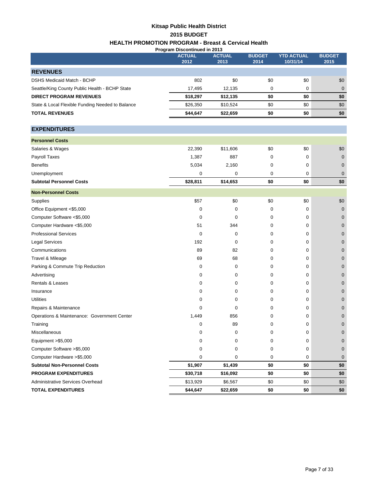## **Kitsap Public Health District HEALTH PROMOTION PROGRAM - Breast & Cervical Health 2015 BUDGET**

<span id="page-8-0"></span>

| Program Discontinued in 2013                     |                       |                       |                       |                               |                       |  |
|--------------------------------------------------|-----------------------|-----------------------|-----------------------|-------------------------------|-----------------------|--|
|                                                  | <b>ACTUAL</b><br>2012 | <b>ACTUAL</b><br>2013 | <b>BUDGET</b><br>2014 | <b>YTD ACTUAL</b><br>10/31/14 | <b>BUDGET</b><br>2015 |  |
|                                                  |                       |                       |                       |                               |                       |  |
| <b>REVENUES</b>                                  |                       |                       |                       |                               |                       |  |
| <b>DSHS Medicaid Match - BCHP</b>                | 802                   | \$0                   | \$0                   | \$0                           | \$0                   |  |
| Seattle/King County Public Health - BCHP State   | 17,495                | 12,135                | 0                     | 0                             | $\mathbf 0$           |  |
| <b>DIRECT PROGRAM REVENUES</b>                   | \$18,297              | \$12,135              | \$0                   | \$0                           | \$0                   |  |
| State & Local Flexible Funding Needed to Balance | \$26,350              | \$10,524              | \$0                   | \$0                           | \$0                   |  |
| <b>TOTAL REVENUES</b>                            | \$44,647              | \$22,659              | \$0                   | \$0                           | \$0                   |  |
| <b>EXPENDITURES</b>                              |                       |                       |                       |                               |                       |  |
| <b>Personnel Costs</b>                           |                       |                       |                       |                               |                       |  |
| Salaries & Wages                                 | 22,390                | \$11,606              | \$0                   | \$0                           | \$0                   |  |
| <b>Payroll Taxes</b>                             | 1,387                 | 887                   | 0                     | 0                             | $\mathbf{0}$          |  |
| <b>Benefits</b>                                  | 5,034                 | 2,160                 | 0                     | 0                             | $\mathbf 0$           |  |
| Unemployment                                     | 0                     | 0                     | 0                     | 0                             | $\mathbf 0$           |  |
| <b>Subtotal Personnel Costs</b>                  | \$28,811              | \$14,653              | \$0                   | \$0                           | \$0                   |  |
| <b>Non-Personnel Costs</b>                       |                       |                       |                       |                               |                       |  |
| Supplies                                         | \$57                  | \$0                   | \$0                   | \$0                           | \$0                   |  |
| Office Equipment <\$5,000                        | $\mathbf 0$           | 0                     | $\mathbf 0$           | 0                             | $\mathbf 0$           |  |
| Computer Software <\$5,000                       | 0                     | 0                     | 0                     | 0                             | $\mathbf 0$           |  |
| Computer Hardware <\$5,000                       | 51                    | 344                   | 0                     | 0                             | $\mathbf 0$           |  |
| <b>Professional Services</b>                     | $\mathbf 0$           | 0                     | 0                     | 0                             | $\mathbf 0$           |  |
| <b>Legal Services</b>                            | 192                   | 0                     | 0                     | 0                             | $\mathbf{0}$          |  |
| Communications                                   | 89                    | 82                    | 0                     | 0                             | $\mathbf 0$           |  |
| Travel & Mileage                                 | 69                    | 68                    | 0                     | 0                             | $\mathbf 0$           |  |
| Parking & Commute Trip Reduction                 | 0                     | 0                     | 0                     | 0                             | $\mathbf 0$           |  |
| Advertising                                      | 0                     | 0                     | 0                     | 0                             | $\mathbf 0$           |  |
| Rentals & Leases                                 | 0                     | 0                     | 0                     | 0                             | $\mathbf 0$           |  |
| Insurance                                        | 0                     | 0                     | 0                     | 0                             | $\mathbf 0$           |  |
| <b>Utilities</b>                                 | $\mathbf 0$           | 0                     | 0                     | 0                             | $\mathbf 0$           |  |
| Repairs & Maintenance                            | 0                     | 0                     | 0                     | 0                             | $\mathbf 0$           |  |
| Operations & Maintenance: Government Center      | 1,449                 | 856                   | 0                     | 0                             | $\mathbf 0$           |  |
| Training                                         | 0                     | 89                    | 0                     | 0                             | $\mathbf{0}$          |  |
| Miscellaneous                                    | 0                     | 0                     | 0                     | 0                             | $\mathbf 0$           |  |
| Equipment > \$5,000                              | 0                     | 0                     | 0                     | 0                             | $\mathbf 0$           |  |
| Computer Software > \$5,000                      | 0                     | 0                     | 0                     | 0                             | $\mathbf 0$           |  |
| Computer Hardware > \$5,000                      | 0                     | 0                     | 0                     | 0                             | $\mathbf 0$           |  |
| <b>Subtotal Non-Personnel Costs</b>              | \$1,907               | \$1,439               | \$0                   | \$0                           | \$0                   |  |
| <b>PROGRAM EXPENDITURES</b>                      | \$30,718              | \$16,092              | \$0                   | \$0                           | \$0                   |  |
| Administrative Services Overhead                 | \$13,929              | \$6,567               | \$0                   | \$0                           | \$0                   |  |
| <b>TOTAL EXPENDITURES</b>                        | \$44,647              | \$22,659              | \$0                   | \$0                           | \$0                   |  |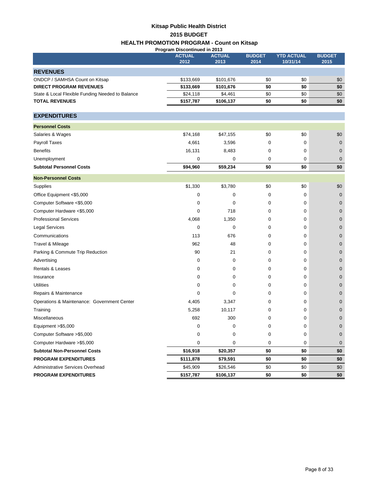## **Kitsap Public Health District 2015 BUDGET HEALTH PROMOTION PROGRAM - Count on Kitsap**

<span id="page-9-0"></span>

|                                                  | Program Discontinued in 2013 |                       |                       |                               |                       |
|--------------------------------------------------|------------------------------|-----------------------|-----------------------|-------------------------------|-----------------------|
|                                                  | <b>ACTUAL</b><br>2012        | <b>ACTUAL</b><br>2013 | <b>BUDGET</b><br>2014 | <b>YTD ACTUAL</b><br>10/31/14 | <b>BUDGET</b><br>2015 |
| <b>REVENUES</b>                                  |                              |                       |                       |                               |                       |
| ONDCP / SAMHSA Count on Kitsap                   | \$133,669                    | \$101,676             | \$0                   | \$0                           | \$0                   |
| <b>DIRECT PROGRAM REVENUES</b>                   | \$133,669                    | \$101,676             | \$0                   | \$0                           | \$0                   |
| State & Local Flexible Funding Needed to Balance | \$24,118                     | \$4,461               | \$0                   | \$0                           | \$0                   |
| <b>TOTAL REVENUES</b>                            | \$157,787                    | \$106,137             | \$0                   | \$0                           | \$0                   |
| <b>EXPENDITURES</b>                              |                              |                       |                       |                               |                       |
| <b>Personnel Costs</b>                           |                              |                       |                       |                               |                       |
| Salaries & Wages                                 | \$74,168                     | \$47,155              | \$0                   | \$0                           | \$0                   |
| Payroll Taxes                                    | 4,661                        | 3,596                 | 0                     | 0                             | $\mathbf 0$           |
| <b>Benefits</b>                                  | 16,131                       | 8,483                 | 0                     | 0                             | $\mathbf 0$           |
| Unemployment                                     | 0                            | 0                     | 0                     | 0                             | $\mathbf 0$           |
| <b>Subtotal Personnel Costs</b>                  | \$94,960                     | \$59,234              | \$0                   | \$0                           | \$0                   |
| <b>Non-Personnel Costs</b>                       |                              |                       |                       |                               |                       |
| Supplies                                         | \$1,330                      | \$3,780               | \$0                   | \$0                           | \$0                   |
| Office Equipment <\$5,000                        | 0                            | 0                     | 0                     | 0                             | $\mathbf 0$           |
| Computer Software <\$5,000                       | 0                            | 0                     | 0                     | 0                             | $\mathbf 0$           |
| Computer Hardware <\$5,000                       | 0                            | 718                   | 0                     | 0                             | $\mathbf 0$           |
| <b>Professional Services</b>                     | 4,068                        | 1,350                 | 0                     | 0                             | $\mathbf 0$           |
| <b>Legal Services</b>                            | 0                            | 0                     | 0                     | 0                             | $\mathbf 0$           |
| Communications                                   | 113                          | 676                   | 0                     | 0                             | $\mathbf 0$           |
| Travel & Mileage                                 | 962                          | 48                    | 0                     | 0                             | $\mathbf 0$           |
| Parking & Commute Trip Reduction                 | 90                           | 21                    | 0                     | 0                             | $\mathbf 0$           |
| Advertising                                      | 0                            | 0                     | 0                     | 0                             | $\mathbf{0}$          |
| Rentals & Leases                                 | 0                            | 0                     | 0                     | 0                             | $\mathbf 0$           |
| Insurance                                        | 0                            | 0                     | 0                     | 0                             | 0                     |
| <b>Utilities</b>                                 | 0                            | 0                     | 0                     | 0                             | $\mathbf 0$           |
| Repairs & Maintenance                            | 0                            | 0                     | 0                     | 0                             | $\mathbf 0$           |
| Operations & Maintenance: Government Center      | 4,405                        | 3,347                 | 0                     | 0                             | $\mathbf{0}$          |
| Training                                         | 5,258                        | 10,117                | 0                     | 0                             | $\mathbf 0$           |
| Miscellaneous                                    | 692                          | 300                   | 0                     | 0                             | $\mathbf 0$           |
| Equipment >\$5,000                               | $\mathsf{U}$                 | U                     | U                     | U                             | $\mathbf 0$           |
| Computer Software > \$5,000                      | 0                            | 0                     | 0                     | 0                             | $\mathbf 0$           |
| Computer Hardware > \$5,000                      | 0                            | 0                     | 0                     | 0                             | $\mathbf 0$           |
| <b>Subtotal Non-Personnel Costs</b>              | \$16,918                     | \$20,357              | \$0                   | \$0                           | \$0                   |
| <b>PROGRAM EXPENDITURES</b>                      | \$111,878                    | \$79,591              | \$0                   | \$0                           | \$0                   |
| Administrative Services Overhead                 | \$45,909                     | \$26,546              | \$0                   | \$0                           | \$0                   |
| <b>PROGRAM EXPENDITURES</b>                      | \$157,787                    | \$106,137             | \$0                   | \$0                           | \$0                   |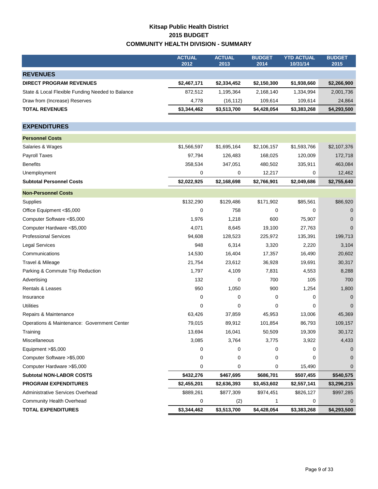## **Kitsap Public Health District 2015 BUDGET COMMUNITY HEALTH DIVISION - SUMMARY**

<span id="page-10-0"></span>

|                                                  | <b>ACTUAL</b><br>2012 | <b>ACTUAL</b><br>2013 | <b>BUDGET</b><br>2014 | <b>YTD ACTUAL</b><br>10/31/14 | <b>BUDGET</b><br>2015 |
|--------------------------------------------------|-----------------------|-----------------------|-----------------------|-------------------------------|-----------------------|
| <b>REVENUES</b>                                  |                       |                       |                       |                               |                       |
| <b>DIRECT PROGRAM REVENUES</b>                   | \$2,467,171           | \$2,334,452           | \$2,150,300           | \$1,938,660                   | \$2,266,900           |
| State & Local Flexible Funding Needed to Balance | 872,512               | 1,195,364             | 2,168,140             | 1,334,994                     | 2,001,736             |
| Draw from (Increase) Reserves                    | 4,778                 | (16, 112)             | 109,614               | 109,614                       | 24,864                |
| <b>TOTAL REVENUES</b>                            | \$3,344,462           | \$3,513,700           | \$4,428,054           | \$3,383,268                   | \$4,293,500           |
|                                                  |                       |                       |                       |                               |                       |
| <b>EXPENDITURES</b>                              |                       |                       |                       |                               |                       |
| <b>Personnel Costs</b>                           |                       |                       |                       |                               |                       |
| Salaries & Wages                                 | \$1,566,597           | \$1,695,164           | \$2,106,157           | \$1,593,766                   | \$2,107,376           |
| Payroll Taxes                                    | 97,794                | 126,483               | 168,025               | 120,009                       | 172,718               |
| <b>Benefits</b>                                  | 358,534               | 347,051               | 480,502               | 335,911                       | 463,084               |
| Unemployment                                     | 0                     | 0                     | 12,217                | 0                             | 12,462                |
| <b>Subtotal Personnel Costs</b>                  | \$2,022,925           | \$2,168,698           | \$2,766,901           | \$2,049,686                   | \$2,755,640           |
| <b>Non-Personnel Costs</b>                       |                       |                       |                       |                               |                       |
| Supplies                                         | \$132,290             | \$129,486             | \$171,902             | \$85,561                      | \$86,920              |
| Office Equipment <\$5,000                        | 0                     | 758                   | 0                     | 0                             | $\mathbf 0$           |
| Computer Software <\$5,000                       | 1,976                 | 1,218                 | 600                   | 75,907                        | $\mathbf 0$           |
| Computer Hardware <\$5,000                       | 4,071                 | 8,645                 | 19,100                | 27,763                        | $\Omega$              |
| <b>Professional Services</b>                     | 94,608                | 128,523               | 225,972               | 135,391                       | 199,713               |
| <b>Legal Services</b>                            | 948                   | 6,314                 | 3,320                 | 2,220                         | 3,104                 |
| Communications                                   | 14,530                | 16,404                | 17,357                | 16,490                        | 20,602                |
| Travel & Mileage                                 | 21,754                | 23,612                | 36,928                | 19,691                        | 30,317                |
| Parking & Commute Trip Reduction                 | 1,797                 | 4,109                 | 7,831                 | 4,553                         | 8,288                 |
| Advertising                                      | 132                   | 0                     | 700                   | 105                           | 700                   |
| Rentals & Leases                                 | 950                   | 1,050                 | 900                   | 1,254                         | 1,800                 |
| Insurance                                        | 0                     | 0                     | 0                     | 0                             | $\mathbf 0$           |
| <b>Utilities</b>                                 | 0                     | 0                     | 0                     | 0                             | $\Omega$              |
| Repairs & Maintenance                            | 63,426                | 37,859                | 45,953                | 13,006                        | 45,369                |
| Operations & Maintenance: Government Center      | 79,015                | 89,912                | 101,854               | 86,793                        | 109,157               |
| Training                                         | 13,694                | 16,041                | 50,509                | 19,309                        | 30,172                |
| Miscellaneous                                    | 3,085                 | 3,764                 | 3,775                 | 3,922                         | 4,433                 |
| Equipment >\$5,000                               | 0                     | 0                     | 0                     | 0                             | $\Omega$              |
| Computer Software > \$5,000                      | 0                     | 0                     | 0                     | 0                             | $\mathbf 0$           |
| Computer Hardware > \$5,000                      | 0                     | 0                     | 0                     | 15,490                        | 0                     |
| <b>Subtotal NON-LABOR COSTS</b>                  | \$432,276             | \$467,695             | \$686,701             | \$507,455                     | \$540,575             |
| <b>PROGRAM EXPENDITURES</b>                      | \$2,455,201           | \$2,636,393           | \$3,453,602           | \$2,557,141                   | \$3,296,215           |
| Administrative Services Overhead                 | \$889,261             | \$877,309             | \$974,451             | \$826,127                     | \$997,285             |
| Community Health Overhead                        | 0                     | (2)                   | 1                     | 0                             | $\mathbf 0$           |
| <b>TOTAL EXPENDITURES</b>                        | \$3,344,462           | \$3,513,700           | \$4,428,054           | \$3,383,268                   | \$4,293,500           |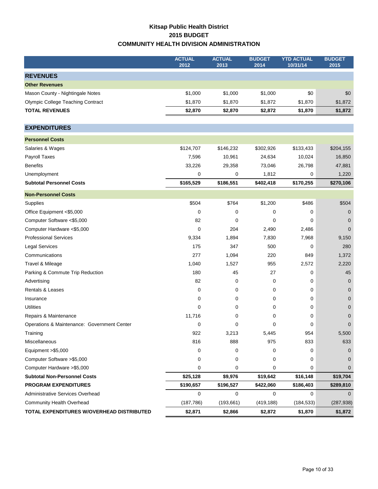### **Kitsap Public Health District 2015 BUDGET COMMUNITY HEALTH DIVISION ADMINISTRATION**

<span id="page-11-0"></span>

|                                             | <b>ACTUAL</b><br>2012 | <b>ACTUAL</b><br>2013 | <b>BUDGET</b><br>2014 | <b>YTD ACTUAL</b><br>10/31/14 | <b>BUDGET</b><br>2015 |
|---------------------------------------------|-----------------------|-----------------------|-----------------------|-------------------------------|-----------------------|
| <b>REVENUES</b>                             |                       |                       |                       |                               |                       |
| <b>Other Revenues</b>                       |                       |                       |                       |                               |                       |
| Mason County - Nightingale Notes            | \$1,000               | \$1,000               | \$1,000               | \$0                           | \$0                   |
| <b>Olympic College Teaching Contract</b>    | \$1,870               | \$1,870               | \$1,872               | \$1,870                       | \$1,872               |
| <b>TOTAL REVENUES</b>                       | \$2,870               | \$2,870               | \$2,872               | \$1,870                       | \$1,872               |
| <b>EXPENDITURES</b>                         |                       |                       |                       |                               |                       |
| <b>Personnel Costs</b>                      |                       |                       |                       |                               |                       |
| Salaries & Wages                            | \$124,707             | \$146,232             | \$302,926             | \$133,433                     | \$204,155             |
| Payroll Taxes                               | 7,596                 | 10,961                | 24,634                | 10,024                        | 16,850                |
| <b>Benefits</b>                             | 33,226                | 29,358                | 73,046                | 26,798                        | 47,881                |
| Unemployment                                | 0                     | 0                     | 1,812                 | 0                             | 1,220                 |
| <b>Subtotal Personnel Costs</b>             | \$165,529             | \$186,551             | \$402,418             | \$170,255                     | \$270,106             |
| <b>Non-Personnel Costs</b>                  |                       |                       |                       |                               |                       |
| Supplies                                    | \$504                 | \$764                 | \$1,200               | \$486                         | \$504                 |
| Office Equipment <\$5,000                   | 0                     | 0                     | 0                     | 0                             | $\mathbf 0$           |
| Computer Software <\$5,000                  | 82                    | 0                     | 0                     | 0                             | $\mathbf{0}$          |
| Computer Hardware <\$5,000                  | 0                     | 204                   | 2,490                 | 2,486                         | $\mathbf{0}$          |
| <b>Professional Services</b>                | 9,334                 | 1,894                 | 7,830                 | 7,968                         | 9,150                 |
| <b>Legal Services</b>                       | 175                   | 347                   | 500                   | 0                             | 280                   |
| Communications                              | 277                   | 1,094                 | 220                   | 849                           | 1,372                 |
| Travel & Mileage                            | 1,040                 | 1,527                 | 955                   | 2,572                         | 2,220                 |
| Parking & Commute Trip Reduction            | 180                   | 45                    | 27                    | 0                             | 45                    |
| Advertising                                 | 82                    | 0                     | 0                     | 0                             | $\mathbf{0}$          |
| Rentals & Leases                            | 0                     | 0                     | 0                     | 0                             | $\mathbf 0$           |
| Insurance                                   | 0                     | 0                     | 0                     | 0                             | $\mathbf{0}$          |
| <b>Utilities</b>                            | $\mathbf 0$           | 0                     | 0                     | 0                             | $\mathbf 0$           |
| Repairs & Maintenance                       | 11,716                | 0                     | 0                     | 0                             | $\mathbf 0$           |
| Operations & Maintenance: Government Center | 0                     | 0                     | 0                     | 0                             | $\mathbf 0$           |
| Training                                    | 922                   | 3,213                 | 5,445                 | 954                           | 5,500                 |
| Miscellaneous                               | 816                   | 888                   | 975                   | 833                           | 633                   |
| Equipment >\$5,000                          | 0                     | 0                     | 0                     | 0                             | 0                     |
| Computer Software > \$5,000                 | 0                     | 0                     | 0                     | 0                             | 0                     |
| Computer Hardware > \$5,000                 | 0                     | 0                     | 0                     | 0                             | 0                     |
| <b>Subtotal Non-Personnel Costs</b>         | \$25,128              | \$9,976               | \$19,642              | \$16,148                      | \$19,704              |
| <b>PROGRAM EXPENDITURES</b>                 | \$190,657             | \$196,527             | \$422,060             | \$186,403                     | \$289,810             |
| Administrative Services Overhead            | 0                     | 0                     | 0                     | 0                             | $\overline{0}$        |
| Community Health Overhead                   | (187, 786)            | (193, 661)            | (419, 188)            | (184, 533)                    | (287, 938)            |
| TOTAL EXPENDITURES W/OVERHEAD DISTRIBUTED   | \$2,871               | \$2,866               | \$2,872               | \$1,870                       | \$1,872               |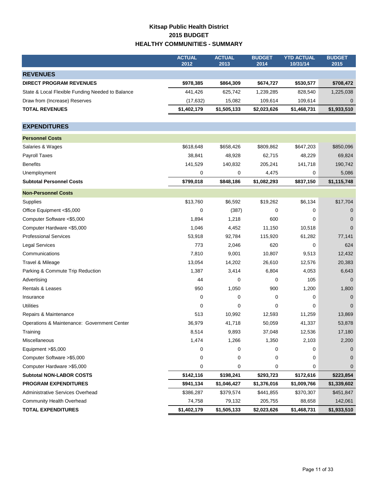## **Kitsap Public Health District 2015 BUDGET HEALTHY COMMUNITIES - SUMMARY**

<span id="page-12-0"></span>

|                                                  | <b>ACTUAL</b> | <b>ACTUAL</b> | <b>BUDGET</b> | <b>YTD ACTUAL</b> | <b>BUDGET</b> |
|--------------------------------------------------|---------------|---------------|---------------|-------------------|---------------|
|                                                  | 2012          | 2013          | 2014          | 10/31/14          | 2015          |
| <b>REVENUES</b>                                  |               |               |               |                   |               |
| <b>DIRECT PROGRAM REVENUES</b>                   | \$978,385     | \$864,309     | \$674,727     | \$530,577         | \$708,472     |
| State & Local Flexible Funding Needed to Balance | 441,426       | 625,742       | 1,239,285     | 828,540           | 1,225,038     |
| Draw from (Increase) Reserves                    | (17, 632)     | 15,082        | 109,614       | 109,614           | 0             |
| <b>TOTAL REVENUES</b>                            | \$1,402,179   | \$1,505,133   | \$2,023,626   | \$1,468,731       | \$1,933,510   |
|                                                  |               |               |               |                   |               |
| <b>EXPENDITURES</b>                              |               |               |               |                   |               |
| <b>Personnel Costs</b>                           |               |               |               |                   |               |
| Salaries & Wages                                 | \$618,648     | \$658,426     | \$809,862     | \$647,203         | \$850,096     |
| Payroll Taxes                                    | 38,841        | 48,928        | 62,715        | 48,229            | 69,824        |
| <b>Benefits</b>                                  | 141,529       | 140,832       | 205,241       | 141,718           | 190,742       |
| Unemployment                                     | 0             | 0             | 4,475         | 0                 | 5,086         |
| <b>Subtotal Personnel Costs</b>                  | \$799,018     | \$848,186     | \$1,082,293   | \$837,150         | \$1,115,748   |
| <b>Non-Personnel Costs</b>                       |               |               |               |                   |               |
| Supplies                                         | \$13,760      | \$6,592       | \$19,262      | \$6,134           | \$17,704      |
| Office Equipment <\$5,000                        | 0             | (387)         | 0             | 0                 | $\mathbf 0$   |
| Computer Software <\$5,000                       | 1,894         | 1,218         | 600           | 0                 | $\mathbf 0$   |
| Computer Hardware <\$5,000                       | 1,046         | 4,452         | 11,150        | 10,518            | $\Omega$      |
| <b>Professional Services</b>                     | 53,918        | 92,784        | 115,920       | 61,282            | 77,141        |
| <b>Legal Services</b>                            | 773           | 2,046         | 620           | 0                 | 624           |
| Communications                                   | 7,810         | 9,001         | 10,807        | 9,513             | 12,432        |
| Travel & Mileage                                 | 13,054        | 14,202        | 26,610        | 12,576            | 20,383        |
| Parking & Commute Trip Reduction                 | 1,387         | 3,414         | 6,804         | 4,053             | 6,643         |
| Advertising                                      | 44            | 0             | 0             | 105               | $\Omega$      |
| <b>Rentals &amp; Leases</b>                      | 950           | 1,050         | 900           | 1,200             | 1,800         |
| Insurance                                        | 0             | 0             | 0             | 0                 | $\mathbf 0$   |
| <b>Utilities</b>                                 | 0             | 0             | 0             | 0                 | $\Omega$      |
| Repairs & Maintenance                            | 513           | 10,992        | 12,593        | 11,259            | 13,869        |
| Operations & Maintenance: Government Center      | 36,979        | 41,718        | 50,059        | 41,337            | 53,878        |
| Training                                         | 8,514         | 9,893         | 37,048        | 12,536            | 17,180        |
| <b>Miscellaneous</b>                             | 1,474         | 1,266         | 1,350         | 2,103             | 2,200         |
| Equipment > \$5,000                              | 0             | 0             | 0             | 0                 | 0             |
| Computer Software > \$5,000                      | 0             | 0             | 0             | 0                 | $\Omega$      |
| Computer Hardware > \$5,000                      | 0             | 0             | 0             | 0                 | $\mathbf 0$   |
| <b>Subtotal NON-LABOR COSTS</b>                  | \$142,116     | \$198,241     | \$293,723     | \$172,616         | \$223,854     |
| <b>PROGRAM EXPENDITURES</b>                      | \$941,134     | \$1,046,427   | \$1,376,016   | \$1,009,766       | \$1,339,602   |
| Administrative Services Overhead                 | \$386,287     | \$379,574     | \$441,855     | \$370,307         | \$451,847     |
| <b>Community Health Overhead</b>                 | 74,758        | 79,132        | 205,755       | 88,658            | 142,061       |
| <b>TOTAL EXPENDITURES</b>                        | \$1,402,179   | \$1,505,133   | \$2,023,626   | \$1,468,731       | \$1,933,510   |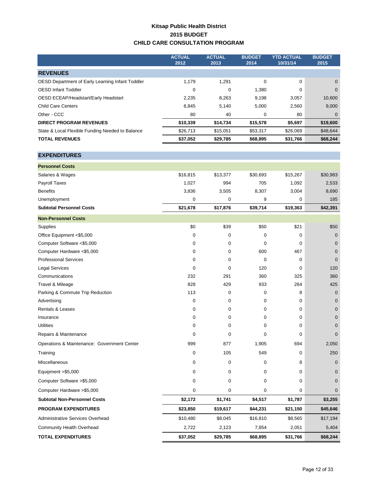### **Kitsap Public Health District 2015 BUDGET CHILD CARE CONSULTATION PROGRAM**

<span id="page-13-0"></span>

|                                                  | <b>ACTUAL</b><br>2012 | <b>ACTUAL</b><br>2013 | <b>BUDGET</b><br>2014 | <b>YTD ACTUAL</b><br>10/31/14 | <b>BUDGET</b><br>2015 |
|--------------------------------------------------|-----------------------|-----------------------|-----------------------|-------------------------------|-----------------------|
| <b>REVENUES</b>                                  |                       |                       |                       |                               |                       |
| OESD Department of Early Learning Infant Toddler | 1.179                 | 1.291                 | 0                     | 0                             | $\mathbf 0$           |
| <b>OESD Infant Toddler</b>                       | 0                     | 0                     | 1,380                 | 0                             | $\mathbf 0$           |
| OESD ECEAP/Headstart/Early Headstart             | 2,235                 | 8,263                 | 9,198                 | 3,057                         | 10,600                |
| <b>Child Care Centers</b>                        | 6,845                 | 5,140                 | 5,000                 | 2,560                         | 9,000                 |
| Other - CCC                                      | 80                    | 40                    | 0                     | 80                            | $\mathbf 0$           |
| <b>DIRECT PROGRAM REVENUES</b>                   | \$10,339              | \$14,734              | \$15,578              | \$5,697                       | \$19,600              |
| State & Local Flexible Funding Needed to Balance | \$26,713              | \$15.051              | \$53,317              | \$26,069                      | \$48,644              |
| <b>TOTAL REVENUES</b>                            | \$37,052              | \$29,785              | \$68,895              | \$31,766                      | \$68,244              |

| <b>EXPENDITURES</b>                         |             |             |             |             |              |
|---------------------------------------------|-------------|-------------|-------------|-------------|--------------|
| <b>Personnel Costs</b>                      |             |             |             |             |              |
| Salaries & Wages                            | \$16,815    | \$13,377    | \$30,693    | \$15,267    | \$30,983     |
| Payroll Taxes                               | 1,027       | 994         | 705         | 1,092       | 2,533        |
| <b>Benefits</b>                             | 3,836       | 3,505       | 8,307       | 3,004       | 8,690        |
| Unemployment                                | $\mathbf 0$ | 0           | 9           | 0           | 185          |
| <b>Subtotal Personnel Costs</b>             | \$21,678    | \$17,876    | \$39,714    | \$19,363    | \$42,391     |
| <b>Non-Personnel Costs</b>                  |             |             |             |             |              |
| Supplies                                    | \$0         | \$39        | \$50        | \$21        | \$50         |
| Office Equipment <\$5,000                   | $\mathbf 0$ | 0           | $\mathbf 0$ | 0           | $\mathbf{0}$ |
| Computer Software <\$5,000                  | $\mathbf 0$ | $\mathbf 0$ | $\mathbf 0$ | $\mathbf 0$ | $\mathbf 0$  |
| Computer Hardware <\$5,000                  | 0           | $\mathbf 0$ | 600         | 467         | $\mathbf 0$  |
| <b>Professional Services</b>                | $\mathbf 0$ | $\mathbf 0$ | $\mathbf 0$ | $\mathbf 0$ | $\mathbf{0}$ |
| <b>Legal Services</b>                       | $\mathbf 0$ | $\mathbf 0$ | 120         | 0           | 120          |
| Communications                              | 232         | 291         | 360         | 325         | 360          |
| Travel & Mileage                            | 828         | 429         | 933         | 264         | 425          |
| Parking & Commute Trip Reduction            | 113         | 0           | 0           | 8           | $\mathbf{0}$ |
| Advertising                                 | $\mathbf 0$ | 0           | $\mathbf 0$ | 0           | $\mathbf 0$  |
| Rentals & Leases                            | $\mathbf 0$ | $\mathbf 0$ | 0           | 0           | $\mathbf 0$  |
| Insurance                                   | $\mathbf 0$ | $\mathbf 0$ | $\mathbf 0$ | 0           | $\mathbf 0$  |
| <b>Utilities</b>                            | $\mathbf 0$ | $\mathbf 0$ | $\mathbf 0$ | $\mathbf 0$ | $\mathbf{0}$ |
| Repairs & Maintenance                       | $\mathbf 0$ | 0           | 0           | 0           | $\Omega$     |
| Operations & Maintenance: Government Center | 999         | 877         | 1,905       | 694         | 2,050        |
| Training                                    | $\mathbf 0$ | 105         | 549         | 0           | 250          |
| Miscellaneous                               | $\mathbf 0$ | 0           | 0           | 8           | $\mathbf{0}$ |
| Equipment > \$5,000                         | $\mathbf 0$ | $\mathbf 0$ | 0           | 0           | $\mathbf{0}$ |
| Computer Software > \$5,000                 | $\mathbf 0$ | $\mathbf 0$ | $\mathbf 0$ | 0           | $\mathbf 0$  |
| Computer Hardware > \$5,000                 | 0           | $\mathbf 0$ | $\mathbf 0$ | 0           | $\mathbf 0$  |
| <b>Subtotal Non-Personnel Costs</b>         | \$2,172     | \$1,741     | \$4,517     | \$1,787     | \$3,255      |
| <b>PROGRAM EXPENDITURES</b>                 | \$23,850    | \$19,617    | \$44,231    | \$21,150    | \$45,646     |
| Administrative Services Overhead            | \$10,480    | \$8,045     | \$16,810    | \$8,565     | \$17,194     |
| <b>Community Health Overhead</b>            | 2,722       | 2,123       | 7,854       | 2,051       | 5,404        |
| <b>TOTAL EXPENDITURES</b>                   | \$37,052    | \$29,785    | \$68,895    | \$31,766    | \$68,244     |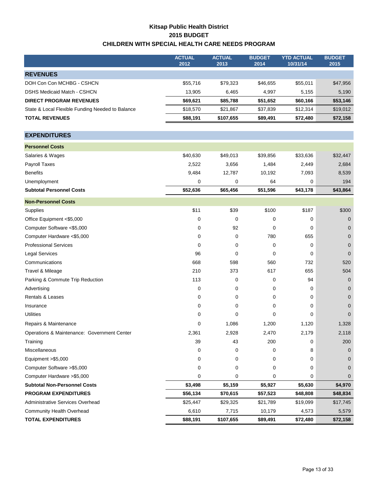### **Kitsap Public Health District 2015 BUDGET CHILDREN WITH SPECIAL HEALTH CARE NEEDS PROGRAM**

<span id="page-14-0"></span>

|                                                  | <b>ACTUAL</b><br>2012 | <b>ACTUAL</b><br>2013 | <b>BUDGET</b><br>2014 | <b>YTD ACTUAL</b><br>10/31/14 | <b>BUDGET</b><br>2015 |
|--------------------------------------------------|-----------------------|-----------------------|-----------------------|-------------------------------|-----------------------|
| <b>REVENUES</b>                                  |                       |                       |                       |                               |                       |
| DOH Con Con MCHBG - CSHCN                        | \$55,716              | \$79,323              | \$46,655              | \$55,011                      | \$47,956              |
| <b>DSHS Medicaid Match - CSHCN</b>               | 13,905                | 6,465                 | 4,997                 | 5,155                         | 5,190                 |
| <b>DIRECT PROGRAM REVENUES</b>                   | \$69,621              | \$85,788              | \$51,652              | \$60,166                      | \$53,146              |
| State & Local Flexible Funding Needed to Balance | \$18,570              | \$21,867              | \$37,839              | \$12,314                      | \$19,012              |
| <b>TOTAL REVENUES</b>                            | \$88,191              | \$107,655             | \$89,491              | \$72,480                      | \$72,158              |
| <b>EXPENDITURES</b>                              |                       |                       |                       |                               |                       |
| <b>Personnel Costs</b>                           |                       |                       |                       |                               |                       |
| Salaries & Wages                                 | \$40,630              | \$49,013              | \$39,856              | \$33,636                      | \$32,447              |
| Payroll Taxes                                    | 2,522                 | 3,656                 | 1,484                 | 2,449                         | 2,684                 |
| <b>Benefits</b>                                  | 9,484                 | 12,787                | 10,192                | 7,093                         | 8,539                 |
| Unemployment                                     | 0                     | 0                     | 64                    | 0                             | 194                   |
| <b>Subtotal Personnel Costs</b>                  | \$52,636              | \$65,456              | \$51,596              | \$43,178                      | \$43,864              |
| <b>Non-Personnel Costs</b>                       |                       |                       |                       |                               |                       |
| Supplies                                         | \$11                  | \$39                  | \$100                 | \$187                         | \$300                 |
| Office Equipment <\$5,000                        | 0                     | 0                     | 0                     | 0                             | $\mathbf 0$           |
| Computer Software <\$5,000                       | 0                     | 92                    | 0                     | 0                             | $\mathbf{0}$          |
| Computer Hardware <\$5,000                       | 0                     | 0                     | 780                   | 655                           | $\mathbf 0$           |
| <b>Professional Services</b>                     | 0                     | 0                     | 0                     | 0                             | $\mathbf 0$           |
| <b>Legal Services</b>                            | 96                    | 0                     | 0                     | 0                             | $\mathbf 0$           |
| Communications                                   | 668                   | 598                   | 560                   | 732                           | 520                   |
| Travel & Mileage                                 | 210                   | 373                   | 617                   | 655                           | 504                   |
| Parking & Commute Trip Reduction                 | 113                   | 0                     | 0                     | 94                            | $\mathbf{0}$          |
| Advertising                                      | 0                     | 0                     | 0                     | 0                             | $\mathbf 0$           |
| Rentals & Leases                                 | 0                     | 0                     | 0                     | 0                             | $\mathbf 0$           |
| Insurance                                        | 0                     | 0                     | 0                     | 0                             | $\mathbf 0$           |
| <b>Utilities</b>                                 | 0                     | 0                     | $\Omega$              | 0                             | $\Omega$              |
| Repairs & Maintenance                            | 0                     | 1,086                 | 1,200                 | 1,120                         | 1,328                 |
| Operations & Maintenance: Government Center      | 2,361                 | 2,928                 | 2,470                 | 2,179                         | 2,118                 |
| Training                                         | 39                    | 43                    | 200                   | 0                             | 200                   |
| Miscellaneous                                    | 0                     | 0                     | 0                     | 8                             | $\Omega$              |
| Equipment >\$5,000                               | 0                     | 0                     | 0                     | 0                             | $\mathbf{0}$          |
| Computer Software > \$5,000                      | 0                     | 0                     | 0                     | 0                             | $\mathbf{0}$          |
| Computer Hardware > \$5,000                      | 0                     | 0                     | 0                     | 0                             | $\overline{0}$        |
| <b>Subtotal Non-Personnel Costs</b>              | \$3,498               | \$5,159               | \$5,927               | \$5,630                       | \$4,970               |
| <b>PROGRAM EXPENDITURES</b>                      | \$56,134              | \$70,615              | \$57,523              | \$48,808                      | \$48,834              |
| <b>Administrative Services Overhead</b>          | \$25,447              | \$29,325              | \$21,789              | \$19,099                      | \$17,745              |
| <b>Community Health Overhead</b>                 | 6,610                 | 7,715                 | 10,179                | 4,573                         | 5,579                 |
| <b>TOTAL EXPENDITURES</b>                        | \$88,191              | \$107,655             | \$89,491              | \$72,480                      | \$72,158              |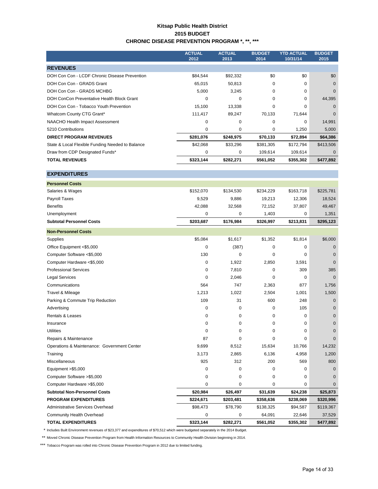#### **Kitsap Public Health District 2015 BUDGET CHRONIC DISEASE PREVENTION PROGRAM \*, \*\*, \*\*\***

<span id="page-15-0"></span>

|                                                  | <b>ACTUAL</b><br>2012 | <b>ACTUAL</b><br>2013 | <b>BUDGET</b><br>2014 | <b>YTD ACTUAL</b><br>10/31/14 | <b>BUDGET</b><br>2015 |
|--------------------------------------------------|-----------------------|-----------------------|-----------------------|-------------------------------|-----------------------|
| <b>REVENUES</b>                                  |                       |                       |                       |                               |                       |
| DOH Con Con - LCDF Chronic Disease Prevention    | \$84,544              | \$92,332              | \$0                   | \$0                           | \$0                   |
| DOH Con Con - GRADS Grant                        | 65,015                | 50,813                | 0                     | 0                             | $\Omega$              |
| DOH Con Con - GRADS MCHBG                        | 5,000                 | 3,245                 | 0                     | 0                             | $\Omega$              |
| DOH ConCon Preventative Health Block Grant       | 0                     | 0                     | 0                     | 0                             | 44,395                |
| DOH Con Con - Tobacco Youth Prevention           | 15,100                | 13,338                | 0                     | 0                             | $\mathbf{0}$          |
| Whatcom County CTG Grant*                        | 111,417               | 89,247                | 70,133                | 71,644                        | $\Omega$              |
| NAACHO Health Impact Assessment                  | 0                     | 0                     | 0                     | 0                             | 14,991                |
| 5210 Contributions                               | 0                     | 0                     | 0                     | 1,250                         | 5,000                 |
| <b>DIRECT PROGRAM REVENUES</b>                   | \$281,076             | \$248,975             | \$70,133              | \$72,894                      | \$64,386              |
| State & Local Flexible Funding Needed to Balance | \$42,068              | \$33,296              | \$381,305             | \$172,794                     | \$413,506             |
| Draw from CDP Designated Funds*                  | 0                     | 0                     | 109,614               | 109,614                       | $\mathbf{0}$          |
| <b>TOTAL REVENUES</b>                            | \$323,144             | \$282,271             | \$561,052             | \$355,302                     | \$477,892             |
|                                                  |                       |                       |                       |                               |                       |
| <b>EXPENDITURES</b>                              |                       |                       |                       |                               |                       |
| <b>Personnel Costs</b>                           |                       |                       |                       |                               |                       |
| Salaries & Wages                                 | \$152,070             | \$134,530             | \$234,229             | \$163,718                     | \$225,781             |
| <b>Payroll Taxes</b>                             | 9,529                 | 9,886                 | 19,213                | 12,306                        | 18,524                |
| <b>Benefits</b>                                  | 42,088                | 32,568                | 72,152                | 37,807                        | 49,467                |
| Unemployment                                     | 0                     | 0                     | 1,403                 | 0                             | 1,351                 |
| <b>Subtotal Personnel Costs</b>                  | \$203,687             | \$176,984             | \$326,997             | \$213,831                     | \$295,123             |
| <b>Non-Personnel Costs</b>                       |                       |                       |                       |                               |                       |
| Supplies                                         | \$5,084               | \$1,617               | \$1,352               | \$1,814                       | \$6,000               |
| Office Equipment <\$5,000                        | 0                     | (387)                 | 0                     | 0                             | $\mathbf{0}$          |
| Computer Software <\$5,000                       | 130                   | 0                     | 0                     | 0                             | $\mathbf{0}$          |
| Computer Hardware <\$5,000                       | $\mathbf 0$           | 1,922                 | 2,850                 | 3,591                         | $\mathbf{0}$          |
| <b>Professional Services</b>                     | 0                     | 7,810                 | 0                     | 309                           | 385                   |
| <b>Legal Services</b>                            | 0                     | 2,046                 | 0                     | 0                             | $\mathbf{0}$          |
| Communications                                   | 564                   | 747                   | 2,363                 | 877                           | 1,756                 |
| Travel & Mileage                                 | 1,213                 | 1,022                 | 2,504                 | 1,001                         | 1,500                 |
| Parking & Commute Trip Reduction                 | 109                   | 31                    | 600                   | 248                           | $\mathbf 0$           |
| Advertising                                      | 0                     | 0                     | 0                     | 105                           | $\mathbf 0$           |
| <b>Rentals &amp; Leases</b>                      | 0                     | 0                     | 0                     | 0                             | $\mathbf 0$           |
| Insurance                                        | $\mathbf 0$           | $\mathbf 0$           | 0                     | 0                             | $\mathbf{0}$          |
| <b>Utilities</b>                                 | 0                     | 0                     | 0                     | 0                             | $\mathbf 0$           |
| Repairs & Maintenance                            | 87                    | 0                     | 0                     | 0                             | $\Omega$              |
| Operations & Maintenance: Government Center      | 9,699                 | 8,512                 | 15,634                | 10,766                        | 14,232                |
| Training                                         | 3,173                 | 2,865                 | 6,136                 | 4,958                         | 1,200                 |
| Miscellaneous                                    | 925                   | 312                   | 200                   | 569                           | 800                   |
| Equipment > \$5,000                              | 0                     | 0                     | 0                     | 0                             | $\mathbf{0}$          |
| Computer Software > \$5,000                      | 0                     | 0                     | 0                     | 0                             | $\Omega$              |
| Computer Hardware > \$5,000                      | 0                     | 0                     | 0                     | 0                             | 0                     |
| <b>Subtotal Non-Personnel Costs</b>              | \$20,984              | \$26,497              | \$31,639              | \$24,238                      | \$25,873              |
| <b>PROGRAM EXPENDITURES</b>                      | \$224,671             | \$203,481             | \$358,636             | \$238,069                     | \$320,996             |
| Administrative Services Overhead                 | \$98,473              | \$78,790              | \$138,325             | \$94,587                      | \$119,367             |
| <b>Community Health Overhead</b>                 | 0                     | 0                     | 64,091                | 22,646                        | 37,529                |
| <b>TOTAL EXPENDITURES</b>                        | \$323,144             | \$282,271             | \$561,052             | \$355,302                     | \$477,892             |

\* Includes Built Environment revenues of \$23,377 and expenditures of \$70,512 which were budgeted separately in the 2014 Budget.

\*\* Moved Chronic Disease Prevention Program from Health Information Resources to Community Health Division beginning in 2014.

\*\*\* Tobacco Program was rolled into Chronic Disease Prevention Program in 2012 due to limited funding.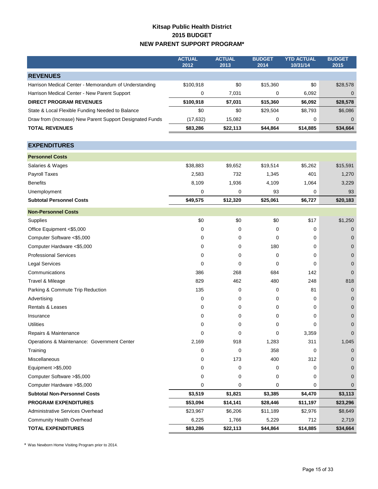## **Kitsap Public Health District 2015 BUDGET NEW PARENT SUPPORT PROGRAM\***

<span id="page-16-0"></span>

|                                                          | <b>ACTUAL</b><br>2012 | <b>ACTUAL</b><br>2013 | <b>BUDGET</b><br>2014 | <b>YTD ACTUAL</b><br>10/31/14 | <b>BUDGET</b><br>2015 |
|----------------------------------------------------------|-----------------------|-----------------------|-----------------------|-------------------------------|-----------------------|
| <b>REVENUES</b>                                          |                       |                       |                       |                               |                       |
| Harrison Medical Center - Memorandum of Understanding    | \$100,918             | \$0                   | \$15,360              | \$0                           | \$28,578              |
| Harrison Medical Center - New Parent Support             | 0                     | 7,031                 | 0                     | 6,092                         | $\mathbf 0$           |
| <b>DIRECT PROGRAM REVENUES</b>                           | \$100,918             | \$7,031               | \$15,360              | \$6,092                       | \$28,578              |
| State & Local Flexible Funding Needed to Balance         | \$0                   | \$0                   | \$29,504              | \$8,793                       | \$6,086               |
| Draw from (Increase) New Parent Support Designated Funds | (17, 632)             | 15,082                | 0                     | 0                             | $\Omega$              |
| <b>TOTAL REVENUES</b>                                    | \$83,286              | \$22,113              | \$44,864              | \$14,885                      | \$34,664              |
|                                                          |                       |                       |                       |                               |                       |
| <b>EXPENDITURES</b>                                      |                       |                       |                       |                               |                       |
| <b>Personnel Costs</b>                                   |                       |                       |                       |                               |                       |
| Salaries & Wages                                         | \$38,883              | \$9,652               | \$19,514              | \$5,262                       | \$15,591              |
| Payroll Taxes                                            | 2,583                 | 732                   | 1,345                 | 401                           | 1,270                 |
| <b>Benefits</b>                                          | 8,109                 | 1,936                 | 4,109                 | 1,064                         | 3,229                 |
| Unemployment                                             | 0                     | 0                     | 93                    | 0                             | 93                    |
| <b>Subtotal Personnel Costs</b>                          | \$49,575              | \$12,320              | \$25,061              | \$6,727                       | \$20,183              |
| <b>Non-Personnel Costs</b>                               |                       |                       |                       |                               |                       |
| Supplies                                                 | \$0                   | \$0                   | \$0                   | \$17                          | \$1,250               |
| Office Equipment <\$5,000                                | 0                     | 0                     | 0                     | 0                             | $\mathbf 0$           |
| Computer Software <\$5,000                               | 0                     | 0                     | 0                     | 0                             | $\mathbf{0}$          |
| Computer Hardware <\$5,000                               | 0                     | 0                     | 180                   | 0                             | $\overline{0}$        |
| <b>Professional Services</b>                             | 0                     | 0                     | 0                     | 0                             | $\mathbf 0$           |
| <b>Legal Services</b>                                    | 0                     | 0                     | 0                     | 0                             | $\mathbf 0$           |
| Communications                                           | 386                   | 268                   | 684                   | 142                           | $\Omega$              |
| Travel & Mileage                                         | 829                   | 462                   | 480                   | 248                           | 818                   |
| Parking & Commute Trip Reduction                         | 135                   | 0                     | 0                     | 81                            | $\mathbf{0}$          |
| Advertising                                              | 0                     | 0                     | 0                     | 0                             | $\mathbf 0$           |
| <b>Rentals &amp; Leases</b>                              | 0                     | 0                     | 0                     | 0                             | $\mathbf 0$           |
| Insurance                                                | 0                     | 0                     | 0                     | 0                             | $\mathbf 0$           |
| <b>Utilities</b>                                         | 0                     | 0                     | 0                     | 0                             | $\mathbf 0$           |
| Repairs & Maintenance                                    | $\cup$                | 0                     | 0                     | 3,359                         | $\cup$                |
| Operations & Maintenance: Government Center              | 2,169                 | 918                   | 1,283                 | 311                           | 1,045                 |
| Training                                                 | 0                     | $\pmb{0}$             | 358                   | 0                             | $\mathbf 0$           |
| Miscellaneous                                            | 0                     | 173                   | 400                   | 312                           | 0                     |
| Equipment >\$5,000                                       | 0                     | 0                     | 0                     | 0                             | $\mathbf{0}$          |
| Computer Software > \$5,000                              | 0                     | 0                     | 0                     | 0                             | $\mathbf{0}$          |
| Computer Hardware > \$5,000                              | 0                     | 0                     | 0                     | 0                             | 0                     |
| <b>Subtotal Non-Personnel Costs</b>                      | \$3,519               | \$1,821               | \$3,385               | \$4,470                       | \$3,113               |
| <b>PROGRAM EXPENDITURES</b>                              | \$53,094              | \$14,141              | \$28,446              | \$11,197                      | \$23,296              |
| <b>Administrative Services Overhead</b>                  | \$23,967              | \$6,206               | \$11,189              | \$2,976                       | \$8,649               |
| Community Health Overhead                                | 6,225                 | 1,766                 | 5,229                 | 712                           | 2,719                 |
| <b>TOTAL EXPENDITURES</b>                                | \$83,286              | \$22,113              | \$44,864              | \$14,885                      | \$34,664              |

\* Was Newborn Home Visiting Program prior to 2014.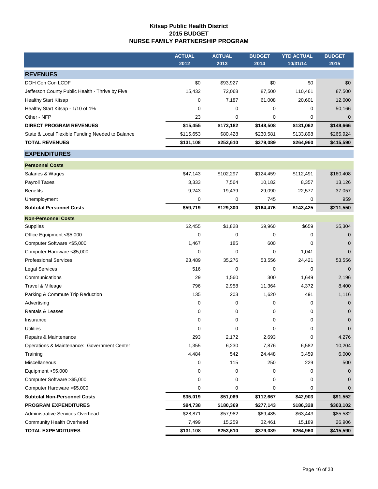### **Kitsap Public Health District 2015 BUDGET NURSE FAMILY PARTNERSHIP PROGRAM**

<span id="page-17-0"></span>

|                                                  | <b>ACTUAL</b> | <b>ACTUAL</b> | <b>BUDGET</b> | <b>YTD ACTUAL</b> | <b>BUDGET</b> |
|--------------------------------------------------|---------------|---------------|---------------|-------------------|---------------|
|                                                  | 2012          | 2013          | 2014          | 10/31/14          | 2015          |
| <b>REVENUES</b>                                  |               |               |               |                   |               |
| DOH Con Con LCDF                                 | \$0           | \$93,927      | \$0           | \$0               | \$0           |
| Jefferson County Public Health - Thrive by Five  | 15,432        | 72,068        | 87,500        | 110,461           | 87,500        |
| <b>Healthy Start Kitsap</b>                      | 0             | 7,187         | 61,008        | 20,601            | 12,000        |
| Healthy Start Kitsap - 1/10 of 1%                | $\mathbf 0$   | 0             | 0             | 0                 | 50,166        |
| Other - NFP                                      | 23            | 0             | 0             | 0                 | $\mathbf 0$   |
| <b>DIRECT PROGRAM REVENUES</b>                   | \$15,455      | \$173,182     | \$148,508     | \$131,062         | \$149,666     |
| State & Local Flexible Funding Needed to Balance | \$115,653     | \$80,428      | \$230,581     | \$133,898         | \$265,924     |
| <b>TOTAL REVENUES</b>                            | \$131,108     | \$253,610     | \$379,089     | \$264,960         | \$415,590     |
| <b>EXPENDITURES</b>                              |               |               |               |                   |               |
| <b>Personnel Costs</b>                           |               |               |               |                   |               |
| Salaries & Wages                                 | \$47,143      | \$102,297     | \$124,459     | \$112,491         | \$160,408     |
| Payroll Taxes                                    | 3,333         | 7,564         | 10,182        | 8,357             | 13,126        |
| <b>Benefits</b>                                  | 9,243         | 19,439        | 29,090        | 22,577            | 37,057        |
| Unemployment                                     | 0             | 0             | 745           | 0                 | 959           |
| <b>Subtotal Personnel Costs</b>                  | \$59,719      | \$129,300     | \$164,476     | \$143,425         | \$211,550     |
| <b>Non-Personnel Costs</b>                       |               |               |               |                   |               |
| Supplies                                         | \$2,455       | \$1,828       | \$9,960       | \$659             | \$5,304       |
| Office Equipment <\$5,000                        | $\mathbf 0$   | 0             | $\Omega$      | 0                 | 0             |
| Computer Software <\$5,000                       | 1,467         | 185           | 600           | 0                 | $\mathbf 0$   |
| Computer Hardware <\$5,000                       | 0             | 0             | 0             | 1,041             | $\mathbf 0$   |
| <b>Professional Services</b>                     | 23,489        | 35,276        | 53,556        | 24,421            | 53,556        |
| <b>Legal Services</b>                            | 516           | 0             | 0             | 0                 | $\mathbf 0$   |
| Communications                                   | 29            | 1,560         | 300           | 1,649             | 2,196         |
| Travel & Mileage                                 | 796           | 2,958         | 11,364        | 4,372             | 8,400         |
| Parking & Commute Trip Reduction                 | 135           | 203           | 1,620         | 491               | 1,116         |
| Advertising                                      | 0             | 0             | 0             | 0                 | $\mathbf 0$   |
| Rentals & Leases                                 | 0             | 0             | 0             | 0                 | $\mathbf 0$   |
| Insurance                                        | 0             | 0             | 0             | 0                 | $\mathbf 0$   |
| <b>Utilities</b>                                 | 0             | 0             | $\Omega$      | 0                 | $\Omega$      |
| Repairs & Maintenance                            | 293           | 2,172         | 2,693         | 0                 | 4,276         |
| Operations & Maintenance: Government Center      | 1,355         | 6,230         | 7,876         | 6,582             | 10,204        |
| Training                                         | 4,484         | 542           | 24,448        | 3,459             | 6,000         |
| Miscellaneous                                    | 0             | 115           | 250           | 229               | 500           |
| Equipment > \$5,000                              | 0             | 0             | 0             | 0                 | 0             |
| Computer Software > \$5,000                      | 0             | 0             | 0             | 0                 | $\mathbf 0$   |
| Computer Hardware > \$5,000                      | 0             | 0             | 0             | 0                 | 0             |
| <b>Subtotal Non-Personnel Costs</b>              | \$35,019      | \$51,069      | \$112,667     | \$42,903          | \$91,552      |
| <b>PROGRAM EXPENDITURES</b>                      | \$94,738      | \$180,369     | \$277,143     | \$186,328         | \$303,102     |
| Administrative Services Overhead                 | \$28,871      | \$57,982      | \$69,485      | \$63,443          | \$85,582      |
| Community Health Overhead                        | 7,499         | 15,259        | 32,461        | 15,189            | 26,906        |
| <b>TOTAL EXPENDITURES</b>                        | \$131,108     | \$253,610     | \$379,089     | \$264,960         | \$415,590     |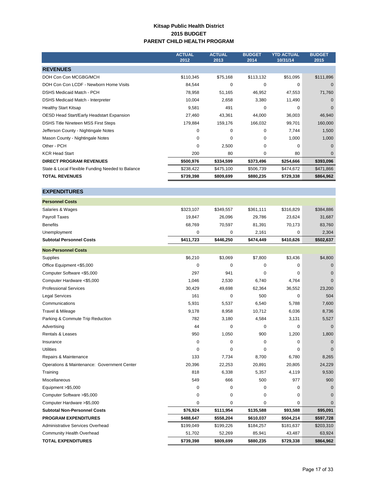#### **Kitsap Public Health District 2015 BUDGET PARENT CHILD HEALTH PROGRAM**

<span id="page-18-0"></span>

|                                                  | <b>ACTUAL</b> | <b>ACTUAL</b> | <b>BUDGET</b> | <b>YTD ACTUAL</b> | <b>BUDGET</b> |
|--------------------------------------------------|---------------|---------------|---------------|-------------------|---------------|
|                                                  | 2012          | 2013          | 2014          | 10/31/14          | 2015          |
| <b>REVENUES</b>                                  |               |               |               |                   |               |
| DOH Con Con MCGBG/MCH                            | \$110,345     | \$75,168      | \$113,132     | \$51,095          | \$111,896     |
| DOH Con Con LCDF - Newborn Home Visits           | 84,544        | $\mathbf 0$   | $\mathbf 0$   | $\Omega$          | $\Omega$      |
| <b>DSHS Medicaid Match - PCH</b>                 | 78,958        | 51,165        | 46,952        | 47,553            | 71,760        |
| DSHS Medicaid Match - Interpreter                | 10,004        | 2,658         | 3,380         | 11,490            | $\Omega$      |
| <b>Healthy Start Kitsap</b>                      | 9,581         | 491           | $\Omega$      | $\Omega$          | $\Omega$      |
| OESD Head Start/Early Headstart Expansion        | 27,460        | 43,361        | 44,000        | 36,003            | 46,940        |
| <b>DSHS Title Nineteen MSS First Steps</b>       | 179,884       | 159,176       | 166,032       | 99,701            | 160,000       |
| Jefferson County - Nightingale Notes             | $\Omega$      | 0             | $\Omega$      | 7,744             | 1,500         |
| Mason County - Nightingale Notes                 | $\Omega$      | 0             | $\Omega$      | 1,000             | 1,000         |
| Other - PCH                                      | $\Omega$      | 2,500         | $\Omega$      | $\Omega$          | $\Omega$      |
| <b>KCR Head Start</b>                            | 200           | 80            | $\mathbf 0$   | 80                | $\mathbf 0$   |
| <b>DIRECT PROGRAM REVENUES</b>                   | \$500,976     | \$334,599     | \$373,496     | \$254,666         | \$393,096     |
| State & Local Flexible Funding Needed to Balance | \$238,422     | \$475,100     | \$506,739     | \$474,672         | \$471,866     |
| <b>TOTAL REVENUES</b>                            | \$739,398     | \$809,699     | \$880,235     | \$729,338         | \$864,962     |

| <b>Personnel Costs</b>                      |             |           |             |             |              |
|---------------------------------------------|-------------|-----------|-------------|-------------|--------------|
| Salaries & Wages                            | \$323,107   | \$349,557 | \$361,111   | \$316,829   | \$384,886    |
| Payroll Taxes                               | 19,847      | 26,096    | 29,786      | 23,624      | 31,687       |
| <b>Benefits</b>                             | 68,769      | 70,597    | 81,391      | 70,173      | 83,760       |
| Unemployment                                | 0           | 0         | 2,161       | 0           | 2,304        |
| <b>Subtotal Personnel Costs</b>             | \$411,723   | \$446,250 | \$474,449   | \$410,626   | \$502,637    |
| <b>Non-Personnel Costs</b>                  |             |           |             |             |              |
| Supplies                                    | \$6,210     | \$3,069   | \$7,800     | \$3,436     | \$4,800      |
| Office Equipment <\$5,000                   | $\mathbf 0$ | 0         | 0           | 0           | $\mathbf{0}$ |
| Computer Software <\$5,000                  | 297         | 941       | 0           | $\mathbf 0$ | $\Omega$     |
| Computer Hardware <\$5,000                  | 1,046       | 2,530     | 6,740       | 4,764       | $\Omega$     |
| <b>Professional Services</b>                | 30,429      | 49,698    | 62,364      | 36,552      | 23,200       |
| <b>Legal Services</b>                       | 161         | 0         | 500         | 0           | 504          |
| Communications                              | 5,931       | 5,537     | 6,540       | 5,788       | 7,600        |
| Travel & Mileage                            | 9,178       | 8,958     | 10,712      | 6,036       | 8,736        |
| Parking & Commute Trip Reduction            | 782         | 3,180     | 4,584       | 3,131       | 5,527        |
| Advertising                                 | 44          | $\Omega$  | $\Omega$    | $\mathbf 0$ | $\Omega$     |
| <b>Rentals &amp; Leases</b>                 | 950         | 1,050     | 900         | 1,200       | 1,800        |
| Insurance                                   | 0           | 0         | 0           | 0           | $\mathbf{0}$ |
| <b>Utilities</b>                            | 0           | 0         | $\mathbf 0$ | $\mathbf 0$ | $\Omega$     |
| Repairs & Maintenance                       | 133         | 7,734     | 8,700       | 6,780       | 8,265        |
| Operations & Maintenance: Government Center | 20,396      | 22,253    | 20,891      | 20,805      | 24,229       |
| Training                                    | 818         | 6,338     | 5,357       | 4,119       | 9,530        |
| Miscellaneous                               | 549         | 666       | 500         | 977         | 900          |
| Equipment > \$5,000                         | 0           | 0         | 0           | 0           | $\mathbf{0}$ |
| Computer Software >\$5,000                  | 0           | 0         | 0           | 0           | $\Omega$     |
| Computer Hardware >\$5,000                  | 0           | 0         | 0           | 0           | $\Omega$     |
| <b>Subtotal Non-Personnel Costs</b>         | \$76,924    | \$111,954 | \$135,588   | \$93,588    | \$95,091     |
| <b>PROGRAM EXPENDITURES</b>                 | \$488,647   | \$558,204 | \$610,037   | \$504,214   | \$597,728    |
| <b>Administrative Services Overhead</b>     | \$199,049   | \$199,226 | \$184,257   | \$181,637   | \$203,310    |
| <b>Community Health Overhead</b>            | 51,702      | 52,269    | 85,941      | 43,487      | 63,924       |
| <b>TOTAL EXPENDITURES</b>                   | \$739,398   | \$809,699 | \$880,235   | \$729,338   | \$864,962    |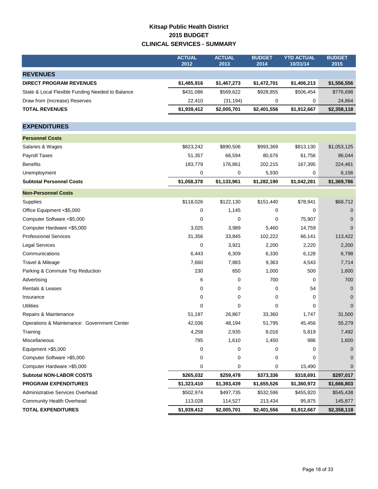## **Kitsap Public Health District 2015 BUDGET CLINICAL SERVICES - SUMMARY**

<span id="page-19-0"></span>

|                                                  | <b>ACTUAL</b><br>2012 | <b>ACTUAL</b><br>2013 | <b>BUDGET</b><br>2014 | <b>YTD ACTUAL</b><br>10/31/14 | <b>BUDGET</b><br>2015 |
|--------------------------------------------------|-----------------------|-----------------------|-----------------------|-------------------------------|-----------------------|
| <b>REVENUES</b>                                  |                       |                       |                       |                               |                       |
| <b>DIRECT PROGRAM REVENUES</b>                   | \$1,485,916           | \$1,467,273           | \$1,472,701           | \$1,406,213                   | \$1,556,556           |
| State & Local Flexible Funding Needed to Balance | \$431,086             | \$569,622             | \$928,855             | \$506,454                     | \$776,698             |
| Draw from (Increase) Reserves                    | 22,410                | (31, 194)             | 0                     | 0                             | 24,864                |
| <b>TOTAL REVENUES</b>                            | \$1,939,412           | \$2,005,701           | \$2,401,556           | \$1,912,667                   | \$2,358,118           |
|                                                  |                       |                       |                       |                               |                       |
| <b>EXPENDITURES</b>                              |                       |                       |                       |                               |                       |
| <b>Personnel Costs</b>                           |                       |                       |                       |                               |                       |
| Salaries & Wages                                 | \$823,242             | \$890,506             | \$993,369             | \$813,130                     | \$1,053,125           |
| Payroll Taxes                                    | 51,357                | 66,594                | 80,676                | 61,756                        | 86,044                |
| <b>Benefits</b>                                  | 183,779               | 176,861               | 202,215               | 167,395                       | 224,461               |
| Unemployment                                     | 0                     | 0                     | 5,930                 | 0                             | 6,156                 |
| <b>Subtotal Personnel Costs</b>                  | \$1,058,378           | \$1,133,961           | \$1,282,190           | \$1,042,281                   | \$1,369,786           |
| <b>Non-Personnel Costs</b>                       |                       |                       |                       |                               |                       |
| Supplies                                         | \$118,026             | \$122,130             | \$151,440             | \$78,941                      | \$68,712              |
| Office Equipment <\$5,000                        | 0                     | 1,145                 | 0                     | 0                             | $\mathbf{0}$          |
| Computer Software <\$5,000                       | 0                     | $\mathbf 0$           | 0                     | 75,907                        | 0                     |
| Computer Hardware <\$5,000                       | 3,025                 | 3,989                 | 5,460                 | 14,759                        | 0                     |
| <b>Professional Services</b>                     | 31,356                | 33,845                | 102,222               | 66,141                        | 113,422               |
| <b>Legal Services</b>                            | 0                     | 3,921                 | 2,200                 | 2,220                         | 2,200                 |
| Communications                                   | 6,443                 | 6,309                 | 6,330                 | 6,128                         | 6,798                 |
| Travel & Mileage                                 | 7,660                 | 7,883                 | 9,363                 | 4,543                         | 7,714                 |
| Parking & Commute Trip Reduction                 | 230                   | 650                   | 1,000                 | 500                           | 1,600                 |
| Advertising                                      | 6                     | 0                     | 700                   | 0                             | 700                   |
| <b>Rentals &amp; Leases</b>                      | 0                     | 0                     | 0                     | 54                            | $\overline{0}$        |
| Insurance                                        | 0                     | 0                     | 0                     | 0                             | 0                     |
| <b>Utilities</b>                                 | 0                     | 0                     | 0                     | 0                             | $\Omega$              |
| Repairs & Maintenance                            | 51,197                | 26,867                | 33,360                | 1,747                         | 31,500                |
| Operations & Maintenance: Government Center      | 42,036                | 48,194                | 51,795                | 45,456                        | 55,279                |
| Training                                         | 4,258                 | 2,935                 | 8,016                 | 5,819                         | 7,492                 |
| Miscellaneous                                    | 795                   | 1,610                 | 1,450                 | 986                           | 1,600                 |
| Equipment >\$5,000                               | 0                     | 0                     | 0                     | 0                             | 0                     |
| Computer Software > \$5,000                      | 0                     | 0                     | 0                     | 0                             |                       |
| Computer Hardware > \$5,000                      | 0                     | 0                     | 0                     | 15,490                        | 0                     |
| <b>Subtotal NON-LABOR COSTS</b>                  | \$265,032             | \$259,478             | \$373,336             | \$318,691                     | \$297,017             |
| <b>PROGRAM EXPENDITURES</b>                      | \$1,323,410           | \$1,393,439           | \$1,655,526           | \$1,360,972                   | \$1,666,803           |
| Administrative Services Overhead                 | \$502,974             | \$497,735             | \$532,596             | \$455,820                     | \$545,438             |
| <b>Community Health Overhead</b>                 | 113,028               | 114,527               | 213,434               | 95,875                        | 145,877               |
| <b>TOTAL EXPENDITURES</b>                        | \$1,939,412           | \$2,005,701           | \$2,401,556           | \$1,912,667                   | \$2,358,118           |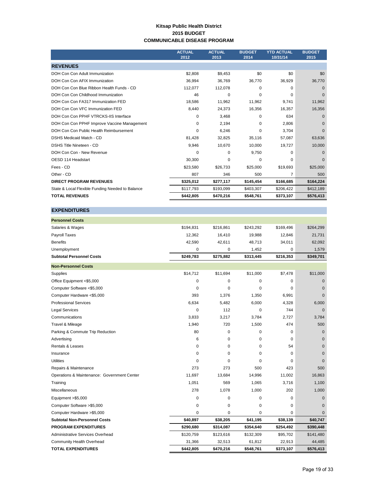#### **Kitsap Public Health District 2015 BUDGET COMMUNICABLE DISEASE PROGRAM**

<span id="page-20-0"></span>

|                                                  | <b>ACTUAL</b><br>2012 | <b>ACTUAL</b><br>2013 | <b>BUDGET</b><br>2014 | <b>YTD ACTUAL</b><br>10/31/14 | <b>BUDGET</b><br>2015 |
|--------------------------------------------------|-----------------------|-----------------------|-----------------------|-------------------------------|-----------------------|
| <b>REVENUES</b>                                  |                       |                       |                       |                               |                       |
| DOH Con Con Adult Immunization                   | \$2,808               | \$9,453               | \$0                   | \$0                           | \$0                   |
| DOH Con Con AFIX Immunization                    | 36.994                | 36.769                | 36,770                | 36,929                        | 36,770                |
| DOH Con Con Blue Ribbon Health Funds - CD        | 112,077               | 112,078               | 0                     | $\Omega$                      | $\mathbf 0$           |
| DOH Con Con Childhood Immunization               | 46                    | 0                     | 0                     | 0                             | $\Omega$              |
| DOH Con Con FA317 Immunization FED               | 18,586                | 11,962                | 11,962                | 9,741                         | 11,962                |
| DOH Con Con VFC Immunization FED                 | 8,440                 | 24,373                | 16,356                | 16,357                        | 16,356                |
| DOH Con Con PPHF VTRCKS-IIS Interface            | $\Omega$              | 3.468                 | $\Omega$              | 634                           | $\Omega$              |
| DOH Con Con PPHF Improve Vaccine Management      | 0                     | 2,194                 | 0                     | 2,806                         | $\Omega$              |
| DOH Con Con Public Health Reimbursement          | $\Omega$              | 6,246                 | $\Omega$              | 3.704                         | $\Omega$              |
| <b>DSHS Medicaid Match - CD</b>                  | 81,428                | 32,825                | 35,116                | 57,087                        | 63,636                |
| <b>DSHS Title Nineteen - CD</b>                  | 9,946                 | 10,670                | 10,000                | 19.727                        | 10,000                |
| DOH Con Con - New Revenue                        | $\Omega$              | 0                     | 9,750                 | 0                             | $\Omega$              |
| OESD 114 Headstart                               | 30,300                | 0                     | $\Omega$              | $\Omega$                      | $\Omega$              |
| Fees - CD                                        | \$23,580              | \$26,733              | \$25,000              | \$19,693                      | \$25,000              |
| Other - CD                                       | 807                   | 346                   | 500                   | 7                             | 500                   |
| <b>DIRECT PROGRAM REVENUES</b>                   | \$325,012             | \$277,117             | \$145,454             | \$166,685                     | \$164,224             |
| State & Local Flexible Funding Needed to Balance | \$117,793             | \$193,099             | \$403,307             | \$206,422                     | \$412,189             |
| <b>TOTAL REVENUES</b>                            | \$442.805             | \$470,216             | \$548,761             | \$373,107                     | \$576,413             |

| <b>Personnel Costs</b>                      |           |           |             |           |              |
|---------------------------------------------|-----------|-----------|-------------|-----------|--------------|
| Salaries & Wages                            | \$194,831 | \$216,861 | \$243,292   | \$169,496 | \$264,299    |
| Payroll Taxes                               | 12,362    | 16,410    | 19,988      | 12,846    | 21,731       |
| <b>Benefits</b>                             | 42,590    | 42,611    | 48,713      | 34,011    | 62,092       |
| Unemployment                                | 0         | 0         | 1,452       | 0         | 1,579        |
| <b>Subtotal Personnel Costs</b>             | \$249,783 | \$275,882 | \$313,445   | \$216,353 | \$349,701    |
| <b>Non-Personnel Costs</b>                  |           |           |             |           |              |
| Supplies                                    | \$14,712  | \$11,694  | \$11,000    | \$7,478   | \$11,000     |
| Office Equipment <\$5,000                   | 0         | 0         | 0           | 0         | $\mathbf 0$  |
| Computer Software <\$5,000                  | 0         | 0         | $\Omega$    | $\Omega$  | $\Omega$     |
| Computer Hardware <\$5,000                  | 393       | 1,376     | 1,350       | 6,991     | $\Omega$     |
| <b>Professional Services</b>                | 6,634     | 5,482     | 6,000       | 4,328     | 6,000        |
| <b>Legal Services</b>                       | 0         | 112       | $\mathbf 0$ | 744       | $\mathbf 0$  |
| Communications                              | 3,833     | 3,217     | 3,784       | 2,727     | 3,784        |
| Travel & Mileage                            | 1,940     | 720       | 1,500       | 474       | 500          |
| Parking & Commute Trip Reduction            | 80        | 0         | 0           | 0         | $\mathbf 0$  |
| Advertising                                 | 6         | 0         | $\Omega$    | $\Omega$  | $\Omega$     |
| <b>Rentals &amp; Leases</b>                 | 0         | 0         | $\Omega$    | 54        | $\mathbf{0}$ |
| Insurance                                   | 0         | 0         | $\mathbf 0$ | 0         | $\mathbf 0$  |
| <b>Utilities</b>                            | 0         | 0         | 0           | 0         | $\mathbf 0$  |
| Repairs & Maintenance                       | 273       | 273       | 500         | 423       | 500          |
| Operations & Maintenance: Government Center | 11.697    | 13,684    | 14,996      | 11,002    | 16,863       |
| Training                                    | 1,051     | 569       | 1,065       | 3,716     | 1,100        |
| Miscellaneous                               | 278       | 1,078     | 1,000       | 202       | 1,000        |
| Equipment > \$5,000                         | 0         | 0         | 0           | 0         | $\mathbf 0$  |
| Computer Software >\$5,000                  | 0         | 0         | 0           | 0         | $\mathbf 0$  |
| Computer Hardware >\$5,000                  | 0         | 0         | 0           | 0         | $\mathbf{0}$ |
| <b>Subtotal Non-Personnel Costs</b>         | \$40,897  | \$38,205  | \$41,195    | \$38,139  | \$40,747     |
| <b>PROGRAM EXPENDITURES</b>                 | \$290,680 | \$314,087 | \$354,640   | \$254,492 | \$390,448    |
| Administrative Services Overhead            | \$120,759 | \$123,616 | \$132,309   | \$95,702  | \$141,480    |
| Community Health Overhead                   | 31,366    | 32,513    | 61,812      | 22,913    | 44,485       |
| <b>TOTAL EXPENDITURES</b>                   | \$442.805 | \$470,216 | \$548,761   | \$373,107 | \$576,413    |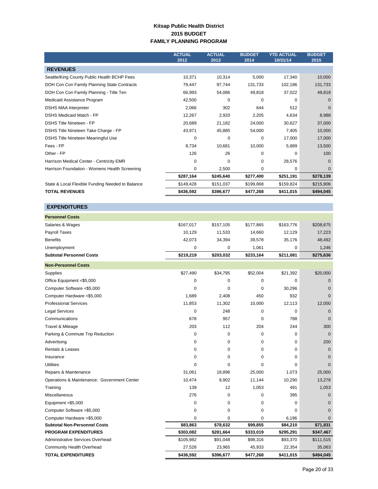#### **Kitsap Public Health District 2015 BUDGET FAMILY PLANNING PROGRAM**

<span id="page-21-0"></span>

|                                                  | <b>ACTUAL</b><br>2012 | <b>ACTUAL</b><br>2013 | <b>BUDGET</b><br>2014 | <b>YTD ACTUAL</b><br>10/31/14 | <b>BUDGET</b><br>2015 |
|--------------------------------------------------|-----------------------|-----------------------|-----------------------|-------------------------------|-----------------------|
| <b>REVENUES</b>                                  |                       |                       |                       |                               |                       |
| Seattle/King County Public Health BCHP Fees      | 10,371                | 10,314                | 5,000                 | 17,340                        | 10,000                |
| DOH Con Con Family Planning State Contracts      | 79,447                | 97,744                | 131,733               | 102,186                       | 131,733               |
| DOH Con Con Family Planning - Title Ten          | 66,993                | 54,086                | 49,818                | 37,022                        | 49,818                |
| Medicaid Assistance Program                      | 42,500                | 0                     | $\mathbf 0$           | 0                             | $\Omega$              |
| <b>DSHS MAA Interpreter</b>                      | 2,066                 | 302                   | 644                   | 512                           | $\Omega$              |
| DSHS Medicaid Match - FP                         | 12,267                | 2,920                 | 2,205                 | 4,634                         | 8,988                 |
| <b>DSHS Title Nineteen - FP</b>                  | 20,689                | 21,182                | 24,000                | 30,627                        | 37,000                |
| DSHS Title Nineteen Take Charge - FP             | 43,971                | 45,885                | 54,000                | 7,405                         | 10,000                |
| DSHS Title Nineteen Meaningful Use               | 0                     | $\Omega$              | 0                     | 17,000                        | 17,000                |
| Fees - FP                                        | 8,734                 | 10,681                | 10,000                | 5,889                         | 13,500                |
| Other - FP                                       | 126                   | 26                    | $\mathbf 0$           | 0                             | 100                   |
| Harrison Medical Center - Centricity EMR         | 0                     | $\Omega$              | 0                     | 28,576                        | $\Omega$              |
| Harrison Foundation - Womens Health Screening    | 0                     | 2,500                 | 0                     | 0                             | $\Omega$              |
|                                                  | \$287,164             | \$245,640             | \$277,400             | \$251,191                     | \$278,139             |
| State & Local Flexible Funding Needed to Balance | \$149,428             | \$151,037             | \$199,868             | \$159,824                     | \$215,906             |
| <b>TOTAL REVENUES</b>                            | \$436,592             | \$396,677             | \$477,268             | \$411,015                     | \$494,045             |

| <b>Personnel Costs</b>                      |             |           |             |           |              |
|---------------------------------------------|-------------|-----------|-------------|-----------|--------------|
| Salaries & Wages                            | \$167,017   | \$157,105 | \$177,865   | \$163,776 | \$208,675    |
| Payroll Taxes                               | 10,129      | 11,533    | 14,660      | 12,129    | 17,223       |
| <b>Benefits</b>                             | 42,073      | 34,394    | 39,578      | 35,176    | 48,492       |
| Unemployment                                | 0           | 0         | 1,061       | 0         | 1,246        |
| <b>Subtotal Personnel Costs</b>             | \$219,219   | \$203,032 | \$233,164   | \$211,081 | \$275,636    |
| <b>Non-Personnel Costs</b>                  |             |           |             |           |              |
| Supplies                                    | \$27,490    | \$34,795  | \$52,004    | \$21,392  | \$20,000     |
| Office Equipment <\$5,000                   | 0           | $\Omega$  | $\mathbf 0$ | 0         | $\Omega$     |
| Computer Software <\$5,000                  | $\mathbf 0$ | $\Omega$  | $\mathbf 0$ | 30,296    | $\Omega$     |
| Computer Hardware <\$5,000                  | 1,689       | 2,408     | 450         | 932       | $\Omega$     |
| <b>Professional Services</b>                | 11,853      | 11,302    | 10,000      | 12,113    | 12,000       |
| <b>Legal Services</b>                       | $\mathbf 0$ | 248       | 0           | 0         | $\mathbf{0}$ |
| Communications                              | 678         | 957       | $\mathbf 0$ | 788       | $\mathbf{0}$ |
| Travel & Mileage                            | 203         | 112       | 204         | 244       | 300          |
| Parking & Commute Trip Reduction            | $\mathbf 0$ | 0         | $\mathbf 0$ | 0         | $\Omega$     |
| Advertising                                 | 0           | 0         | $\mathbf 0$ | 0         | 200          |
| <b>Rentals &amp; Leases</b>                 | $\mathbf 0$ | 0         | $\mathbf 0$ | 0         | $\mathbf{0}$ |
| Insurance                                   | $\mathbf 0$ | 0         | $\mathbf 0$ | 0         | $\Omega$     |
| <b>Utilities</b>                            | 0           | 0         | $\mathbf 0$ | 0         | $\Omega$     |
| Repairs & Maintenance                       | 31,061      | 18,896    | 25,000      | 1,073     | 25,000       |
| Operations & Maintenance: Government Center | 10,474      | 9,902     | 11,144      | 10,290    | 13,278       |
| Training                                    | 139         | 12        | 1,053       | 491       | 1,053        |
| Miscellaneous                               | 276         | 0         | $\mathbf 0$ | 395       | $\mathbf{0}$ |
| Equipment > \$5,000                         | $\mathbf 0$ | 0         | 0           | 0         | $\mathbf{0}$ |
| Computer Software >\$5,000                  | $\mathbf 0$ | 0         | 0           | 0         | $\Omega$     |
| Computer Hardware > \$5,000                 | $\mathbf 0$ | 0         | $\mathbf 0$ | 6,196     | $\Omega$     |
| <b>Subtotal Non-Personnel Costs</b>         | \$83,863    | \$78,632  | \$99,855    | \$84,210  | \$71,831     |
| <b>PROGRAM EXPENDITURES</b>                 | \$303,082   | \$281,664 | \$333,019   | \$295,291 | \$347,467    |
| Administrative Services Overhead            | \$105,982   | \$91,048  | \$98,316    | \$93,370  | \$111,515    |
| Community Health Overhead                   | 27,528      | 23,965    | 45,933      | 22,354    | 35,063       |
| <b>TOTAL EXPENDITURES</b>                   | \$436,592   | \$396,677 | \$477,268   | \$411,015 | \$494,045    |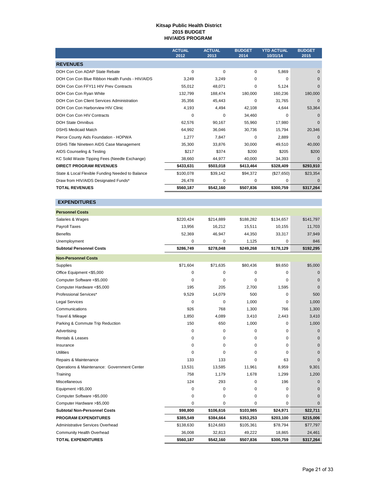#### **Kitsap Public Health District 2015 BUDGET HIV/AIDS PROGRAM**

<span id="page-22-0"></span>

|                                                  | <b>ACTUAL</b><br>2012 | <b>ACTUAL</b><br>2013 | <b>BUDGET</b><br>2014 | <b>YTD ACTUAL</b><br>10/31/14 | <b>BUDGET</b><br>2015 |
|--------------------------------------------------|-----------------------|-----------------------|-----------------------|-------------------------------|-----------------------|
| <b>REVENUES</b>                                  |                       |                       |                       |                               |                       |
| DOH Con Con ADAP State Rebate                    | $\Omega$              | $\Omega$              | $\Omega$              | 5.869                         | $\Omega$              |
| DOH Con Con Blue Ribbon Health Funds - HIV/AIDS  | 3,249                 | 3,249                 | 0                     | $\Omega$                      | $\Omega$              |
| DOH Con Con FFY11 HIV Prev Contracts             | 55,012                | 48,071                | 0                     | 5,124                         | $\mathbf 0$           |
| DOH Con Con Ryan White                           | 132.799               | 188.474               | 180.000               | 160,236                       | 180,000               |
| DOH Con Con Client Services Administration       | 35,356                | 45.443                | 0                     | 31,765                        | $\mathbf 0$           |
| DOH Con Con Harborview HIV Clinic                | 4,193                 | 4.494                 | 42.108                | 4.644                         | 53,364                |
| DOH Con Con HIV Contracts                        | $\mathbf 0$           | 0                     | 34,460                | $\Omega$                      | $\Omega$              |
| <b>DOH State Omnibus</b>                         | 62.576                | 90.167                | 55,960                | 17.980                        | $\Omega$              |
| <b>DSHS Medicaid Match</b>                       | 64,992                | 36,046                | 30,736                | 15,794                        | 20,346                |
| Pierce County Aids Foundation - HOPWA            | 1.277                 | 7.847                 | 0                     | 2.889                         | $\Omega$              |
| DSHS Title Nineteen AIDS Case Management         | 35,300                | 33.876                | 30,000                | 49,510                        | 40,000                |
| AIDS Counseling & Testing                        | \$217                 | \$374                 | \$200                 | \$205                         | \$200                 |
| KC Solid Waste Tipping Fees (Needle Exchange)    | 38,660                | 44,977                | 40,000                | 34,393                        | $\Omega$              |
| <b>DIRECT PROGRAM REVENUES</b>                   | \$433,631             | \$503,018             | \$413,464             | \$328,409                     | \$293,910             |
| State & Local Flexible Funding Needed to Balance | \$100,078             | \$39,142              | \$94,372              | (\$27,650)                    | \$23,354              |
| Draw from HIV/AIDS Designated Funds*             | 26,478                | 0                     | 0                     | 0                             | 0                     |
| <b>TOTAL REVENUES</b>                            | \$560,187             | \$542,160             | \$507,836             | \$300,759                     | \$317,264             |

| <b>Personnel Costs</b>                      |             |             |             |             |              |
|---------------------------------------------|-------------|-------------|-------------|-------------|--------------|
| Salaries & Wages                            | \$220,424   | \$214,889   | \$188,282   | \$134,657   | \$141,797    |
| Payroll Taxes                               | 13,956      | 16,212      | 15,511      | 10,155      | 11,703       |
| <b>Benefits</b>                             | 52,369      | 46,947      | 44,350      | 33,317      | 37,949       |
| Unemployment                                | 0           | 0           | 1,125       | 0           | 846          |
| <b>Subtotal Personnel Costs</b>             | \$286,749   | \$278,048   | \$249,268   | \$178,129   | \$192,295    |
| <b>Non-Personnel Costs</b>                  |             |             |             |             |              |
| Supplies                                    | \$71,604    | \$71,635    | \$80,436    | \$9,650     | \$5,000      |
| Office Equipment <\$5,000                   | 0           | 0           | 0           | 0           | $\Omega$     |
| Computer Software <\$5,000                  | 0           | 0           | 0           | $\Omega$    | $\Omega$     |
| Computer Hardware <\$5,000                  | 195         | 205         | 2,700       | 1,595       | $\Omega$     |
| Professional Services*                      | 9,529       | 14,079      | 500         | 0           | 500          |
| <b>Legal Services</b>                       | 0           | 0           | 1,000       | 0           | 1,000        |
| Communications                              | 926         | 768         | 1,300       | 766         | 1,300        |
| Travel & Mileage                            | 1,850       | 4,089       | 3,410       | 2,443       | 3,410        |
| Parking & Commute Trip Reduction            | 150         | 650         | 1,000       | $\Omega$    | 1,000        |
| Advertising                                 | $\pmb{0}$   | $\mathbf 0$ | 0           | $\mathbf 0$ | $\mathbf{0}$ |
| <b>Rentals &amp; Leases</b>                 | 0           | $\mathbf 0$ | 0           | 0           | $\mathbf{0}$ |
| Insurance                                   | 0           | $\mathbf 0$ | $\mathbf 0$ | 0           | $\mathbf{0}$ |
| <b>Utilities</b>                            | $\mathbf 0$ | $\mathbf 0$ | 0           | $\Omega$    | $\Omega$     |
| Repairs & Maintenance                       | 133         | 133         | $\mathbf 0$ | 63          | $\Omega$     |
| Operations & Maintenance: Government Center | 13,531      | 13,585      | 11,961      | 8,959       | 9,301        |
| Training                                    | 758         | 1,179       | 1,678       | 1,299       | 1,200        |
| Miscellaneous                               | 124         | 293         | $\mathbf 0$ | 196         | $\mathbf{0}$ |
| Equipment >\$5,000                          | 0           | 0           | 0           | 0           | $\mathbf{0}$ |
| Computer Software >\$5,000                  | 0           | $\mathbf 0$ | 0           | 0           | $\Omega$     |
| Computer Hardware >\$5,000                  | $\mathbf 0$ | $\mathbf 0$ | $\mathbf 0$ | 0           | $\Omega$     |
| <b>Subtotal Non-Personnel Costs</b>         | \$98,800    | \$106,616   | \$103,985   | \$24,971    | \$22,711     |
| <b>PROGRAM EXPENDITURES</b>                 | \$385,549   | \$384,664   | \$353,253   | \$203,100   | \$215,006    |
| Administrative Services Overhead            | \$138,630   | \$124,683   | \$105,361   | \$78,794    | \$77,797     |
| <b>Community Health Overhead</b>            | 36,008      | 32,813      | 49,222      | 18,865      | 24,461       |
| <b>TOTAL EXPENDITURES</b>                   | \$560,187   | \$542,160   | \$507,836   | \$300,759   | \$317,264    |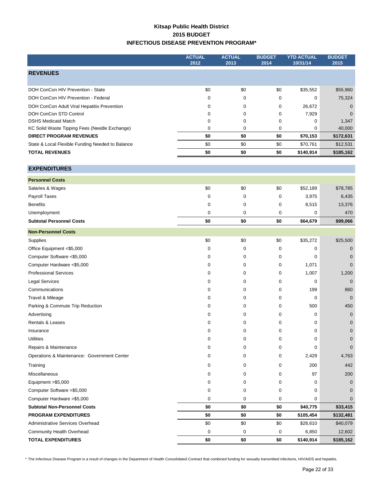### **Kitsap Public Health District 2015 BUDGET INFECTIOUS DISEASE PREVENTION PROGRAM\***

<span id="page-23-0"></span>

|                                                  | <b>ACTUAL</b><br>2012 | <b>ACTUAL</b><br>2013 | <b>BUDGET</b><br>2014 | <b>YTD ACTUAL</b><br>10/31/14 | <b>BUDGET</b><br>2015 |
|--------------------------------------------------|-----------------------|-----------------------|-----------------------|-------------------------------|-----------------------|
|                                                  |                       |                       |                       |                               |                       |
| <b>REVENUES</b>                                  |                       |                       |                       |                               |                       |
| DOH ConCon HIV Prevention - State                | \$0                   | \$0                   | \$0                   | \$35,552                      | \$55,960              |
| DOH ConCon HIV Prevention - Federal              | 0                     | 0                     | 0                     | 0                             | 75,324                |
| DOH ConCon Adult Viral Hepatitis Prevention      | 0                     | 0                     | 0                     | 26,672                        | 0                     |
| DOH ConCon STD Control                           | 0                     | 0                     | 0                     | 7,929                         | 0                     |
| <b>DSHS Medicaid Match</b>                       | 0                     | 0                     | 0                     | 0                             | 1,347                 |
| KC Solid Waste Tipping Fees (Needle Exchange)    | 0                     | 0                     | 0                     | 0                             | 40,000                |
| <b>DIRECT PROGRAM REVENUES</b>                   | \$0                   | \$0                   | \$0                   | \$70,153                      | \$172,631             |
| State & Local Flexible Funding Needed to Balance | \$0                   | \$0                   | \$0                   | \$70,761                      | \$12,531              |
| <b>TOTAL REVENUES</b>                            | \$0                   | \$0                   | \$0                   | \$140,914                     | \$185,162             |
|                                                  |                       |                       |                       |                               |                       |
| <b>EXPENDITURES</b>                              |                       |                       |                       |                               |                       |
| <b>Personnel Costs</b>                           |                       |                       |                       |                               |                       |
| Salaries & Wages                                 | \$0                   | \$0                   | \$0                   | \$52,189                      | \$78,785              |
| Payroll Taxes                                    | 0                     | 0                     | 0                     | 3,975                         | 6,435                 |
| <b>Benefits</b>                                  | 0                     | 0                     | 0                     | 8,515                         | 13,376                |
| Unemployment                                     | 0                     | 0                     | 0                     | 0                             | 470                   |
| <b>Subtotal Personnel Costs</b>                  | \$0                   | \$0                   | \$0                   | \$64,679                      | \$99,066              |
| <b>Non-Personnel Costs</b>                       |                       |                       |                       |                               |                       |
| Supplies                                         | \$0                   | \$0                   | \$0                   | \$35,272                      | \$25,500              |
| Office Equipment <\$5,000                        | 0                     | 0                     | 0                     | 0                             | 0                     |
| Computer Software <\$5,000                       | 0                     | 0                     | 0                     | 0                             | 0                     |
| Computer Hardware <\$5,000                       | 0                     | 0                     | 0                     | 1,071                         | $\mathbf{0}$          |
| <b>Professional Services</b>                     | 0                     | 0                     | 0                     | 1,007                         | 1,200                 |
| <b>Legal Services</b>                            | 0                     | 0                     | 0                     | 0                             | $\mathbf 0$           |
| Communications                                   | 0                     | 0                     | 0                     | 199                           | 860                   |
| Travel & Mileage                                 | 0                     | 0                     | 0                     | 0                             | 0                     |
| Parking & Commute Trip Reduction                 | 0                     | 0                     | 0                     | 500                           | 450                   |
| Advertising                                      | 0                     | 0                     | 0                     | 0                             | 0                     |
| Rentals & Leases                                 | 0                     | $\mathbf 0$           | 0                     | 0                             | 0                     |
| Insurance                                        | 0                     | 0                     | 0                     | 0                             | $\mathbf 0$           |
| <b>Utilities</b>                                 | 0                     | 0                     | 0                     | 0                             | 0                     |
| Repairs & Maintenance                            | 0                     | 0                     | 0                     | 0                             | $\mathbf{0}$          |
| Operations & Maintenance: Government Center      | 0                     | 0                     | 0                     | 2,429                         | 4,763                 |
| Training                                         | 0                     | 0                     | 0                     | 200                           | 442                   |
| <b>Miscellaneous</b>                             | 0                     | 0                     | 0                     | 97                            | 200                   |
| Equipment >\$5,000                               | 0                     | 0                     | 0                     | 0                             | 0                     |
| Computer Software > \$5,000                      | 0                     | 0                     | 0                     | 0                             | 0                     |
| Computer Hardware > \$5,000                      | 0                     | $\mathbf 0$           | 0                     | 0                             | 0                     |
| <b>Subtotal Non-Personnel Costs</b>              | \$0                   | \$0                   | \$0                   | \$40,775                      | \$33,415              |
| <b>PROGRAM EXPENDITURES</b>                      | \$0                   | \$0                   | \$0                   | \$105,454                     | \$132,481             |
| Administrative Services Overhead                 | \$0                   | \$0                   | \$0                   | \$28,610                      | \$40,079              |
| Community Health Overhead                        | 0                     | 0                     | 0                     | 6,850                         | 12,602                |
| <b>TOTAL EXPENDITURES</b>                        | \$0                   | \$0                   | \$0                   | \$140,914                     | \$185,162             |

\* The Infectious Disease Program is a result of changes in the Department of Health Consolidated Contract that combined funding for sexually transmitted infections, HIV/AIDS and hepatitis.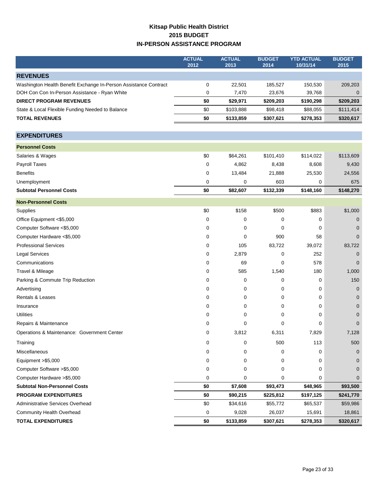### **Kitsap Public Health District 2015 BUDGET IN-PERSON ASSISTANCE PROGRAM**

<span id="page-24-0"></span>

|                                                                  | <b>ACTUAL</b><br>2012 | <b>ACTUAL</b><br>2013 | <b>BUDGET</b><br>2014 | <b>YTD ACTUAL</b><br>10/31/14 | <b>BUDGET</b><br>2015 |
|------------------------------------------------------------------|-----------------------|-----------------------|-----------------------|-------------------------------|-----------------------|
| <b>REVENUES</b>                                                  |                       |                       |                       |                               |                       |
| Washington Health Benefit Exchange In-Person Assistance Contract | 0                     | 22,501                | 185,527               | 150,530                       | 209,203               |
| DOH Con Con In-Person Assistance - Ryan White                    | 0                     | 7,470                 | 23,676                | 39,768                        | $\mathbf 0$           |
| <b>DIRECT PROGRAM REVENUES</b>                                   | \$0                   | \$29,971              | \$209,203             | \$190,298                     | \$209,203             |
| State & Local Flexible Funding Needed to Balance                 | \$0                   | \$103,888             | \$98,418              | \$88,055                      | \$111,414             |
| <b>TOTAL REVENUES</b>                                            | \$0                   | \$133,859             | \$307,621             | \$278,353                     | \$320,617             |
| <b>EXPENDITURES</b>                                              |                       |                       |                       |                               |                       |
| <b>Personnel Costs</b>                                           |                       |                       |                       |                               |                       |
| Salaries & Wages                                                 | \$0                   | \$64,261              | \$101,410             | \$114,022                     | \$113,609             |
| Payroll Taxes                                                    | 0                     | 4,862                 | 8,438                 | 8,608                         | 9,430                 |
| <b>Benefits</b>                                                  | 0                     | 13,484                | 21,888                | 25,530                        | 24,556                |
| Unemployment                                                     | 0                     | 0                     | 603                   | 0                             | 675                   |
| <b>Subtotal Personnel Costs</b>                                  | \$0                   | \$82,607              | \$132,339             | \$148,160                     | \$148,270             |
| <b>Non-Personnel Costs</b>                                       |                       |                       |                       |                               |                       |
| Supplies                                                         | \$0                   | \$158                 | \$500                 | \$883                         | \$1,000               |
| Office Equipment <\$5,000                                        | 0                     | 0                     | 0                     | 0                             | $\mathbf 0$           |
| Computer Software <\$5,000                                       | 0                     | 0                     | 0                     | 0                             | $\mathbf{0}$          |
| Computer Hardware <\$5,000                                       | 0                     | 0                     | 900                   | 58                            | $\Omega$              |
| <b>Professional Services</b>                                     | 0                     | 105                   | 83,722                | 39,072                        | 83,722                |
| <b>Legal Services</b>                                            | 0                     | 2,879                 | 0                     | 252                           | $\mathbf 0$           |
| Communications                                                   | 0                     | 69                    | 0                     | 578                           | $\mathbf 0$           |
| Travel & Mileage                                                 | 0                     | 585                   | 1,540                 | 180                           | 1,000                 |
| Parking & Commute Trip Reduction                                 | 0                     | 0                     | 0                     | 0                             | 150                   |
| Advertising                                                      | 0                     | 0                     | 0                     | 0                             | $\mathbf 0$           |
| <b>Rentals &amp; Leases</b>                                      | 0                     | 0                     | 0                     | 0                             | $\mathbf 0$           |
| Insurance                                                        | 0                     | 0                     | 0                     | 0                             | $\mathbf{0}$          |
| <b>Utilities</b>                                                 | 0                     | 0                     | 0                     | 0                             | $\mathbf 0$           |
| Repairs & Maintenance                                            | 0                     | 0                     | 0                     | 0                             | $\mathbf 0$           |
| Operations & Maintenance: Government Center                      | 0                     | 3,812                 | 6,311                 | 7,829                         | 7,128                 |
| Training                                                         | 0                     | 0                     | 500                   | 113                           | 500                   |
| Miscellaneous                                                    | 0                     | 0                     | 0                     | 0                             | $\mathbf{0}$          |
| Equipment > \$5,000                                              | 0                     | 0                     | 0                     | 0                             | 0                     |
| Computer Software > \$5,000                                      | 0                     | 0                     | 0                     | 0                             | $\mathbf{0}$          |
| Computer Hardware > \$5,000                                      | 0                     | 0                     | 0                     | 0                             | $\mathbf 0$           |
| <b>Subtotal Non-Personnel Costs</b>                              | \$0                   | \$7,608               | \$93,473              | \$48,965                      | \$93,500              |
| <b>PROGRAM EXPENDITURES</b>                                      | \$0                   | \$90,215              | \$225,812             | \$197,125                     | \$241,770             |
| Administrative Services Overhead                                 | \$0                   | \$34,616              | \$55,772              | \$65,537                      | \$59,986              |
| Community Health Overhead                                        | 0                     | 9,028                 | 26,037                | 15,691                        | 18,861                |
| <b>TOTAL EXPENDITURES</b>                                        | \$0                   | \$133,859             | \$307,621             | \$278,353                     | \$320,617             |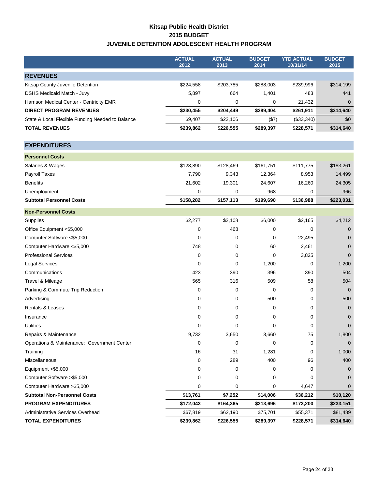### **Kitsap Public Health District 2015 BUDGET JUVENILE DETENTION ADOLESCENT HEALTH PROGRAM**

<span id="page-25-0"></span>

|                                                  | <b>ACTUAL</b><br>2012 | <b>ACTUAL</b><br>2013 | <b>BUDGET</b><br>2014 | <b>YTD ACTUAL</b><br>10/31/14 | <b>BUDGET</b><br>2015 |
|--------------------------------------------------|-----------------------|-----------------------|-----------------------|-------------------------------|-----------------------|
| <b>REVENUES</b>                                  |                       |                       |                       |                               |                       |
| Kitsap County Juvenile Detention                 | \$224,558             | \$203,785             | \$288,003             | \$239,996                     | \$314,199             |
| <b>DSHS Medicaid Match - Juvy</b>                | 5,897                 | 664                   | 1,401                 | 483                           | 441                   |
| Harrison Medical Center - Centricity EMR         | 0                     | 0                     | 0                     | 21,432                        | $\mathbf 0$           |
| <b>DIRECT PROGRAM REVENUES</b>                   | \$230,455             | \$204,449             | \$289,404             | \$261,911                     | \$314,640             |
| State & Local Flexible Funding Needed to Balance | \$9,407               | \$22,106              | (\$7)                 | (\$33,340)                    | \$0                   |
| <b>TOTAL REVENUES</b>                            | \$239,862             | \$226,555             | \$289,397             | \$228,571                     | \$314,640             |
|                                                  |                       |                       |                       |                               |                       |
| <b>EXPENDITURES</b>                              |                       |                       |                       |                               |                       |
| <b>Personnel Costs</b>                           |                       |                       |                       |                               |                       |
| Salaries & Wages                                 | \$128,890             | \$128,469             | \$161,751             | \$111,775                     | \$183,261             |
| Payroll Taxes                                    | 7,790                 | 9,343                 | 12,364                | 8,953                         | 14,499                |
| <b>Benefits</b>                                  | 21,602                | 19,301                | 24,607                | 16,260                        | 24,305                |
| Unemployment                                     | 0                     | 0                     | 968                   | 0                             | 966                   |
| <b>Subtotal Personnel Costs</b>                  | \$158,282             | \$157,113             | \$199,690             | \$136,988                     | \$223,031             |
| <b>Non-Personnel Costs</b>                       |                       |                       |                       |                               |                       |
| Supplies                                         | \$2,277               | \$2,108               | \$6,000               | \$2,165                       | \$4,212               |
| Office Equipment <\$5,000                        | 0                     | 468                   | 0                     | 0                             | $\mathbf{0}$          |
| Computer Software <\$5,000                       | 0                     | 0                     | 0                     | 22,495                        | $\mathbf{0}$          |
| Computer Hardware <\$5,000                       | 748                   | 0                     | 60                    | 2,461                         | $\mathbf 0$           |
| <b>Professional Services</b>                     | 0                     | 0                     | 0                     | 3,825                         | $\mathbf{0}$          |
| <b>Legal Services</b>                            | 0                     | 0                     | 1,200                 | 0                             | 1,200                 |
| Communications                                   | 423                   | 390                   | 396                   | 390                           | 504                   |
| Travel & Mileage                                 | 565                   | 316                   | 509                   | 58                            | 504                   |
| Parking & Commute Trip Reduction                 | 0                     | 0                     | 0                     | 0                             | $\mathbf 0$           |
| Advertising                                      | 0                     | 0                     | 500                   | 0                             | 500                   |
| Rentals & Leases                                 | 0                     | 0                     | 0                     | 0                             | $\mathbf{0}$          |
| Insurance                                        | 0                     | 0                     | 0                     | 0                             | $\mathbf 0$           |
| <b>Utilities</b>                                 | 0                     | 0                     | 0                     | 0                             | $\mathbf 0$           |
| Repairs & Maintenance                            | 9,732                 | 3,650                 | 3,660                 | 75                            | 1,800                 |
| Operations & Maintenance: Government Center      | 0                     | 0                     | 0                     | 0                             | $\overline{0}$        |
| Training                                         | 16                    | 31                    | 1,281                 | 0                             | 1,000                 |
| Miscellaneous                                    | 0                     | 289                   | 400                   | 96                            | 400                   |
| Equipment >\$5,000                               | 0                     | 0                     | 0                     | 0                             | $\overline{0}$        |
| Computer Software >\$5,000                       | 0                     | 0                     | 0                     | 0                             | $\overline{0}$        |
| Computer Hardware > \$5,000                      | 0                     | 0                     | 0                     | 4,647                         | $\mathbf 0$           |
| <b>Subtotal Non-Personnel Costs</b>              | \$13,761              | \$7,252               | \$14,006              | \$36,212                      | \$10,120              |
| <b>PROGRAM EXPENDITURES</b>                      | \$172,043             | \$164,365             | \$213,696             | \$173,200                     | \$233,151             |
| <b>Administrative Services Overhead</b>          | \$67,819              | \$62,190              | \$75,701              | \$55,371                      | \$81,489              |
| <b>TOTAL EXPENDITURES</b>                        | \$239,862             | \$226,555             | \$289,397             | \$228,571                     | \$314,640             |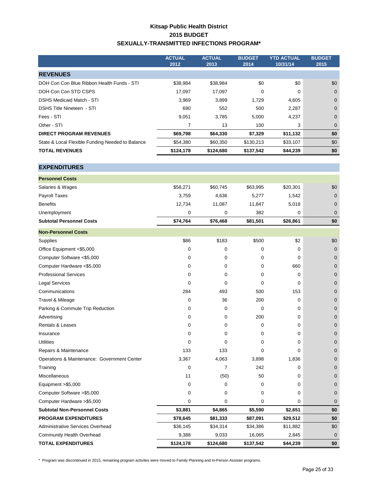### **Kitsap Public Health District 2015 BUDGET SEXUALLY-TRANSMITTED INFECTIONS PROGRAM\***

<span id="page-26-0"></span>

|                                                  | <b>ACTUAL</b><br>2012 | <b>ACTUAL</b><br>2013 | <b>BUDGET</b><br>2014 | <b>YTD ACTUAL</b><br>10/31/14 | <b>BUDGET</b><br>2015 |
|--------------------------------------------------|-----------------------|-----------------------|-----------------------|-------------------------------|-----------------------|
| <b>REVENUES</b>                                  |                       |                       |                       |                               |                       |
| DOH Con Con Blue Ribbon Health Funds - STI       | \$38,984              | \$38,984              | \$0                   | \$0                           | \$0                   |
| DOH Con Con STD CSPS                             | 17,097                | 17,097                | 0                     | 0                             | $\mathbf 0$           |
| <b>DSHS Medicaid Match - STI</b>                 | 3,969                 | 3,899                 | 1,729                 | 4,605                         | $\mathbf 0$           |
| DSHS Title Nineteen - STI                        | 690                   | 552                   | 500                   | 2,287                         | $\mathbf 0$           |
| Fees - STI                                       | 9,051                 | 3,785                 | 5,000                 | 4,237                         | $\mathbf 0$           |
| Other - STI                                      | 7                     | 13                    | 100                   | 3                             | $\mathbf 0$           |
| <b>DIRECT PROGRAM REVENUES</b>                   | \$69,798              | \$64,330              | \$7,329               | \$11,132                      | \$0                   |
| State & Local Flexible Funding Needed to Balance | \$54,380              | \$60,350              | \$130,213             | \$33,107                      | \$0                   |
| <b>TOTAL REVENUES</b>                            | \$124,178             | \$124,680             | \$137,542             | \$44,239                      | \$0                   |
| <b>EXPENDITURES</b>                              |                       |                       |                       |                               |                       |
| <b>Personnel Costs</b>                           |                       |                       |                       |                               |                       |
| Salaries & Wages                                 | \$58,271              | \$60,745              | \$63,995              | \$20,301                      | \$0                   |
| Payroll Taxes                                    | 3,759                 | 4,636                 | 5,277                 | 1,542                         | 0                     |
| <b>Benefits</b>                                  | 12,734                | 11,087                | 11,847                | 5,018                         | $\mathbf 0$           |
| Unemployment                                     | 0                     | 0                     | 382                   | 0                             | $\mathbf 0$           |
| <b>Subtotal Personnel Costs</b>                  | \$74,764              | \$76,468              | \$81,501              | \$26,861                      | \$0                   |
| <b>Non-Personnel Costs</b>                       |                       |                       |                       |                               |                       |
| Supplies                                         | \$86                  | \$183                 | \$500                 | \$2                           | \$0                   |
| Office Equipment <\$5,000                        | 0                     | 0                     | 0                     | 0                             | $\mathbf 0$           |
| Computer Software <\$5,000                       | 0                     | 0                     | 0                     | 0                             | $\pmb{0}$             |
| Computer Hardware <\$5,000                       | 0                     | 0                     | 0                     | 660                           | $\mathbf 0$           |
| <b>Professional Services</b>                     | 0                     | 0                     | 0                     | 0                             | $\mathbf 0$           |
| <b>Legal Services</b>                            | $\mathbf 0$           | 0                     | $\mathbf 0$           | 0                             | $\mathbf 0$           |
| Communications                                   | 284                   | 493                   | 500                   | 153                           | $\mathbf 0$           |
| Travel & Mileage                                 | 0                     | 36                    | 200                   | 0                             | $\mathbf 0$           |
| Parking & Commute Trip Reduction                 | 0                     | 0                     | 0                     | 0                             | $\mathbf 0$           |
| Advertising                                      | 0                     | 0                     | 200                   | 0                             | $\pmb{0}$             |
| Rentals & Leases                                 | $\mathbf 0$           | 0                     | $\mathbf 0$           | 0                             | $\mathbf 0$           |
| Insurance                                        | 0                     | 0                     | 0                     | 0                             | 0                     |
| <b>Utilities</b>                                 | $\mathbf 0$           | $\mathbf 0$           | 0                     | 0                             | $\mathbf{0}$          |
| Repairs & Maintenance                            | 133                   | 133                   | 0                     | 0                             | $\mathbf 0$           |
| Operations & Maintenance: Government Center      | 3,367                 | 4,063                 | 3,898                 | 1,836                         | $\mathbf{0}$          |
| Training                                         | 0                     | $\overline{7}$        | 242                   | 0                             | $\mathbf 0$           |
| Miscellaneous                                    | 11                    | (50)                  | 50                    | 0                             | 0                     |
| Equipment >\$5,000                               | 0                     | 0                     | 0                     | 0                             | 0                     |
| Computer Software > \$5,000                      | 0                     | 0                     | 0                     | 0                             | 0                     |
| Computer Hardware > \$5,000                      | 0                     | 0                     | 0                     | 0                             | 0                     |
|                                                  |                       |                       |                       |                               |                       |

**Subtotal Non-Personnel Costs \$3,881 \$4,865 \$5,590 \$2,651 \$0 PROGRAM EXPENDITURES \$78,645 \$81,333 \$87,091 \$29,512 \$0** Administrative Services Overhead **636,145** \$36,145 \$34,314 \$34,386 \$11,882 \$0 Community Health Overhead 9,388 9,033 16,065 2,845 0 **TOTAL EXPENDITURES \$124,178 \$124,680 \$137,542 \$44,239 \$0**

\* Program was discontinued in 2015, remaining program activites were moved to Family Planning and In-Person Assister programs.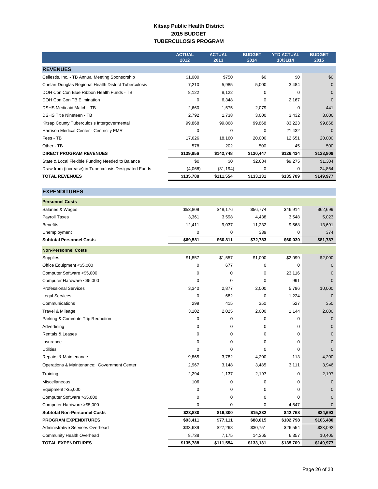#### **Kitsap Public Health District 2015 BUDGET TUBERCULOSIS PROGRAM**

<span id="page-27-0"></span>

|                                                       | <b>ACTUAL</b><br>2012 | <b>ACTUAL</b><br>2013 | <b>BUDGET</b><br>2014 | <b>YTD ACTUAL</b><br>10/31/14 | <b>BUDGET</b><br>2015 |
|-------------------------------------------------------|-----------------------|-----------------------|-----------------------|-------------------------------|-----------------------|
| <b>REVENUES</b>                                       |                       |                       |                       |                               |                       |
| Cellestis, Inc. - TB Annual Meeting Sponsorship       | \$1,000               | \$750                 | \$0                   | \$0                           | \$0                   |
| Chelan-Douglas Regional Health District Tuberculosis  | 7,210                 | 5,985                 | 5,000                 | 3,484                         | $\Omega$              |
| DOH Con Con Blue Ribbon Health Funds - TB             | 8,122                 | 8,122                 | $\mathbf 0$           | 0                             | $\mathbf{0}$          |
| DOH Con Con TB Elimination                            | $\Omega$              | 6,348                 | $\Omega$              | 2,167                         | $\Omega$              |
| <b>DSHS Medicaid Match - TB</b>                       | 2,660                 | 1,575                 | 2,079                 | $\Omega$                      | 441                   |
| <b>DSHS Title Nineteen - TB</b>                       | 2,792                 | 1,738                 | 3,000                 | 3,432                         | 3,000                 |
| Kitsap County Tuberculosis Intergovermental           | 99,868                | 99,868                | 99,868                | 83,223                        | 99,868                |
| Harrison Medical Center - Centricity EMR              | 0                     | $\mathbf 0$           | $\Omega$              | 21,432                        | $\Omega$              |
| Fees - TB                                             | 17,626                | 18,160                | 20,000                | 12,651                        | 20,000                |
| Other - TB                                            | 578                   | 202                   | 500                   | 45                            | 500                   |
| <b>DIRECT PROGRAM REVENUES</b>                        | \$139,856             | \$142,748             | \$130,447             | \$126,434                     | \$123,809             |
| State & Local Flexible Funding Needed to Balance      | \$0                   | \$0                   | \$2,684               | \$9,275                       | \$1,304               |
| Draw from (Increase) in Tuberculosis Designated Funds | (4,068)               | (31, 194)             | 0                     | 0                             | 24,864                |
| <b>TOTAL REVENUES</b>                                 | \$135,788             | \$111,554             | \$133,131             | \$135,709                     | \$149,977             |

| <b>Personnel Costs</b>                      |                |           |             |           |              |
|---------------------------------------------|----------------|-----------|-------------|-----------|--------------|
| Salaries & Wages                            | \$53,809       | \$48,176  | \$56,774    | \$46,914  | \$62,699     |
| Payroll Taxes                               | 3,361          | 3,598     | 4,438       | 3,548     | 5,023        |
| <b>Benefits</b>                             | 12,411         | 9,037     | 11,232      | 9,568     | 13,691       |
| Unemployment                                | 0              | 0         | 339         | 0         | 374          |
| <b>Subtotal Personnel Costs</b>             | \$69,581       | \$60,811  | \$72,783    | \$60,030  | \$81,787     |
| <b>Non-Personnel Costs</b>                  |                |           |             |           |              |
| Supplies                                    | \$1,857        | \$1,557   | \$1,000     | \$2,099   | \$2,000      |
| Office Equipment <\$5,000                   | 0              | 677       | $\mathbf 0$ | 0         | $\Omega$     |
| Computer Software <\$5,000                  | 0              | 0         | $\mathbf 0$ | 23,116    | $\Omega$     |
| Computer Hardware <\$5,000                  | $\Omega$       | 0         | 0           | 991       | $\Omega$     |
| <b>Professional Services</b>                | 3,340          | 2,877     | 2,000       | 5,796     | 10,000       |
| <b>Legal Services</b>                       | 0              | 682       | 0           | 1,224     | $\mathbf{0}$ |
| Communications                              | 299            | 415       | 350         | 527       | 350          |
| Travel & Mileage                            | 3,102          | 2,025     | 2,000       | 1,144     | 2,000        |
| Parking & Commute Trip Reduction            | 0              | 0         | 0           | 0         | $\mathbf{0}$ |
| Advertising                                 | 0              | 0         | 0           | 0         | $\Omega$     |
| Rentals & Leases                            | 0              | 0         | $\Omega$    | 0         | $\Omega$     |
| Insurance                                   | 0              | 0         | 0           | 0         | $\mathbf{0}$ |
| <b>Utilities</b>                            | $\mathbf 0$    | 0         | 0           | 0         | $\Omega$     |
| Repairs & Maintenance                       | 9,865          | 3,782     | 4,200       | 113       | 4,200        |
| Operations & Maintenance: Government Center | 2,967          | 3,148     | 3,485       | 3,111     | 3,946        |
| Training                                    | 2,294          | 1,137     | 2,197       | 0         | 2,197        |
| Miscellaneous                               | 106            | 0         | $\mathbf 0$ | 0         | $\mathbf{0}$ |
| Equipment > \$5,000                         | 0              | 0         | 0           | 0         | $\mathbf{0}$ |
| Computer Software >\$5,000                  | $\mathbf 0$    | 0         | $\mathbf 0$ | 0         | $\Omega$     |
| Computer Hardware > \$5,000                 | $\overline{0}$ | 0         | $\mathbf 0$ | 4,647     | $\Omega$     |
| <b>Subtotal Non-Personnel Costs</b>         | \$23,830       | \$16,300  | \$15,232    | \$42,768  | \$24,693     |
| <b>PROGRAM EXPENDITURES</b>                 | \$93,411       | \$77,111  | \$88,015    | \$102,798 | \$106,480    |
| <b>Administrative Services Overhead</b>     | \$33,639       | \$27,268  | \$30,751    | \$26,554  | \$33,092     |
| <b>Community Health Overhead</b>            | 8,738          | 7,175     | 14,365      | 6,357     | 10,405       |
| <b>TOTAL EXPENDITURES</b>                   | \$135,788      | \$111,554 | \$133,131   | \$135,709 | \$149,977    |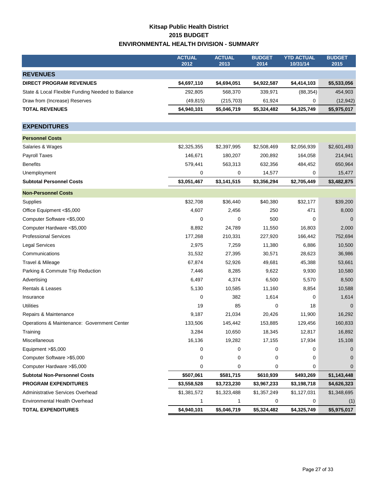### **Kitsap Public Health District 2015 BUDGET ENVIRONMENTAL HEALTH DIVISION - SUMMARY**

<span id="page-28-0"></span>

|                                                  | <b>ACTUAL</b><br>2012 | <b>ACTUAL</b><br>2013 | <b>BUDGET</b><br>2014 | <b>YTD ACTUAL</b><br>10/31/14 | <b>BUDGET</b><br>2015 |
|--------------------------------------------------|-----------------------|-----------------------|-----------------------|-------------------------------|-----------------------|
| <b>REVENUES</b>                                  |                       |                       |                       |                               |                       |
| <b>DIRECT PROGRAM REVENUES</b>                   | \$4,697,110           | \$4,694,051           | \$4,922,587           | \$4,414,103                   | \$5,533,056           |
| State & Local Flexible Funding Needed to Balance | 292,805               | 568,370               | 339,971               | (88, 354)                     | 454,903               |
| Draw from (Increase) Reserves                    | (49, 815)             | (215, 703)            | 61,924                | 0                             | (12, 942)             |
| <b>TOTAL REVENUES</b>                            | \$4,940,101           | \$5,046,719           | \$5,324,482           | \$4,325,749                   | \$5,975,017           |
|                                                  |                       |                       |                       |                               |                       |
| <b>EXPENDITURES</b>                              |                       |                       |                       |                               |                       |
| <b>Personnel Costs</b>                           |                       |                       |                       |                               |                       |
| Salaries & Wages                                 | \$2,325,355           | \$2,397,995           | \$2,508,469           | \$2,056,939                   | \$2,601,493           |
| Payroll Taxes                                    | 146,671               | 180,207               | 200,892               | 164,058                       | 214,941               |
| <b>Benefits</b>                                  | 579,441               | 563,313               | 632,356               | 484,452                       | 650,964               |
| Unemployment                                     | 0                     | 0                     | 14,577                | 0                             | 15,477                |
| <b>Subtotal Personnel Costs</b>                  | \$3,051,467           | \$3,141,515           | \$3,356,294           | \$2,705,449                   | \$3,482,875           |
| <b>Non-Personnel Costs</b>                       |                       |                       |                       |                               |                       |
| Supplies                                         | \$32,708              | \$36,440              | \$40,380              | \$32,177                      | \$39,200              |
| Office Equipment <\$5,000                        | 4,607                 | 2,456                 | 250                   | 471                           | 8,000                 |
| Computer Software <\$5,000                       | $\mathbf 0$           | 0                     | 500                   | 0                             | $\mathbf 0$           |
| Computer Hardware <\$5,000                       | 8,892                 | 24,789                | 11,550                | 16,803                        | 2,000                 |
| <b>Professional Services</b>                     | 177,268               | 210,331               | 227,920               | 166,442                       | 752,694               |
| <b>Legal Services</b>                            | 2,975                 | 7,259                 | 11,380                | 6,886                         | 10,500                |
| Communications                                   | 31,532                | 27,395                | 30,571                | 28,623                        | 36,986                |
| Travel & Mileage                                 | 67,874                | 52,926                | 49,681                | 45,388                        | 53,661                |
| Parking & Commute Trip Reduction                 | 7,446                 | 8,285                 | 9,622                 | 9,930                         | 10,580                |
| Advertising                                      | 6,497                 | 4,374                 | 6,500                 | 5,570                         | 8,500                 |
| Rentals & Leases                                 | 5,130                 | 10,585                | 11,160                | 8,854                         | 10,588                |
| Insurance                                        | 0                     | 382                   | 1,614                 | 0                             | 1,614                 |
| <b>Utilities</b>                                 | 19                    | 85                    | 0                     | 18                            | $\mathbf 0$           |
| Repairs & Maintenance                            | 9,187                 | 21,034                | 20,426                | 11,900                        | 16,292                |
| Operations & Maintenance: Government Center      | 133,506               | 145,442               | 153,885               | 129,456                       | 160,833               |
| Training                                         | 3,284                 | 10,650                | 18,345                | 12,817                        | 16,892                |
| Miscellaneous                                    | 16,136                | 19,282                | 17,155                | 17,934                        | 15,108                |
| Equipment >\$5,000                               | 0                     | 0                     | 0                     | 0                             | 0                     |
| Computer Software > \$5,000                      | 0                     | 0                     | 0                     | 0                             | 0                     |
| Computer Hardware > \$5,000                      | 0                     | 0                     | 0                     | 0                             | $\Omega$              |
| <b>Subtotal Non-Personnel Costs</b>              | \$507,061             | \$581,715             | \$610,939             | \$493,269                     | \$1,143,448           |
| <b>PROGRAM EXPENDITURES</b>                      | \$3,558,528           | \$3,723,230           | \$3,967,233           | \$3,198,718                   | \$4,626,323           |
| <b>Administrative Services Overhead</b>          | \$1,381,572           | \$1,323,488           | \$1,357,249           | \$1,127,031                   | \$1,348,695           |
| Environmental Health Overhead                    | $\mathbf{1}$          | $\mathbf{1}$          | 0                     | 0                             | (1)                   |
| <b>TOTAL EXPENDITURES</b>                        | \$4,940,101           | \$5,046,719           | \$5,324,482           | \$4,325,749                   | \$5,975,017           |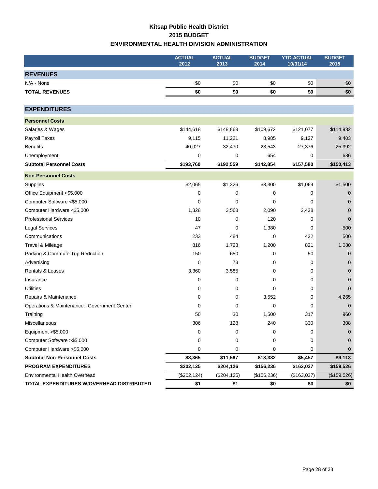### **Kitsap Public Health District 2015 BUDGET ENVIRONMENTAL HEALTH DIVISION ADMINISTRATION**

<span id="page-29-0"></span>

|                                             | <b>ACTUAL</b><br>2012 | <b>ACTUAL</b><br>2013 | <b>BUDGET</b><br>2014 | <b>YTD ACTUAL</b><br>10/31/14 | <b>BUDGET</b><br>2015 |
|---------------------------------------------|-----------------------|-----------------------|-----------------------|-------------------------------|-----------------------|
| <b>REVENUES</b>                             |                       |                       |                       |                               |                       |
| N/A - None                                  | \$0                   | \$0                   | \$0                   | \$0                           | \$0                   |
| <b>TOTAL REVENUES</b>                       | \$0                   | \$0                   | \$0                   | \$0                           | \$0                   |
|                                             |                       |                       |                       |                               |                       |
| <b>EXPENDITURES</b>                         |                       |                       |                       |                               |                       |
| <b>Personnel Costs</b>                      |                       |                       |                       |                               |                       |
| Salaries & Wages                            | \$144,618             | \$148,868             | \$109,672             | \$121,077                     | \$114,932             |
| Payroll Taxes                               | 9,115                 | 11,221                | 8,985                 | 9,127                         | 9,403                 |
| <b>Benefits</b>                             | 40,027                | 32,470                | 23,543                | 27,376                        | 25,392                |
| Unemployment                                | 0                     | 0                     | 654                   | 0                             | 686                   |
| <b>Subtotal Personnel Costs</b>             | \$193,760             | \$192,559             | \$142,854             | \$157,580                     | \$150,413             |
| <b>Non-Personnel Costs</b>                  |                       |                       |                       |                               |                       |
| Supplies                                    | \$2,065               | \$1,326               | \$3,300               | \$1,069                       | \$1,500               |
| Office Equipment <\$5,000                   | 0                     | 0                     | 0                     | 0                             | $\mathbf 0$           |
| Computer Software <\$5,000                  | 0                     | 0                     | 0                     | 0                             | $\mathbf 0$           |
| Computer Hardware <\$5,000                  | 1,328                 | 3,568                 | 2,090                 | 2,438                         | $\mathbf 0$           |
| <b>Professional Services</b>                | 10                    | 0                     | 120                   | 0                             | $\mathbf 0$           |
| <b>Legal Services</b>                       | 47                    | 0                     | 1,380                 | 0                             | 500                   |
| Communications                              | 233                   | 484                   | 0                     | 432                           | 500                   |
| Travel & Mileage                            | 816                   | 1,723                 | 1,200                 | 821                           | 1,080                 |
| Parking & Commute Trip Reduction            | 150                   | 650                   | 0                     | 50                            | $\mathbf 0$           |
| Advertising                                 | $\mathbf 0$           | 73                    | 0                     | 0                             | $\mathbf 0$           |
| Rentals & Leases                            | 3,360                 | 3,585                 | 0                     | 0                             | $\mathbf 0$           |
| Insurance                                   | 0                     | 0                     | 0                     | 0                             | $\mathbf 0$           |
| <b>Utilities</b>                            | 0                     | 0                     | 0                     | 0                             | $\mathbf{0}$          |
| Repairs & Maintenance                       | 0                     | $\pmb{0}$             | 3,552                 | 0                             | 4,265                 |
| Operations & Maintenance: Government Center | 0                     | 0                     | $\mathbf 0$           | 0                             | $\mathbf{0}$          |
| Training                                    | 50                    | 30                    | 1,500                 | 317                           | 960                   |
| Miscellaneous                               | 306                   | 128                   | 240                   | 330                           | 308                   |
| Equipment >\$5,000                          | 0                     | 0                     | 0                     | 0                             | $\mathbf 0$           |
| Computer Software > \$5,000                 | 0                     | 0                     | 0                     | 0                             | $\mathbf 0$           |
| Computer Hardware > \$5,000                 | $\pmb{0}$             | $\pmb{0}$             | 0                     | $\mathbf 0$                   | $\mathbf 0$           |
| <b>Subtotal Non-Personnel Costs</b>         | \$8,365               | \$11,567              | \$13,382              | \$5,457                       | \$9,113               |
| PROGRAM EXPENDITURES                        | \$202,125             | \$204,126             | \$156,236             | \$163,037                     | \$159,526             |
| <b>Environmental Health Overhead</b>        | (\$202, 124)          | (\$204, 125)          | (\$156, 236)          | (\$163,037)                   | (\$159,526)           |
| TOTAL EXPENDITURES W/OVERHEAD DISTRIBUTED   | \$1                   | \$1                   | \$0                   | \$0                           | \$0                   |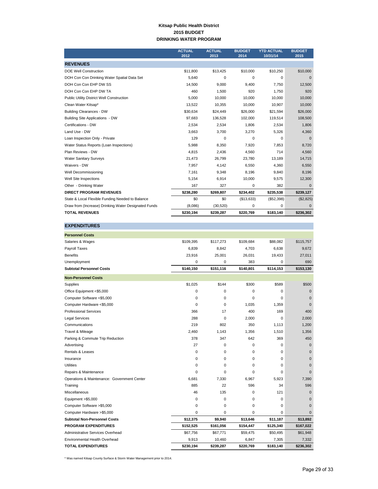#### **Kitsap Public Health District 2015 BUDGET DRINKING WATER PROGRAM**

<span id="page-30-0"></span>

|                                                      | <b>ACTUAL</b><br>2012 | <b>ACTUAL</b><br>2013 | <b>BUDGET</b><br>2014 | <b>YTD ACTUAL</b><br>10/31/14 | <b>BUDGET</b><br>2015 |
|------------------------------------------------------|-----------------------|-----------------------|-----------------------|-------------------------------|-----------------------|
| <b>REVENUES</b>                                      |                       |                       |                       |                               |                       |
| <b>DOE Well Construction</b>                         | \$11,800              | \$13,425              | \$10,000              | \$10,250                      | \$10,000              |
| DOH Con Con Drinking Water Spatial Data Set          | 5,640                 | 0                     | $\Omega$              | 0                             | $\Omega$              |
| DOH Con Con EHP DW SS                                | 14,500                | 9,000                 | 9,400                 | 7,750                         | 12,500                |
| DOH Con Con EHP DW TA                                | 460                   | 1.500                 | 920                   | 1.750                         | 920                   |
| <b>Public Utility District Well Construction</b>     | 5,000                 | 10,000                | 10,000                | 10.000                        | 10,000                |
| Clean Water Kitsap*                                  | 13,522                | 10,355                | 10,000                | 10,907                        | 10,000                |
| <b>Building Clearances - DW</b>                      | \$30.634              | \$24,449              | \$26,000              | \$21.594                      | \$26,000              |
| Building Site Applications - DW                      | 97,683                | 136,528               | 102,000               | 119,514                       | 108,500               |
| Certifications - DW                                  | 2.534                 | 2.534                 | 1.806                 | 2.534                         | 1,806                 |
| Land Use - DW                                        | 3,663                 | 3,700                 | 3,270                 | 5,326                         | 4,360                 |
| Loan Inspection Only - Private                       | 129                   | 0                     | $\Omega$              | 0                             | $\Omega$              |
| Water Status Reports (Loan Inspections)              | 5,988                 | 8,350                 | 7.920                 | 7.853                         | 8,720                 |
| Plan Reviews - DW                                    | 4,815                 | 2,436                 | 4,560                 | 714                           | 4,560                 |
| <b>Water Sanitary Surveys</b>                        | 21,473                | 26,799                | 23,780                | 13,189                        | 14,715                |
| Waivers - DW                                         | 7,957                 | 4,142                 | 6,550                 | 4,360                         | 6,550                 |
| Well Decommissioning                                 | 7,161                 | 9,348                 | 8,196                 | 9,840                         | 8,196                 |
| Well Site Inspections                                | 5,154                 | 6,914                 | 10,000                | 9,575                         | 12,300                |
| Other - Drinking Water                               | 167                   | 327                   | $\mathbf 0$           | 382                           | $\mathbf 0$           |
| <b>DIRECT PROGRAM REVENUES</b>                       | \$238,280             | \$269,807             | \$234,402             | \$235,538                     | \$239,127             |
| State & Local Flexible Funding Needed to Balance     | \$0                   | \$0                   | (\$13,633)            | (\$52,398)                    | (\$2,825)             |
| Draw from (Increase) Drinking Water Designated Funds | (8,086)               | (30,520)              | 0                     | 0                             | $\mathbf 0$           |
| <b>TOTAL REVENUES</b>                                | \$230,194             | \$239,287             | \$220,769             | \$183,140                     | \$236,302             |

| <b>EXPENDITURES</b>                         |             |             |           |             |              |
|---------------------------------------------|-------------|-------------|-----------|-------------|--------------|
| <b>Personnel Costs</b>                      |             |             |           |             |              |
| Salaries & Wages                            | \$109,395   | \$117,273   | \$109,684 | \$88,082    | \$115,757    |
| <b>Payroll Taxes</b>                        | 6,839       | 8,842       | 4,703     | 6,638       | 9,672        |
| <b>Benefits</b>                             | 23,916      | 25,001      | 26,031    | 19,433      | 27,011       |
| Unemployment                                | 0           | 0           | 383       | 0           | 690          |
| <b>Subtotal Personnel Costs</b>             | \$140,150   | \$151,116   | \$140,801 | \$114,153   | \$153,130    |
| <b>Non-Personnel Costs</b>                  |             |             |           |             |              |
| Supplies                                    | \$1,025     | \$144       | \$300     | \$589       | \$500        |
| Office Equipment <\$5,000                   | $\mathbf 0$ | $\mathbf 0$ | $\Omega$  | $\Omega$    | $\Omega$     |
| Computer Software <\$5,000                  | $\mathbf 0$ | $\mathbf 0$ | $\Omega$  | $\Omega$    | $\Omega$     |
| Computer Hardware <\$5,000                  | $\mathbf 0$ | $\mathbf 0$ | 1,035     | 1,359       | $\Omega$     |
| <b>Professional Services</b>                | 366         | 17          | 400       | 169         | 400          |
| <b>Legal Services</b>                       | 288         | $\mathbf 0$ | 2,000     | $\mathbf 0$ | 2,000        |
| Communications                              | 219         | 802         | 350       | 1,113       | 1,200        |
| Travel & Mileage                            | 2,460       | 1,143       | 1,356     | 1,510       | 1,356        |
| Parking & Commute Trip Reduction            | 378         | 347         | 642       | 369         | 450          |
| Advertising                                 | 27          | 0           | 0         | 0           | $\mathbf{0}$ |
| Rentals & Leases                            | $\mathbf 0$ | $\mathbf 0$ | 0         | 0           | $\Omega$     |
| Insurance                                   | $\mathbf 0$ | $\mathbf 0$ | 0         | $\Omega$    | $\Omega$     |
| <b>Utilities</b>                            | $\mathbf 0$ | $\mathbf 0$ | 0         | 0           | $\mathbf{0}$ |
| Repairs & Maintenance                       | $\Omega$    | $\mathbf 0$ | $\Omega$  | $\Omega$    | $\Omega$     |
| Operations & Maintenance: Government Center | 6,681       | 7,330       | 6,967     | 5,923       | 7,390        |
| Training                                    | 885         | 22          | 596       | 34          | 596          |
| Miscellaneous                               | 46          | 135         | 0         | 121         | $\Omega$     |
| Equipment >\$5,000                          | $\mathbf 0$ | 0           | 0         | 0           | $\mathbf{0}$ |
| Computer Software >\$5,000                  | 0           | $\mathbf 0$ | 0         | 0           | $\mathbf{0}$ |
| Computer Hardware >\$5,000                  | 0           | $\mathbf 0$ | 0         | 0           | $\mathbf{0}$ |
| <b>Subtotal Non-Personnel Costs</b>         | \$12,375    | \$9,940     | \$13,646  | \$11,187    | \$13,892     |
| <b>PROGRAM EXPENDITURES</b>                 | \$152,525   | \$161,056   | \$154,447 | \$125,340   | \$167,022    |
| Administrative Services Overhead            | \$67,756    | \$67,771    | \$59,475  | \$50,495    | \$61,948     |
| <b>Environmental Health Overhead</b>        | 9,913       | 10,460      | 6,847     | 7,305       | 7,332        |
| <b>TOTAL EXPENDITURES</b>                   | \$230,194   | \$239,287   | \$220,769 | \$183,140   | \$236,302    |

\* Was named Kitsap County Surface & Storm Water Management prior to 2014.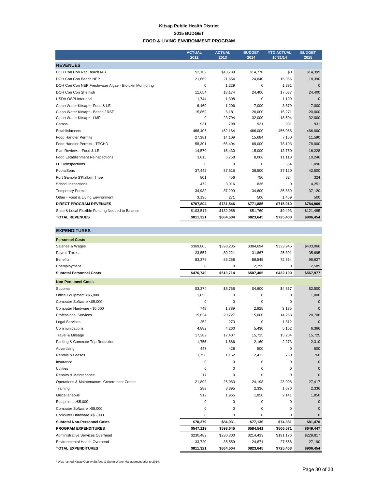#### **Kitsap Public Health District 2015 BUDGET FOOD & LIVING ENVIRONMENT PROGRAM**

<span id="page-31-0"></span>

|                                                        | <b>ACTUAL</b><br>2012 | <b>ACTUAL</b><br>2013 | <b>BUDGET</b><br>2014 | <b>YTD ACTUAL</b><br>10/31/14 | <b>BUDGET</b><br>2015 |
|--------------------------------------------------------|-----------------------|-----------------------|-----------------------|-------------------------------|-----------------------|
| <b>REVENUES</b>                                        |                       |                       |                       |                               |                       |
| DOH Con Con Rec Beach IAR                              | \$2,162               | \$13,789              | \$14,778              | \$0                           | \$14,399              |
| DOH Con Con Beach NEP                                  | 21,669                | 21,654                | 24,840                | 15,065                        | 18,390                |
| DOH Con Con NEP Freshwater Algae - Biotoxin Monitoring | $\mathbf 0$           | 1,229                 | 0                     | 1,391                         | $\mathbf{0}$          |
| DOH Con Con Shellfish                                  | 11,654                | 18,174                | 24,400                | 17,037                        | 24,400                |
| <b>USDA OSPI Interlocal</b>                            | 1.744                 | 1.308                 | $\Omega$              | 1.199                         | $\Omega$              |
| Clean Water Kitsap* - Food & LE                        | 6,460                 | 1,206                 | 7,000                 | 3,879                         | 7,000                 |
| Clean Water Kitsap* - Beach / RSF                      | 15,869                | 6,181                 | 20,000                | 16,271                        | 20,000                |
| Clean Water Kitsap* - LMP                              | 0                     | 23,794                | 32,000                | 18,504                        | 32,000                |
| Camps                                                  | 931                   | 798                   | 931                   | 931                           | 931                   |
| Establishments                                         | 466,406               | 462,164               | 466,000               | 456,066                       | 466,000               |
| <b>Food Handler Permits</b>                            | 27,381                | 14,109                | 15,684                | 7,150                         | 11,590                |
| Food Handler Permits - TPCHD                           | 58,301                | 66,404                | 68,000                | 78,103                        | 78,000                |
| Plan Reviews - Food & LE                               | 14,570                | 15,430                | 15,000                | 13,750                        | 16,228                |
| <b>Food Establishment Reinspections</b>                | 3,815                 | 6,758                 | 8,066                 | 11,118                        | 10,246                |
| <b>LE Reinspections</b>                                | 0                     | $\mathbf 0$           | 0                     | 654                           | 1,090                 |
| Pools/Spas                                             | 37,442                | 37,515                | 38,500                | 37,120                        | 42,500                |
| Port Gamble S'Klallam Tribe                            | 801                   | 456                   | 750                   | 324                           | 324                   |
| School Inspections                                     | 472                   | 3,016                 | 836                   | 0                             | 4,251                 |
| <b>Temporary Permits</b>                               | 34,932                | 37,290                | 34,600                | 35,889                        | 37,120                |
| Other - Food & Living Environment                      | 3,195                 | 271                   | 500                   | 1,459                         | 500                   |
| <b>DIRECT PROGRAM REVENUES</b>                         | \$707,804             | \$731,546             | \$771,885             | \$715,910                     | \$784,969             |
| State & Local Flexible Funding Needed to Balance       | \$103,517             | \$132,958             | \$51,760              | \$9,493                       | \$121,485             |
| <b>TOTAL REVENUES</b>                                  | \$811,321             | \$864,504             | \$823,645             | \$725,403                     | \$906,454             |

**EXPENDITURES**

| <b>Personnel Costs</b>                      |             |           |           |           |             |
|---------------------------------------------|-------------|-----------|-----------|-----------|-------------|
| Salaries & Wages                            | \$369,805   | \$398,235 | \$384,694 | \$333,945 | \$433,066   |
| Payroll Taxes                               | 23,557      | 30,221    | 31,867    | 25,391    | 35,695      |
| <b>Benefits</b>                             | 83,378      | 85,258    | 88,545    | 72,854    | 96,627      |
| Unemployment                                | 0           | 0         | 2,299     | 0         | 2,589       |
| <b>Subtotal Personnel Costs</b>             | \$476,740   | \$513,714 | \$507,405 | \$432,190 | \$567,977   |
| <b>Non-Personnel Costs</b>                  |             |           |           |           |             |
| Supplies                                    | \$3.374     | \$5,766   | \$4,600   | \$4,867   | \$2,500     |
| Office Equipment <\$5,000                   | 1,055       | 0         | 0         | 0         | 1,000       |
| Computer Software <\$5,000                  | $\mathbf 0$ | 0         | $\Omega$  | $\Omega$  | $\Omega$    |
| Computer Hardware <\$5,000                  | 748         | 1,789     | 2,925     | 3,185     | $\Omega$    |
| <b>Professional Services</b>                | 15,624      | 20,727    | 15,000    | 14,263    | 20,706      |
| <b>Legal Services</b>                       | 252         | 273       | 0         | 1,812     | $\mathbf 0$ |
| Communications                              | 4,882       | 4,260     | 5,430     | 5,102     | 6,366       |
| Travel & Mileage                            | 17,382      | 17,407    | 15,725    | 15,204    | 15,725      |
| Parking & Commute Trip Reduction            | 1,755       | 1,686     | 2,160     | 2,273     | 2,310       |
| Advertising                                 | 447         | 428       | 500       | $\Omega$  | 500         |
| Rentals & Leases                            | 1,750       | 1,152     | 2,412     | 760       | 760         |
| Insurance                                   | 0           | 0         | 0         | 0         | $\mathbf 0$ |
| Utilities                                   | 0           | 0         | 0         | $\Omega$  | $\Omega$    |
| Repairs & Maintenance                       | 17          | $\Omega$  | $\Omega$  | $\Omega$  | $\Omega$    |
| Operations & Maintenance: Government Center | 21,892      | 26,083    | 24,198    | 23,098    | 27,417      |
| Training                                    | 289         | 3,395     | 2,336     | 1,676     | 2,336       |
| Miscellaneous                               | 912         | 1,965     | 1,850     | 2,141     | 1,850       |
| Equipment >\$5,000                          | 0           | 0         | 0         | 0         | $\Omega$    |
| Computer Software >\$5,000                  | $\mathbf 0$ | 0         | 0         | 0         | $\Omega$    |
| Computer Hardware >\$5,000                  | 0           | 0         | 0         | 0         | $\mathbf 0$ |
| <b>Subtotal Non-Personnel Costs</b>         | \$70,379    | \$84,931  | \$77,136  | \$74,381  | \$81,470    |
| <b>PROGRAM EXPENDITURES</b>                 | \$547,119   | \$598,645 | \$584,541 | \$506,571 | \$649,447   |
| Administrative Services Overhead            | \$230,482   | \$230,300 | \$214,433 | \$191,176 | \$229,817   |
| Environmental Health Overhead               | 33,720      | 35,559    | 24,671    | 27,656    | 27,190      |
| <b>TOTAL EXPENDITURES</b>                   | \$811,321   | \$864,504 | \$823,645 | \$725,403 | \$906,454   |

\* Was named Kitsap County Surface & Storm Water Management prior to 2014.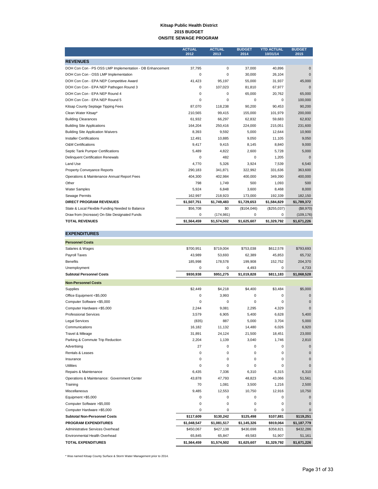#### **Kitsap Public Health District 2015 BUDGET ONSITE SEWAGE PROGRAM**

<span id="page-32-0"></span>

|                                                          | <b>ACTUAL</b><br>2012 | <b>ACTUAL</b><br>2013 | <b>BUDGET</b><br>2014 | <b>YTD ACTUAL</b><br>10/31/14 | <b>BUDGET</b><br>2015 |
|----------------------------------------------------------|-----------------------|-----------------------|-----------------------|-------------------------------|-----------------------|
| <b>REVENUES</b>                                          |                       |                       |                       |                               |                       |
| DOH Con Con - PS OSS LMP Implementation - DB Enhancement | 37,795                | 0                     | 37,000                | 40,896                        | $\Omega$              |
| DOH Con Con - OSS LMP Implementation                     | 0                     | 0                     | 30.000                | 26.104                        | $\Omega$              |
| DOH Con Con - EPA NEP Competitive Award                  | 41,423                | 95,197                | 55.000                | 31.937                        | 45,000                |
| DOH Con Con - EPA NEP Pathogen Round 3                   | 0                     | 107,023               | 81,810                | 67.977                        | $\Omega$              |
| DOH Con Con - EPA NEP Round 4                            | 0                     | 0                     | 65,000                | 20,762                        | 65,000                |
| DOH Con Con - EPA NEP Round 5                            | 0                     | 0                     | $\mathbf 0$           | 0                             | 100,000               |
| Kitsap County Septage Tipping Fees                       | 87,070                | 118,238               | 90,200                | 90,453                        | 90,200                |
| Clean Water Kitsap*                                      | 210.565               | 99.415                | 155,000               | 101,979                       | 200,000               |
| <b>Building Clearances</b>                               | 61,932                | 66,297                | 62,832                | 59.683                        | 62,832                |
| <b>Building Site Applications</b>                        | 164,204               | 250,416               | 224,000               | 215,051                       | 231,600               |
| <b>Building Site Application Waivers</b>                 | 8,393                 | 9,592                 | 5,000                 | 12,644                        | 10,900                |
| <b>Installer Certifications</b>                          | 12,491                | 10.885                | 9.050                 | 11,105                        | 9,050                 |
| <b>O&amp;M Certifications</b>                            | 9,417                 | 9,415                 | 8,145                 | 8,840                         | 9,000                 |
| Septic Tank Pumper Certifications                        | 5,489                 | 4,822                 | 2,600                 | 5,728                         | 5,000                 |
| <b>Delinquent Certification Renewals</b>                 | $\Omega$              | 482                   | $\Omega$              | 1,205                         | $\Omega$              |
| Land Use                                                 | 4.770                 | 5,326                 | 3,924                 | 7,539                         | 6,540                 |
| <b>Property Conveyance Reports</b>                       | 290,183               | 341,871               | 322,992               | 331,636                       | 363,600               |
| Operations & Maintenance Annual Report Fees              | 404,300               | 402,984               | 400,000               | 349,390                       | 400,000               |
| Other                                                    | 798                   | 1,749                 | 500                   | 1,093                         | 500                   |
| <b>Water Samples</b>                                     | 5.924                 | 6.848                 | 3.600                 | 8.468                         | 8,000                 |
| Sewage Permits                                           | 162,997               | 218,923               | 173,000               | 192,339                       | 182,150               |
| <b>DIRECT PROGRAM REVENUES</b>                           | \$1,507,751           | \$1,749,483           | \$1,729,653           | \$1,584,829                   | \$1,789,372           |
| State & Local Flexible Funding Needed to Balance         | \$56,708              | \$0                   | (\$104,046)           | (\$255,037)                   | (\$8,970)             |
| Draw from (Increase) On-Site Designated Funds            | $\mathbf 0$           | (174, 981)            | $\mathbf 0$           | 0                             | (109, 176)            |
| <b>TOTAL REVENUES</b>                                    | \$1,564,459           | \$1,574,502           | \$1,625,607           | \$1,329,792                   | \$1,671,226           |

| <b>EXPENDITURES</b>                         |             |             |             |             |              |
|---------------------------------------------|-------------|-------------|-------------|-------------|--------------|
| <b>Personnel Costs</b>                      |             |             |             |             |              |
| Salaries & Wages                            | \$700,951   | \$719,004   | \$753,038   | \$612,578   | \$793,693    |
| Payroll Taxes                               | 43,989      | 53,693      | 62,389      | 45,853      | 65,732       |
| <b>Benefits</b>                             | 185,998     | 178,578     | 199,908     | 152,752     | 204,370      |
| Unemployment                                | 0           | 0           | 4,493       | 0           | 4,733        |
| <b>Subtotal Personnel Costs</b>             | \$930,938   | \$951,275   | \$1,019,828 | \$811,183   | \$1,068,528  |
| <b>Non-Personnel Costs</b>                  |             |             |             |             |              |
| Supplies                                    | \$2,449     | \$4,218     | \$4,400     | \$3,484     | \$5,000      |
| Office Equipment <\$5,000                   | 0           | 3,993       | 0           | $\Omega$    | $\mathbf{0}$ |
| Computer Software <\$5,000                  | 0           | 0           | 0           | $\Omega$    | $\Omega$     |
| Computer Hardware <\$5,000                  | 2,244       | 9,081       | 2,295       | 4,329       | $\Omega$     |
| <b>Professional Services</b>                | 3,579       | 6,905       | 5,400       | 6,628       | 5,400        |
| <b>Legal Services</b>                       | (835)       | 887         | 5,000       | 3,704       | 5,000        |
| Communications                              | 16,182      | 11,132      | 14,480      | 6,026       | 6,920        |
| Travel & Mileage                            | 31,891      | 24,124      | 21,500      | 18,451      | 23,000       |
| Parking & Commute Trip Reduction            | 2.204       | 1,139       | 3,040       | 1,746       | 2,810        |
| Advertising                                 | 27          | 0           | 0           | 0           | 0            |
| Rentals & Leases                            | $\mathbf 0$ | 0           | 0           | $\Omega$    | $\mathbf{0}$ |
| Insurance                                   | 0           | 0           | 0           | $\Omega$    | $\Omega$     |
| <b>Utilities</b>                            | $\Omega$    | 0           | $\Omega$    | $\Omega$    | $\Omega$     |
| Repairs & Maintenance                       | 6,435       | 7,336       | 6,310       | 6,315       | 6,310        |
| Operations & Maintenance: Government Center | 43,878      | 47,793      | 48,823      | 43,066      | 51,561       |
| Training                                    | 70          | 1,081       | 3,500       | 1,216       | 2,500        |
| Miscellaneous                               | 9,485       | 12,553      | 10,750      | 12,916      | 10,750       |
| Equipment >\$5,000                          | 0           | 0           | 0           | $\Omega$    | $\mathbf{0}$ |
| Computer Software >\$5,000                  | 0           | 0           | 0           | 0           | 0            |
| Computer Hardware >\$5,000                  | 0           | 0           | $\mathbf 0$ | 0           | $\mathbf{0}$ |
| <b>Subtotal Non-Personnel Costs</b>         | \$117,609   | \$130,242   | \$125,498   | \$107,881   | \$119,251    |
| <b>PROGRAM EXPENDITURES</b>                 | \$1,048,547 | \$1,081,517 | \$1,145,326 | \$919,064   | \$1,187,779  |
| Administrative Services Overhead            | \$450,067   | \$427,138   | \$430,698   | \$358,821   | \$432,286    |
| Environmental Health Overhead               | 65,845      | 65,847      | 49,583      | 51,907      | 51,161       |
| <b>TOTAL EXPENDITURES</b>                   | \$1.564.459 | \$1.574.502 | \$1,625,607 | \$1,329,792 | \$1,671,226  |

\* Was named Kitsap County Surface & Storm Water Management prior to 2014.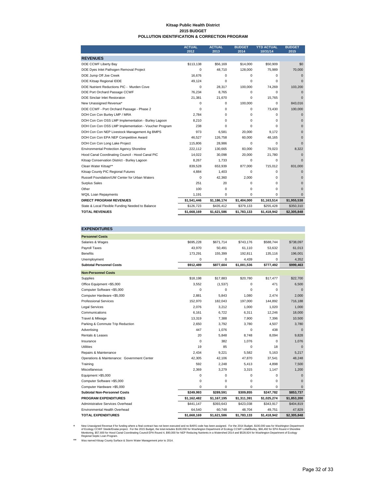#### **Kitsap Public Health District 2015 BUDGET POLLUTION IDENTIFICATION & CORRECTION PROGRAM**

<span id="page-33-0"></span>

|                                                      | <b>ACTUAL</b><br>2012 | <b>ACTUAL</b><br>2013 | <b>BUDGET</b><br>2014 | <b>YTD ACTUAL</b><br>10/31/14 | <b>BUDGET</b><br>2015 |
|------------------------------------------------------|-----------------------|-----------------------|-----------------------|-------------------------------|-----------------------|
| <b>REVENUES</b>                                      |                       |                       |                       |                               |                       |
| DOE CCWF Liberty Bay                                 | \$113,138             | \$56,169              | \$14,000              | \$50,909                      | \$0                   |
| DOE Dyes Inlet Pathogen Removal Project              | $\Omega$              | 48,710                | 128,000               | 75,989                        | 70,000                |
| DOE Jump Off Joe Creek                               | 16.676                | 0                     | $\Omega$              | $\Omega$                      | $\Omega$              |
| DOE Kitsap Regional IDDE                             | 49,124                | 0                     | $\Omega$              | $\Omega$                      | $\Omega$              |
| DOE Nutrient Reductions PIC - Murden Cove            | 0                     | 28,317                | 100,000               | 74,269                        | 103,200               |
| DOE Port Orchard Passage CCWF                        | 76,234                | 8,765                 | $\Omega$              | $\Omega$                      | $\Omega$              |
| <b>DOE Sinclair Inlet Restoraton</b>                 | 21,381                | 21,670                | $\Omega$              | 15,765                        | $\Omega$              |
| New Unassigned Revenue*                              | 0                     | 0                     | 100,000               | 0                             | 843.016               |
| DOE CCWF - Port Orchard Passage - Phase 2            | 0                     | 0                     | $\Omega$              | 73,430                        | 100,000               |
| DOH Con Con Burley LMP / MRA                         | 2,784                 | 0                     | $\Omega$              | $\Omega$                      | $\Omega$              |
| DOH Con Con OSS LMP Implementation - Burley Lagoon   | 8.210                 | 0                     | $\Omega$              | $\Omega$                      | $\Omega$              |
| DOH Con Con OSS LMP Implementation - Voucher Program | 238                   | $\Omega$              | $\Omega$              | $\Omega$                      | $\Omega$              |
| DOH Con Con NEP Livestock Management Ag BMPS         | 973                   | 6,581                 | 20,000                | 9,172                         | $\Omega$              |
| DOH Con Con EPA NEP Competitive Award                | 46.527                | 126.758               | 60.000                | 48.165                        | $\Omega$              |
| DOH Con Con Long Lake Project                        | 115,806               | 28,986                | $\Omega$              | $\Omega$                      | $\Omega$              |
| <b>Environmental Protection Agency Shoreline</b>     | 222,112               | 130,665               | 83,000                | 79,023                        | 8,322                 |
| Hood Canal Coordinating Council - Hood Canal PIC     | 14,022                | 30.098                | 20,000                | 21,780                        | $\Omega$              |
| Kitsap Conservation District - Burley Lagoon         | 8,267                 | 1.733                 | $\Omega$              | $\Omega$                      | $\Omega$              |
| Clean Water Kitsap**                                 | 839,528               | 653,939               | 877,000               | 715,012                       | 831,000               |
| Kitsap County PIC Regional Futures                   | 4,884                 | 1,403                 | $\Omega$              | 0                             | $\Omega$              |
| Russell Foundation/UW Center for Urban Waters        | 0                     | 42,360                | 2,000                 | $\Omega$                      | $\Omega$              |
| Surplus Sales                                        | 251                   | 20                    | $\Omega$              | $\Omega$                      | $\Omega$              |
| Other                                                | 100                   | $\mathbf 0$           | $\Omega$              | $\Omega$                      | $\Omega$              |
| <b>WQIL Loan Repayments</b>                          | 1,191                 | $\Omega$              | $\Omega$              | $\Omega$                      | $\Omega$              |
| <b>DIRECT PROGRAM REVENUES</b>                       | \$1,541,446           | \$1,186,174           | \$1,404,000           | \$1,163,514                   | \$1,955,538           |
| State & Local Flexible Funding Needed to Balance     | \$126,723             | \$435,412             | \$379,133             | \$255,428                     | \$350,310             |
| <b>TOTAL REVENUES</b>                                | \$1,668,169           | \$1,621,586           | \$1,783,133           | \$1,418,942                   | \$2,305,848           |

| <b>EXPENDITURES</b>                         |             |             |             |             |              |
|---------------------------------------------|-------------|-------------|-------------|-------------|--------------|
| <b>Personnel Costs</b>                      |             |             |             |             |              |
| Salaries & Wages                            | \$695,228   | \$671,714   | \$743,176   | \$588,744   | \$738,097    |
| Payroll Taxes                               | 43.970      | 50,491      | 61,110      | 53,632      | 61,013       |
| <b>Benefits</b>                             | 173,291     | 155,399     | 192,811     | 135,116     | 196,001      |
| Unemployment                                | $\mathbf 0$ | 0           | 4,439       | 0           | 4,352        |
| <b>Subtotal Personnel Costs</b>             | \$912,489   | \$877,604   | \$1,001,536 | \$777,492   | \$999,463    |
| <b>Non-Personnel Costs</b>                  |             |             |             |             |              |
| Supplies                                    | \$18,198    | \$17,883    | \$20,780    | \$17,477    | \$22,700     |
| Office Equipment <\$5,000                   | 3,552       | (1,537)     | 0           | 471         | 6,500        |
| Computer Software <\$5,000                  | 0           | 0           | $\Omega$    | 0           | $\Omega$     |
| Computer Hardware <\$5,000                  | 2,881       | 5,843       | 1,080       | 2,474       | 2,000        |
| <b>Professional Services</b>                | 152,970     | 182,043     | 197,000     | 144,892     | 716,188      |
| <b>Legal Services</b>                       | 2.076       | 3.212       | 1.000       | 1.020       | 1.000        |
| Communications                              | 6,161       | 6,722       | 6,311       | 12,246      | 18,000       |
| Travel & Mileage                            | 13,319      | 7,388       | 7,900       | 7,396       | 10,500       |
| Parking & Commute Trip Reduction            | 2,650       | 3,792       | 3,780       | 4,507       | 3,780        |
| Advertising                                 | 447         | 1.076       | 0           | 438         | $\Omega$     |
| Rentals & Leases                            | 20          | 5,848       | 8.748       | 8,094       | 9,828        |
| Insurance                                   | $\mathbf 0$ | 382         | 1,076       | 0           | 1,076        |
| <b>Utilities</b>                            | 19          | 85          | $\Omega$    | 18          | $\Omega$     |
| Repairs & Maintenance                       | 2,434       | 9,221       | 5,582       | 5,163       | 5,217        |
| Operations & Maintenance: Government Center | 42,305      | 42.106      | 47,870      | 37,541      | 48,248       |
| Training                                    | 592         | 2,248       | 5,413       | 4,898       | 7,500        |
| Miscellaneous                               | 2.369       | 3,279       | 3,315       | 1,147       | 1,200        |
| Equipment >\$5,000                          | 0           | 0           | $\Omega$    | $\Omega$    | $\Omega$     |
| Computer Software >\$5,000                  | 0           | 0           | 0           | 0           | $\mathbf{0}$ |
| Computer Hardware >\$5,000                  | 0           | 0           | 0           | $\mathbf 0$ | $\Omega$     |
| <b>Subtotal Non-Personnel Costs</b>         | \$249,993   | \$289,591   | \$309,855   | \$247,782   | \$853,737    |
| <b>PROGRAM EXPENDITURES</b>                 | \$1,162,482 | \$1,167,195 | \$1,311,391 | \$1,025,274 | \$1,853,200  |
| <b>Administrative Services Overhead</b>     | \$441,147   | \$393,643   | \$423,038   | \$343,917   | \$404,819    |
| Environmental Health Overhead               | 64,540      | 60,748      | 48,704      | 49,751      | 47,829       |
| <b>TOTAL EXPENDITURES</b>                   | \$1.668.169 | \$1.621.586 | \$1.783.133 | \$1.418.942 | \$2,305,848  |

\* New Unassigned Revenue if for funding where a final contract has not been executed and no ben assigned. For the 2014 Budget In the State Interact and the State Interact in the State Interact in the State Interact in the S

\*\* Was named Kitsap County Surface & Storm Water Management prior to 2014.